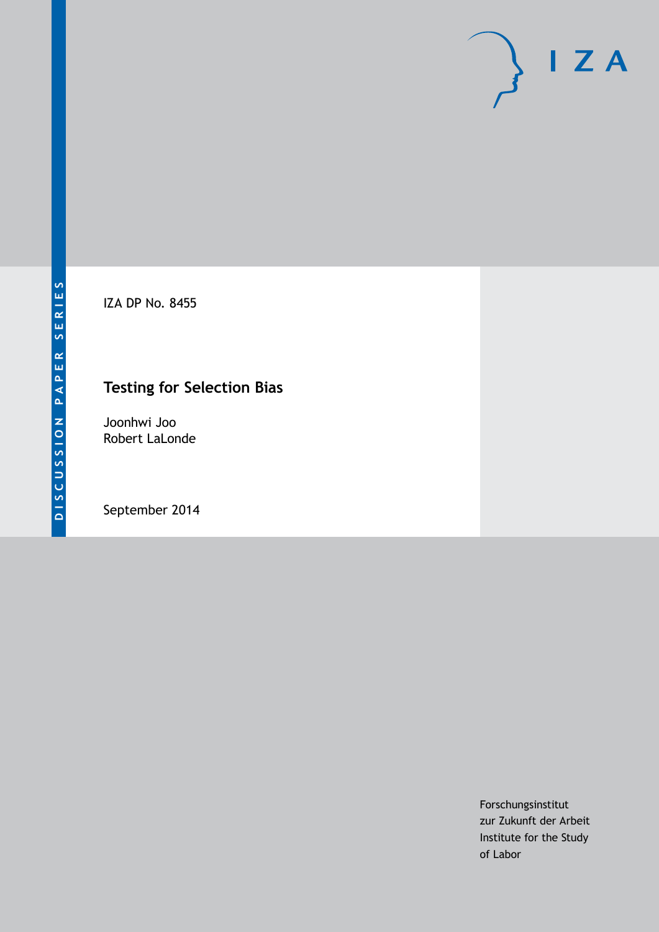IZA DP No. 8455

## **Testing for Selection Bias**

Joonhwi Joo Robert LaLonde

September 2014

Forschungsinstitut zur Zukunft der Arbeit Institute for the Study of Labor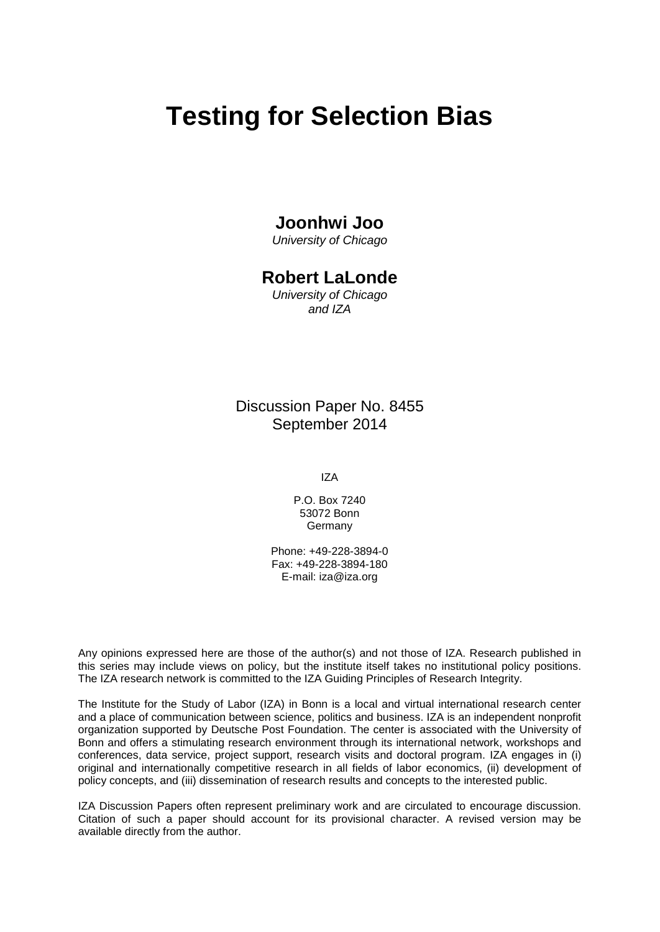# **Testing for Selection Bias**

## **Joonhwi Joo**

*University of Chicago*

## **Robert LaLonde**

*University of Chicago and IZA*

Discussion Paper No. 8455 September 2014

IZA

P.O. Box 7240 53072 Bonn **Germany** 

Phone: +49-228-3894-0 Fax: +49-228-3894-180 E-mail: [iza@iza.org](mailto:iza@iza.org)

Any opinions expressed here are those of the author(s) and not those of IZA. Research published in this series may include views on policy, but the institute itself takes no institutional policy positions. The IZA research network is committed to the IZA Guiding Principles of Research Integrity.

The Institute for the Study of Labor (IZA) in Bonn is a local and virtual international research center and a place of communication between science, politics and business. IZA is an independent nonprofit organization supported by Deutsche Post Foundation. The center is associated with the University of Bonn and offers a stimulating research environment through its international network, workshops and conferences, data service, project support, research visits and doctoral program. IZA engages in (i) original and internationally competitive research in all fields of labor economics, (ii) development of policy concepts, and (iii) dissemination of research results and concepts to the interested public.

<span id="page-1-0"></span>IZA Discussion Papers often represent preliminary work and are circulated to encourage discussion. Citation of such a paper should account for its provisional character. A revised version may be available directly from the author.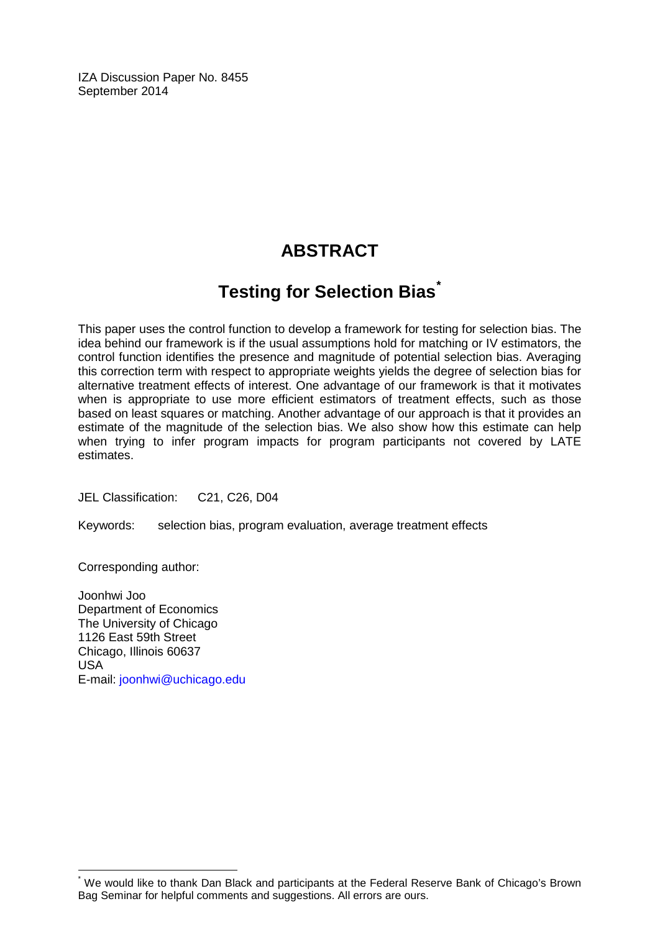IZA Discussion Paper No. 8455 September 2014

## **ABSTRACT**

## **Testing for Selection Bias[\\*](#page-1-0)**

This paper uses the control function to develop a framework for testing for selection bias. The idea behind our framework is if the usual assumptions hold for matching or IV estimators, the control function identifies the presence and magnitude of potential selection bias. Averaging this correction term with respect to appropriate weights yields the degree of selection bias for alternative treatment effects of interest. One advantage of our framework is that it motivates when is appropriate to use more efficient estimators of treatment effects, such as those based on least squares or matching. Another advantage of our approach is that it provides an estimate of the magnitude of the selection bias. We also show how this estimate can help when trying to infer program impacts for program participants not covered by LATE estimates.

JEL Classification: C21, C26, D04

Keywords: selection bias, program evaluation, average treatment effects

Corresponding author:

Joonhwi Joo Department of Economics The University of Chicago 1126 East 59th Street Chicago, Illinois 60637 USA E-mail: [joonhwi@uchicago.edu](mailto:joonhwi@uchicago.edu)

We would like to thank Dan Black and participants at the Federal Reserve Bank of Chicago's Brown Bag Seminar for helpful comments and suggestions. All errors are ours.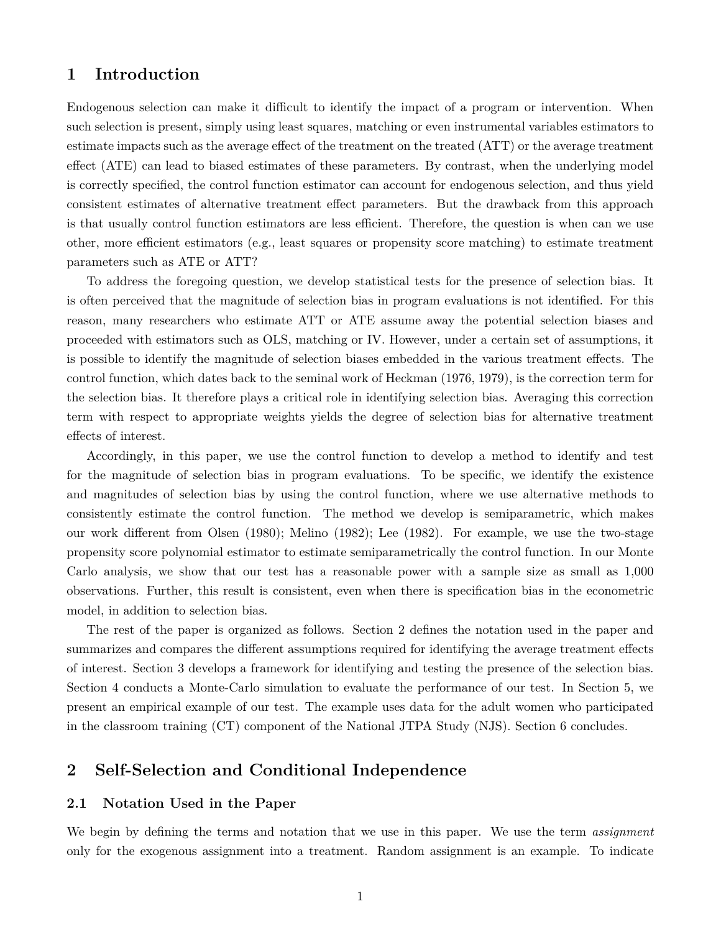### **1 Introduction**

Endogenous selection can make it difficult to identify the impact of a program or intervention. When such selection is present, simply using least squares, matching or even instrumental variables estimators to estimate impacts such as the average effect of the treatment on the treated (ATT) or the average treatment effect (ATE) can lead to biased estimates of these parameters. By contrast, when the underlying model is correctly specified, the control function estimator can account for endogenous selection, and thus yield consistent estimates of alternative treatment effect parameters. But the drawback from this approach is that usually control function estimators are less efficient. Therefore, the question is when can we use other, more efficient estimators (e.g., least squares or propensity score matching) to estimate treatment parameters such as ATE or ATT?

To address the foregoing question, we develop statistical tests for the presence of selection bias. It is often perceived that the magnitude of selection bias in program evaluations is not identified. For this reason, many researchers who estimate ATT or ATE assume away the potential selection biases and proceeded with estimators such as OLS, matching or IV. However, under a certain set of assumptions, it is possible to identify the magnitude of selection biases embedded in the various treatment effects. The control function, which dates back to the seminal work of Heckman (1976, 1979), is the correction term for the selection bias. It therefore plays a critical role in identifying selection bias. Averaging this correction term with respect to appropriate weights yields the degree of selection bias for alternative treatment effects of interest.

Accordingly, in this paper, we use the control function to develop a method to identify and test for the magnitude of selection bias in program evaluations. To be specific, we identify the existence and magnitudes of selection bias by using the control function, where we use alternative methods to consistently estimate the control function. The method we develop is semiparametric, which makes our work different from Olsen (1980); Melino (1982); Lee (1982). For example, we use the two-stage propensity score polynomial estimator to estimate semiparametrically the control function. In our Monte Carlo analysis, we show that our test has a reasonable power with a sample size as small as 1,000 observations. Further, this result is consistent, even when there is specification bias in the econometric model, in addition to selection bias.

The rest of the paper is organized as follows. Section 2 defines the notation used in the paper and summarizes and compares the different assumptions required for identifying the average treatment effects of interest. Section 3 develops a framework for identifying and testing the presence of the selection bias. Section 4 conducts a Monte-Carlo simulation to evaluate the performance of our test. In Section 5, we present an empirical example of our test. The example uses data for the adult women who participated in the classroom training (CT) component of the National JTPA Study (NJS). Section 6 concludes.

### **2 Self-Selection and Conditional Independence**

#### **2.1 Notation Used in the Paper**

We begin by defining the terms and notation that we use in this paper. We use the term *assignment* only for the exogenous assignment into a treatment. Random assignment is an example. To indicate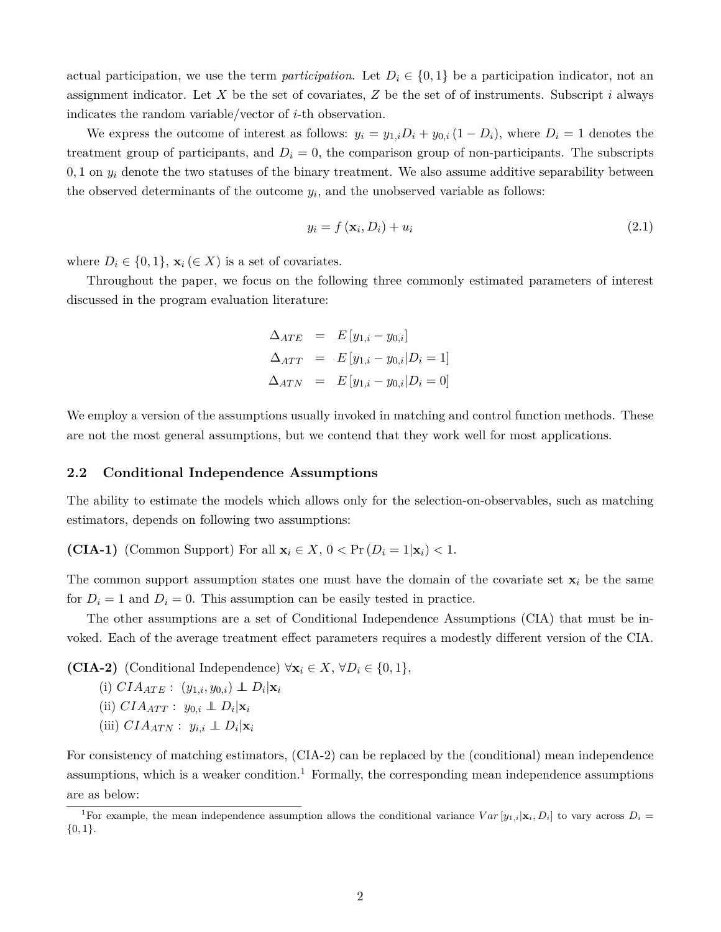actual participation, we use the term *participation*. Let  $D_i \in \{0,1\}$  be a participation indicator, not an assignment indicator. Let *X* be the set of covariates, *Z* be the set of of instruments. Subscript *i* always indicates the random variable/vector of *i*-th observation.

We express the outcome of interest as follows:  $y_i = y_{1,i}D_i + y_{0,i}(1 - D_i)$ , where  $D_i = 1$  denotes the treatment group of participants, and  $D_i = 0$ , the comparison group of non-participants. The subscripts  $0, 1$  on  $y_i$  denote the two statuses of the binary treatment. We also assume additive separability between the observed determinants of the outcome  $y_i$ , and the unobserved variable as follows:

$$
y_i = f\left(\mathbf{x}_i, D_i\right) + u_i \tag{2.1}
$$

where  $D_i \in \{0,1\}$ ,  $\mathbf{x}_i \in X$  is a set of covariates.

Throughout the paper, we focus on the following three commonly estimated parameters of interest discussed in the program evaluation literature:

$$
\Delta_{ATE} = E[y_{1,i} - y_{0,i}] \n\Delta_{ATT} = E[y_{1,i} - y_{0,i} | D_i = 1] \n\Delta_{ATN} = E[y_{1,i} - y_{0,i} | D_i = 0]
$$

We employ a version of the assumptions usually invoked in matching and control function methods. These are not the most general assumptions, but we contend that they work well for most applications.

#### **2.2 Conditional Independence Assumptions**

The ability to estimate the models which allows only for the selection-on-observables, such as matching estimators, depends on following two assumptions:

**(CIA-1)** (Common Support) For all  $\mathbf{x}_i \in X$ ,  $0 < \Pr(D_i = 1 | \mathbf{x}_i) < 1$ .

The common support assumption states one must have the domain of the covariate set  $\mathbf{x}_i$  be the same for  $D_i = 1$  and  $D_i = 0$ . This assumption can be easily tested in practice.

The other assumptions are a set of Conditional Independence Assumptions (CIA) that must be invoked. Each of the average treatment effect parameters requires a modestly different version of the CIA.

**(CIA-2)** (Conditional Independence)  $\forall$ **x**<sub>*i*</sub>  $\in$  *X*,  $\forall$ *D*<sub>*i*</sub>  $\in$  {0, 1},  $(i) \,\text{CIA}_{ATE}: \, (y_{1,i}, y_{0,i}) \perp\!\!\!\perp D_i | \mathbf{x}_i$ 

- $(iii) \,\, CIA_{ATT}: y_{0,i} \perp \!\!\!\perp D_i | \mathbf{x}_i$
- $(iii)$   $CIA_{ATN}: y_{i,i} \perp D_i|\mathbf{x}_i$

For consistency of matching estimators, (CIA-2) can be replaced by the (conditional) mean independence assumptions, which is a weaker condition.<sup>1</sup> Formally, the corresponding mean independence assumptions are as below:

<sup>&</sup>lt;sup>1</sup>For example, the mean independence assumption allows the conditional variance  $Var[y_{1,i}|\mathbf{x}_i, D_i]$  to vary across  $D_i =$ {0*,* 1}.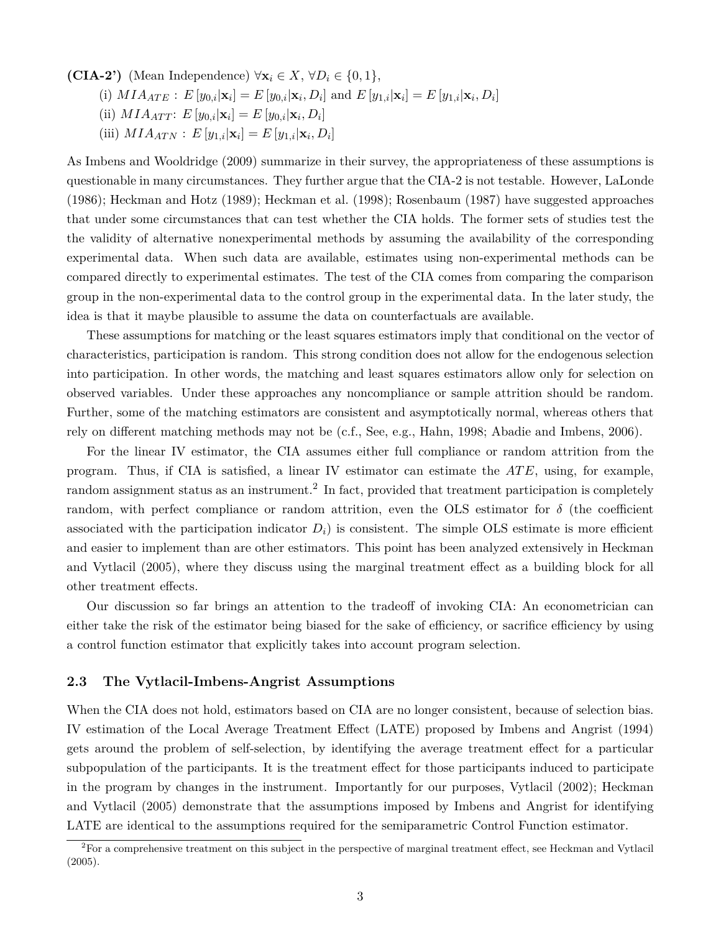**(CIA-2')** (Mean Independence)  $\forall \mathbf{x}_i \in X, \forall D_i \in \{0, 1\},\$ 

(i)  $MIA_{ATE}: E[y_{0,i}|\mathbf{x}_i] = E[y_{0,i}|\mathbf{x}_i, D_i]$  and  $E[y_{1,i}|\mathbf{x}_i] = E[y_{1,i}|\mathbf{x}_i, D_i]$ 

- $(iii)$   $MIA_{ATT}$ :  $E[y_{0,i}|\mathbf{x}_i] = E[y_{0,i}|\mathbf{x}_i, D_i]$
- $(iii)$   $MIA_{ATN}: E[y_{1,i}|\mathbf{x}_i] = E[y_{1,i}|\mathbf{x}_i, D_i]$

As Imbens and Wooldridge (2009) summarize in their survey, the appropriateness of these assumptions is questionable in many circumstances. They further argue that the CIA-2 is not testable. However, LaLonde (1986); Heckman and Hotz (1989); Heckman et al. (1998); Rosenbaum (1987) have suggested approaches that under some circumstances that can test whether the CIA holds. The former sets of studies test the the validity of alternative nonexperimental methods by assuming the availability of the corresponding experimental data. When such data are available, estimates using non-experimental methods can be compared directly to experimental estimates. The test of the CIA comes from comparing the comparison group in the non-experimental data to the control group in the experimental data. In the later study, the idea is that it maybe plausible to assume the data on counterfactuals are available.

These assumptions for matching or the least squares estimators imply that conditional on the vector of characteristics, participation is random. This strong condition does not allow for the endogenous selection into participation. In other words, the matching and least squares estimators allow only for selection on observed variables. Under these approaches any noncompliance or sample attrition should be random. Further, some of the matching estimators are consistent and asymptotically normal, whereas others that rely on different matching methods may not be (c.f., See, e.g., Hahn, 1998; Abadie and Imbens, 2006).

For the linear IV estimator, the CIA assumes either full compliance or random attrition from the program. Thus, if CIA is satisfied, a linear IV estimator can estimate the *AT E*, using, for example, random assignment status as an instrument.<sup>2</sup> In fact, provided that treatment participation is completely random, with perfect compliance or random attrition, even the OLS estimator for  $\delta$  (the coefficient associated with the participation indicator  $D_i$ ) is consistent. The simple OLS estimate is more efficient and easier to implement than are other estimators. This point has been analyzed extensively in Heckman and Vytlacil (2005), where they discuss using the marginal treatment effect as a building block for all other treatment effects.

Our discussion so far brings an attention to the tradeoff of invoking CIA: An econometrician can either take the risk of the estimator being biased for the sake of efficiency, or sacrifice efficiency by using a control function estimator that explicitly takes into account program selection.

#### **2.3 The Vytlacil-Imbens-Angrist Assumptions**

When the CIA does not hold, estimators based on CIA are no longer consistent, because of selection bias. IV estimation of the Local Average Treatment Effect (LATE) proposed by Imbens and Angrist (1994) gets around the problem of self-selection, by identifying the average treatment effect for a particular subpopulation of the participants. It is the treatment effect for those participants induced to participate in the program by changes in the instrument. Importantly for our purposes, Vytlacil (2002); Heckman and Vytlacil (2005) demonstrate that the assumptions imposed by Imbens and Angrist for identifying LATE are identical to the assumptions required for the semiparametric Control Function estimator.

 $2^2$ For a comprehensive treatment on this subject in the perspective of marginal treatment effect, see Heckman and Vytlacil (2005).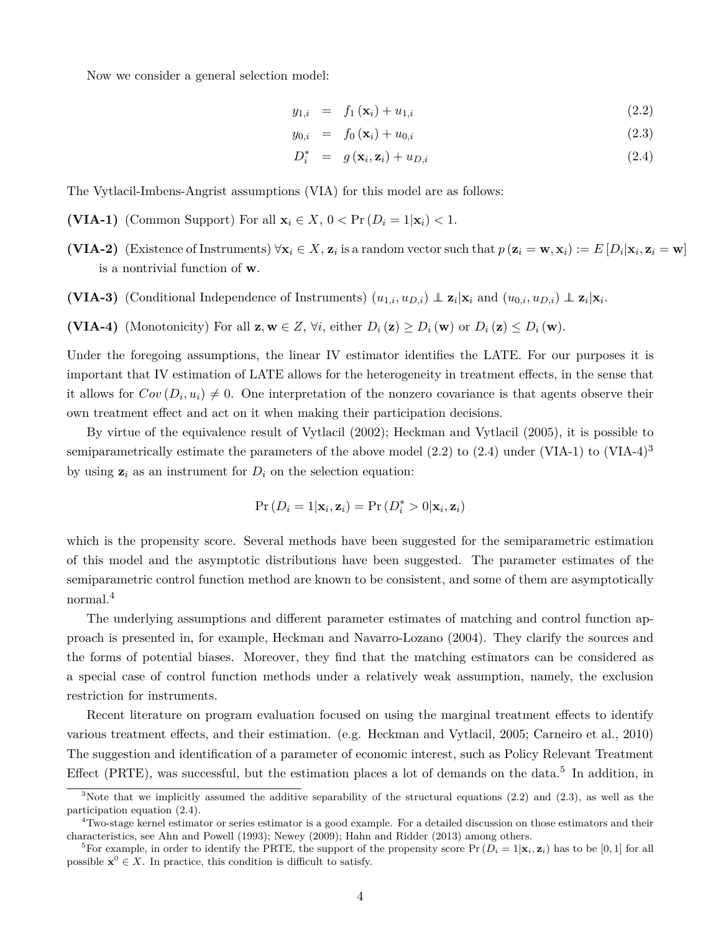Now we consider a general selection model:

$$
y_{1,i} = f_1(\mathbf{x}_i) + u_{1,i} \tag{2.2}
$$

$$
y_{0,i} = f_0(\mathbf{x}_i) + u_{0,i} \tag{2.3}
$$

$$
D_i^* = g(\mathbf{x}_i, \mathbf{z}_i) + u_{D,i} \tag{2.4}
$$

The Vytlacil-Imbens-Angrist assumptions (VIA) for this model are as follows:

- **(VIA-1)** (Common Support) For all  $\mathbf{x}_i \in X$ ,  $0 < \Pr(D_i = 1 | \mathbf{x}_i) < 1$ .
- (VIA-2) (Existence of Instruments)  $\forall \mathbf{x}_i \in X$ ,  $\mathbf{z}_i$  is a random vector such that  $p(\mathbf{z}_i = \mathbf{w}, \mathbf{x}_i) := E[D_i | \mathbf{x}_i, \mathbf{z}_i = \mathbf{w}]$ is a nontrivial function of **w**.
- **(VIA-3)** (Conditional Independence of Instruments)  $(u_{1,i}, u_{D,i}) \perp z_i | \mathbf{x}_i$  and  $(u_{0,i}, u_{D,i}) \perp z_i | \mathbf{x}_i$ .
- **(VIA-4)** (Monotonicity) For all  $\mathbf{z}, \mathbf{w} \in Z$ ,  $\forall i$ , either  $D_i(\mathbf{z}) \ge D_i(\mathbf{w})$  or  $D_i(\mathbf{z}) \le D_i(\mathbf{w})$ .

Under the foregoing assumptions, the linear IV estimator identifies the LATE. For our purposes it is important that IV estimation of LATE allows for the heterogeneity in treatment effects, in the sense that it allows for  $Cov(D_i, u_i) \neq 0$ . One interpretation of the nonzero covariance is that agents observe their own treatment effect and act on it when making their participation decisions.

By virtue of the equivalence result of Vytlacil (2002); Heckman and Vytlacil (2005), it is possible to semiparametrically estimate the parameters of the above model  $(2.2)$  to  $(2.4)$  under (VIA-1) to (VIA-4)<sup>3</sup> by using  $z_i$  as an instrument for  $D_i$  on the selection equation:

$$
Pr(D_i = 1 | \mathbf{x}_i, \mathbf{z}_i) = Pr(D_i^* > 0 | \mathbf{x}_i, \mathbf{z}_i)
$$

which is the propensity score. Several methods have been suggested for the semiparametric estimation of this model and the asymptotic distributions have been suggested. The parameter estimates of the semiparametric control function method are known to be consistent, and some of them are asymptotically normal.<sup>4</sup>

The underlying assumptions and different parameter estimates of matching and control function approach is presented in, for example, Heckman and Navarro-Lozano (2004). They clarify the sources and the forms of potential biases. Moreover, they find that the matching estimators can be considered as a special case of control function methods under a relatively weak assumption, namely, the exclusion restriction for instruments.

Recent literature on program evaluation focused on using the marginal treatment effects to identify various treatment effects, and their estimation. (e.g. Heckman and Vytlacil, 2005; Carneiro et al., 2010) The suggestion and identification of a parameter of economic interest, such as Policy Relevant Treatment Effect (PRTE), was successful, but the estimation places a lot of demands on the data.<sup>5</sup> In addition, in

 $3$ Note that we implicitly assumed the additive separability of the structural equations (2.2) and (2.3), as well as the participation equation (2.4).

<sup>&</sup>lt;sup>4</sup>Two-stage kernel estimator or series estimator is a good example. For a detailed discussion on those estimators and their characteristics, see Ahn and Powell (1993); Newey (2009); Hahn and Ridder (2013) among others.

<sup>&</sup>lt;sup>5</sup>For example, in order to identify the PRTE, the support of the propensity score  $Pr(D_i = 1 | \mathbf{x}_i, \mathbf{z}_i)$  has to be [0, 1] for all possible  $\mathbf{x}^0 \in X$ . In practice, this condition is difficult to satisfy.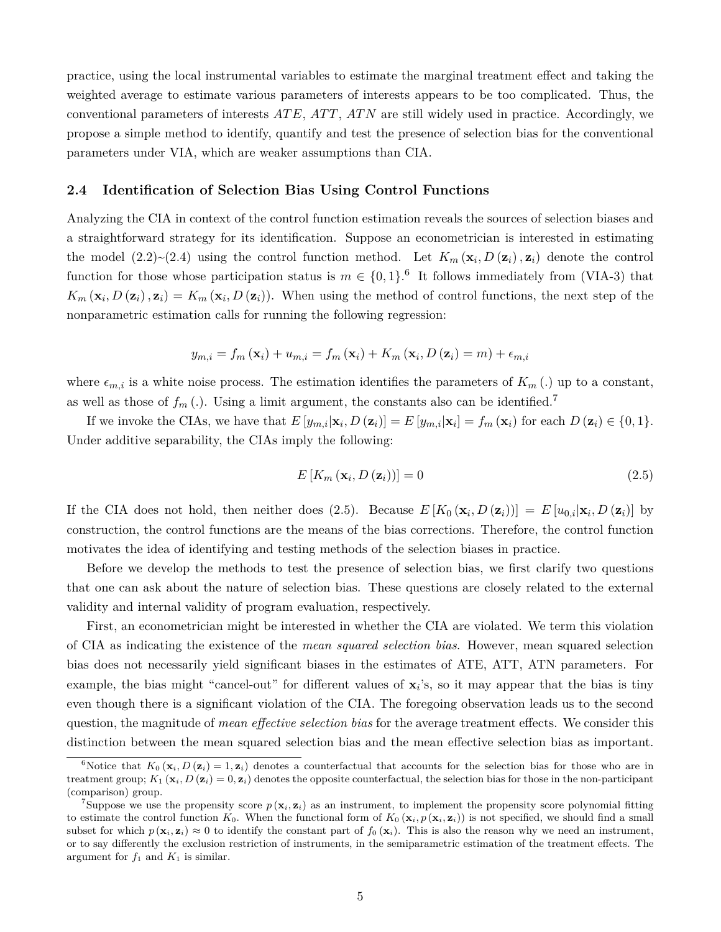practice, using the local instrumental variables to estimate the marginal treatment effect and taking the weighted average to estimate various parameters of interests appears to be too complicated. Thus, the conventional parameters of interests *AT E*, *AT T*, *AT N* are still widely used in practice. Accordingly, we propose a simple method to identify, quantify and test the presence of selection bias for the conventional parameters under VIA, which are weaker assumptions than CIA.

#### **2.4 Identification of Selection Bias Using Control Functions**

Analyzing the CIA in context of the control function estimation reveals the sources of selection biases and a straightforward strategy for its identification. Suppose an econometrician is interested in estimating the model  $(2.2) \sim (2.4)$  using the control function method. Let  $K_m(\mathbf{x}_i, D(\mathbf{z}_i), \mathbf{z}_i)$  denote the control function for those whose participation status is  $m \in \{0,1\}$ .<sup>6</sup> It follows immediately from (VIA-3) that  $K_m(\mathbf{x}_i, D(\mathbf{z}_i), \mathbf{z}_i) = K_m(\mathbf{x}_i, D(\mathbf{z}_i))$ . When using the method of control functions, the next step of the nonparametric estimation calls for running the following regression:

$$
y_{m,i} = f_m(\mathbf{x}_i) + u_{m,i} = f_m(\mathbf{x}_i) + K_m(\mathbf{x}_i, D(\mathbf{z}_i) = m) + \epsilon_{m,i}
$$

where  $\epsilon_{m,i}$  is a white noise process. The estimation identifies the parameters of  $K_m(.)$  up to a constant, as well as those of  $f_m(.)$ . Using a limit argument, the constants also can be identified.<sup>7</sup>

If we invoke the CIAs, we have that  $E[y_{m,i}|\mathbf{x}_i, D(\mathbf{z}_i)] = E[y_{m,i}|\mathbf{x}_i] = f_m(\mathbf{x}_i)$  for each  $D(\mathbf{z}_i) \in \{0,1\}$ . Under additive separability, the CIAs imply the following:

$$
E\left[K_m\left(\mathbf{x}_i, D\left(\mathbf{z}_i\right)\right)\right] = 0\tag{2.5}
$$

If the CIA does not hold, then neither does (2.5). Because  $E[K_0(\mathbf{x}_i, D(\mathbf{z}_i))] = E[u_{0,i}|\mathbf{x}_i, D(\mathbf{z}_i)]$  by construction, the control functions are the means of the bias corrections. Therefore, the control function motivates the idea of identifying and testing methods of the selection biases in practice.

Before we develop the methods to test the presence of selection bias, we first clarify two questions that one can ask about the nature of selection bias. These questions are closely related to the external validity and internal validity of program evaluation, respectively.

First, an econometrician might be interested in whether the CIA are violated. We term this violation of CIA as indicating the existence of the *mean squared selection bias*. However, mean squared selection bias does not necessarily yield significant biases in the estimates of ATE, ATT, ATN parameters. For example, the bias might "cancel-out" for different values of  $x_i$ 's, so it may appear that the bias is tiny even though there is a significant violation of the CIA. The foregoing observation leads us to the second question, the magnitude of *mean effective selection bias* for the average treatment effects. We consider this distinction between the mean squared selection bias and the mean effective selection bias as important.

<sup>&</sup>lt;sup>6</sup>Notice that  $K_0(\mathbf{x}_i, D(\mathbf{z}_i) = 1, \mathbf{z}_i)$  denotes a counterfactual that accounts for the selection bias for those who are in treatment group;  $K_1(\mathbf{x}_i, D(\mathbf{z}_i) = 0, \mathbf{z}_i)$  denotes the opposite counterfactual, the selection bias for those in the non-participant (comparison) group.

<sup>&</sup>lt;sup>7</sup>Suppose we use the propensity score  $p(\mathbf{x}_i, \mathbf{z}_i)$  as an instrument, to implement the propensity score polynomial fitting to estimate the control function  $K_0$ . When the functional form of  $K_0(\mathbf{x}_i, p(\mathbf{x}_i, \mathbf{z}_i))$  is not specified, we should find a small subset for which  $p(\mathbf{x}_i, \mathbf{z}_i) \approx 0$  to identify the constant part of  $f_0(\mathbf{x}_i)$ . This is also the reason why we need an instrument, or to say differently the exclusion restriction of instruments, in the semiparametric estimation of the treatment effects. The argument for  $f_1$  and  $K_1$  is similar.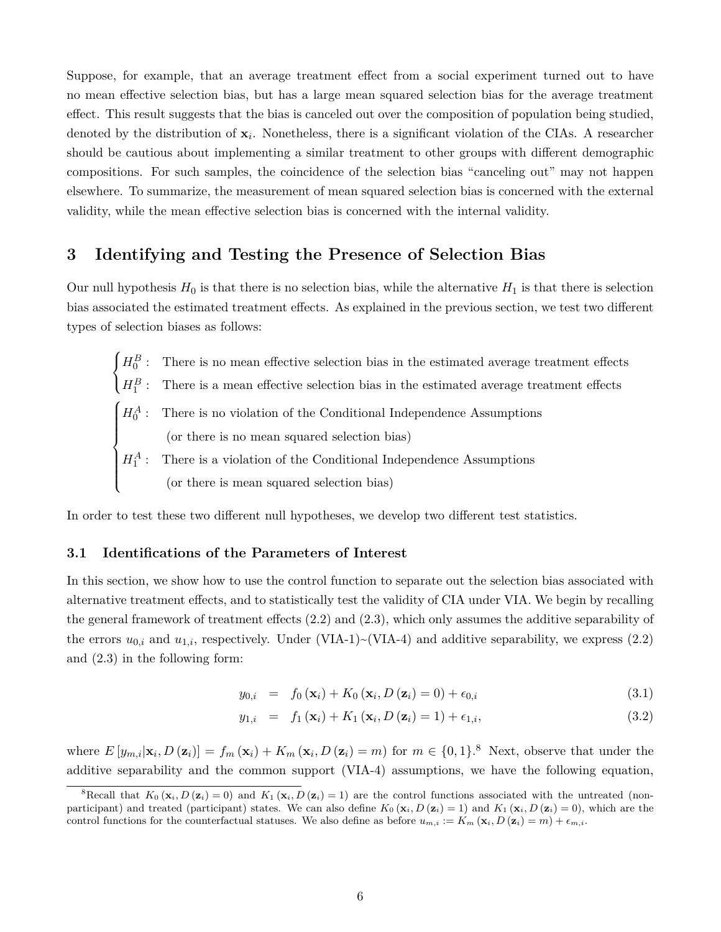Suppose, for example, that an average treatment effect from a social experiment turned out to have no mean effective selection bias, but has a large mean squared selection bias for the average treatment effect. This result suggests that the bias is canceled out over the composition of population being studied, denoted by the distribution of **x***<sup>i</sup>* . Nonetheless, there is a significant violation of the CIAs. A researcher should be cautious about implementing a similar treatment to other groups with different demographic compositions. For such samples, the coincidence of the selection bias "canceling out" may not happen elsewhere. To summarize, the measurement of mean squared selection bias is concerned with the external validity, while the mean effective selection bias is concerned with the internal validity.

## **3 Identifying and Testing the Presence of Selection Bias**

Our null hypothesis  $H_0$  is that there is no selection bias, while the alternative  $H_1$  is that there is selection bias associated the estimated treatment effects. As explained in the previous section, we test two different types of selection biases as follows:

 $\sqrt{ }$  $\int$  $\mathcal{L}$  $H_0^B$ 0 : There is no mean effective selection bias in the estimated average treatment effects  $H_1^B$ 1 : There is a mean effective selection bias in the estimated average treatment effects  $\sqrt{ }$  $\int$  $\overline{\mathcal{L}}$  $H_0^A$ 0 : There is no violation of the Conditional Independence Assumptions (or there is no mean squared selection bias)  $H_1^A$ : There is a violation of the Conditional Independence Assumptions (or there is mean squared selection bias)

In order to test these two different null hypotheses, we develop two different test statistics.

#### **3.1 Identifications of the Parameters of Interest**

In this section, we show how to use the control function to separate out the selection bias associated with alternative treatment effects, and to statistically test the validity of CIA under VIA. We begin by recalling the general framework of treatment effects (2.2) and (2.3), which only assumes the additive separability of the errors  $u_{0,i}$  and  $u_{1,i}$ , respectively. Under (VIA-1)~(VIA-4) and additive separability, we express (2.2) and (2.3) in the following form:

$$
y_{0,i} = f_0(\mathbf{x}_i) + K_0(\mathbf{x}_i, D(\mathbf{z}_i) = 0) + \epsilon_{0,i}
$$
\n(3.1)

$$
y_{1,i} = f_1(\mathbf{x}_i) + K_1(\mathbf{x}_i, D(\mathbf{z}_i) = 1) + \epsilon_{1,i}, \tag{3.2}
$$

where  $E[y_{m,i}|\mathbf{x}_i,D(\mathbf{z}_i)] = f_m(\mathbf{x}_i) + K_m(\mathbf{x}_i,D(\mathbf{z}_i) = m)$  for  $m \in \{0,1\}$ .<sup>8</sup> Next, observe that under the additive separability and the common support (VIA-4) assumptions, we have the following equation,

<sup>&</sup>lt;sup>8</sup>Recall that  $K_0 (\mathbf{x}_i, D(\mathbf{z}_i) = 0)$  and  $K_1 (\mathbf{x}_i, D(\mathbf{z}_i) = 1)$  are the control functions associated with the untreated (nonparticipant) and treated (participant) states. We can also define  $K_0 (\mathbf{x}_i, D (\mathbf{z}_i) = 1)$  and  $K_1 (\mathbf{x}_i, D (\mathbf{z}_i) = 0)$ , which are the control functions for the counterfactual statuses. We also define as before  $u_{m,i} := K_m(\mathbf{x}_i, D(\mathbf{z}_i) = m) + \epsilon_{m,i}$ .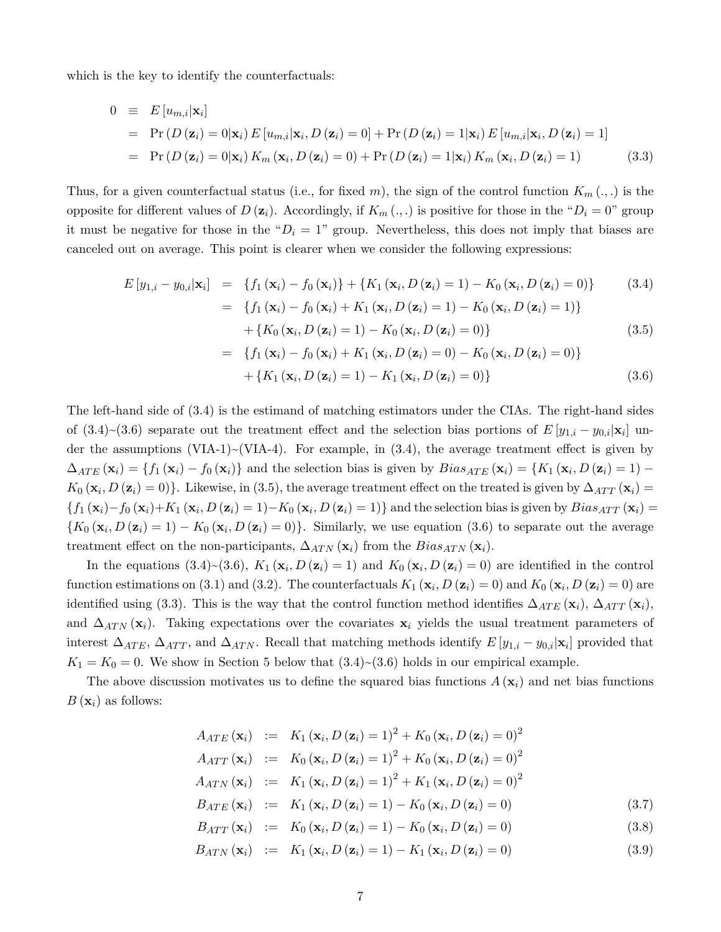which is the key to identify the counterfactuals:

$$
0 \equiv E[u_{m,i}|\mathbf{x}_i]
$$
  
\n
$$
= \Pr(D(\mathbf{z}_i) = 0|\mathbf{x}_i) E[u_{m,i}|\mathbf{x}_i, D(\mathbf{z}_i) = 0] + \Pr(D(\mathbf{z}_i) = 1|\mathbf{x}_i) E[u_{m,i}|\mathbf{x}_i, D(\mathbf{z}_i) = 1]
$$
  
\n
$$
= \Pr(D(\mathbf{z}_i) = 0|\mathbf{x}_i) K_m(\mathbf{x}_i, D(\mathbf{z}_i) = 0) + \Pr(D(\mathbf{z}_i) = 1|\mathbf{x}_i) K_m(\mathbf{x}_i, D(\mathbf{z}_i) = 1)
$$
(3.3)

Thus, for a given counterfactual status (i.e., for fixed *m*), the sign of the control function  $K_m(\cdot, \cdot)$  is the opposite for different values of  $D(\mathbf{z}_i)$ . Accordingly, if  $K_m(\cdot, \cdot)$  is positive for those in the " $D_i = 0$ " group it must be negative for those in the " $D_i = 1$ " group. Nevertheless, this does not imply that biases are canceled out on average. This point is clearer when we consider the following expressions:

$$
E[y_{1,i} - y_{0,i}|\mathbf{x}_i] = \{f_1(\mathbf{x}_i) - f_0(\mathbf{x}_i)\} + \{K_1(\mathbf{x}_i, D(\mathbf{z}_i) = 1) - K_0(\mathbf{x}_i, D(\mathbf{z}_i) = 0)\}
$$
(3.4)  

$$
= \{f_1(\mathbf{x}_i) - f_0(\mathbf{x}_i) + K_1(\mathbf{x}_i, D(\mathbf{z}_i) = 1) - K_0(\mathbf{x}_i, D(\mathbf{z}_i) = 1)\}
$$

$$
+ \{K_0(\mathbf{x}_i, D(\mathbf{z}_i) = 1) - K_0(\mathbf{x}_i, D(\mathbf{z}_i) = 0)\}
$$
(3.5)

$$
= \{f_1(\mathbf{x}_i) - f_0(\mathbf{x}_i) + K_1(\mathbf{x}_i, D(\mathbf{z}_i) = 0) - K_0(\mathbf{x}_i, D(\mathbf{z}_i) = 0)\}+ \{K_1(\mathbf{x}_i, D(\mathbf{z}_i) = 1) - K_1(\mathbf{x}_i, D(\mathbf{z}_i) = 0)\}\
$$
(3.6)

The left-hand side of (3.4) is the estimand of matching estimators under the CIAs. The right-hand sides of  $(3.4) \sim (3.6)$  separate out the treatment effect and the selection bias portions of  $E[y_{1,i} - y_{0,i}|\mathbf{x}_i]$  under the assumptions (VIA-1) $\sim$ (VIA-4). For example, in (3.4), the average treatment effect is given by  $\Delta_{ATE}(\mathbf{x}_i) = \{f_1(\mathbf{x}_i) - f_0(\mathbf{x}_i)\}\$ and the selection bias is given by  $Bias_{ATE}(\mathbf{x}_i) = \{K_1(\mathbf{x}_i, D(\mathbf{z}_i) = 1) K_0$  (**x**<sub>*i*</sub>, *D* (**z**<sub>*i*</sub>) = 0)}. Likewise, in (3.5), the average treatment effect on the treated is given by  $\Delta_{ATT}$  (**x**<sub>*i*</sub>) =  $\{f_1(\mathbf{x}_i) - f_0(\mathbf{x}_i) + K_1(\mathbf{x}_i, D(\mathbf{z}_i) = 1) - K_0(\mathbf{x}_i, D(\mathbf{z}_i) = 1)\}\$  and the selection bias is given by  $Bias_{ATT}(\mathbf{x}_i) =$  ${K_0 (\mathbf{x}_i, D(\mathbf{z}_i) = 1) - K_0 (\mathbf{x}_i, D(\mathbf{z}_i) = 0)}$ . Similarly, we use equation (3.6) to separate out the average treatment effect on the non-participants,  $\Delta_{ATN}$  ( $\mathbf{x}_i$ ) from the *Bias<sub>ATN</sub>* ( $\mathbf{x}_i$ ).

In the equations (3.4)~(3.6),  $K_1(\mathbf{x}_i, D(\mathbf{z}_i) = 1)$  and  $K_0(\mathbf{x}_i, D(\mathbf{z}_i) = 0)$  are identified in the control function estimations on (3.1) and (3.2). The counterfactuals  $K_1(\mathbf{x}_i, D(\mathbf{z}_i) = 0)$  and  $K_0(\mathbf{x}_i, D(\mathbf{z}_i) = 0)$  are identified using (3.3). This is the way that the control function method identifies  $\Delta_{ATE}(\mathbf{x}_i)$ ,  $\Delta_{ATT}(\mathbf{x}_i)$ , and  $\Delta_{ATN}(\mathbf{x}_i)$ . Taking expectations over the covariates  $\mathbf{x}_i$  yields the usual treatment parameters of interest  $\Delta_{ATE}$ ,  $\Delta_{ATT}$ , and  $\Delta_{ATN}$ . Recall that matching methods identify  $E[y_{1,i} - y_{0,i}|\mathbf{x}_i]$  provided that  $K_1 = K_0 = 0$ . We show in Section 5 below that  $(3.4) \sim (3.6)$  holds in our empirical example.

The above discussion motivates us to define the squared bias functions  $A(\mathbf{x}_i)$  and net bias functions  $B(\mathbf{x}_i)$  as follows:

$$
A_{ATE}(\mathbf{x}_i) := K_1(\mathbf{x}_i, D(\mathbf{z}_i) = 1)^2 + K_0(\mathbf{x}_i, D(\mathbf{z}_i) = 0)^2
$$
  
\n
$$
A_{ATT}(\mathbf{x}_i) := K_0(\mathbf{x}_i, D(\mathbf{z}_i) = 1)^2 + K_0(\mathbf{x}_i, D(\mathbf{z}_i) = 0)^2
$$
  
\n
$$
A_{ATN}(\mathbf{x}_i) := K_1(\mathbf{x}_i, D(\mathbf{z}_i) = 1)^2 + K_1(\mathbf{x}_i, D(\mathbf{z}_i) = 0)^2
$$
  
\n
$$
B_{ATE}(\mathbf{x}_i) := K_1(\mathbf{x}_i, D(\mathbf{z}_i) = 1) - K_0(\mathbf{x}_i, D(\mathbf{z}_i) = 0)
$$
  
\n
$$
B_{ATT}(\mathbf{x}_i) := K_0(\mathbf{x}_i, D(\mathbf{z}_i) = 1) - K_0(\mathbf{x}_i, D(\mathbf{z}_i) = 0)
$$
  
\n(3.8)

$$
B_{ATN}(\mathbf{x}_{i}) := K_{1}(\mathbf{x}_{i}, D(\mathbf{z}_{i}) = 1) - K_{1}(\mathbf{x}_{i}, D(\mathbf{z}_{i}) = 0)
$$
\n(3.9)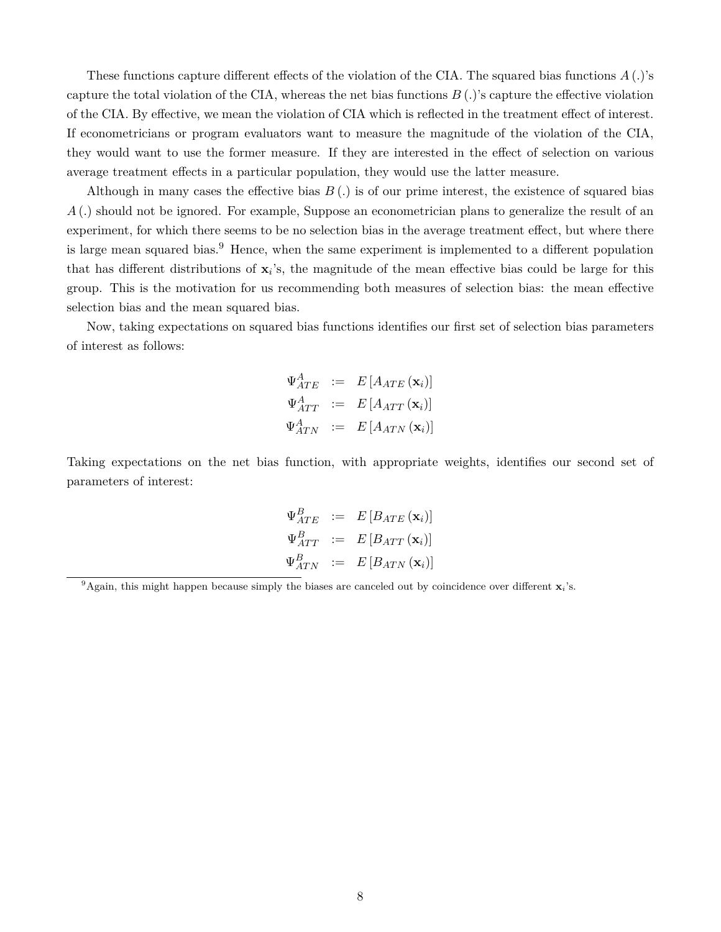These functions capture different effects of the violation of the CIA. The squared bias functions *A* (*.*)'s capture the total violation of the CIA, whereas the net bias functions  $B(.)$ 's capture the effective violation of the CIA. By effective, we mean the violation of CIA which is reflected in the treatment effect of interest. If econometricians or program evaluators want to measure the magnitude of the violation of the CIA, they would want to use the former measure. If they are interested in the effect of selection on various average treatment effects in a particular population, they would use the latter measure.

Although in many cases the effective bias *B* (*.*) is of our prime interest, the existence of squared bias *A* (*.*) should not be ignored. For example, Suppose an econometrician plans to generalize the result of an experiment, for which there seems to be no selection bias in the average treatment effect, but where there is large mean squared bias.<sup>9</sup> Hence, when the same experiment is implemented to a different population that has different distributions of  $x_i$ 's, the magnitude of the mean effective bias could be large for this group. This is the motivation for us recommending both measures of selection bias: the mean effective selection bias and the mean squared bias.

Now, taking expectations on squared bias functions identifies our first set of selection bias parameters of interest as follows:

$$
\Psi_{ATE}^{A} := E\left[A_{ATE}\left(\mathbf{x}_{i}\right)\right]
$$
\n
$$
\Psi_{ATT}^{A} := E\left[A_{ATT}\left(\mathbf{x}_{i}\right)\right]
$$
\n
$$
\Psi_{ATN}^{A} := E\left[A_{ATN}\left(\mathbf{x}_{i}\right)\right]
$$

Taking expectations on the net bias function, with appropriate weights, identifies our second set of parameters of interest:

$$
\Psi_{ATE}^{B} := E\left[B_{ATE}(\mathbf{x}_{i})\right]
$$

$$
\Psi_{ATT}^{B} := E\left[B_{ATT}(\mathbf{x}_{i})\right]
$$

$$
\Psi_{ATN}^{B} := E\left[B_{ATN}(\mathbf{x}_{i})\right]
$$

<sup>9</sup>Again, this might happen because simply the biases are canceled out by coincidence over different **x***i*'s.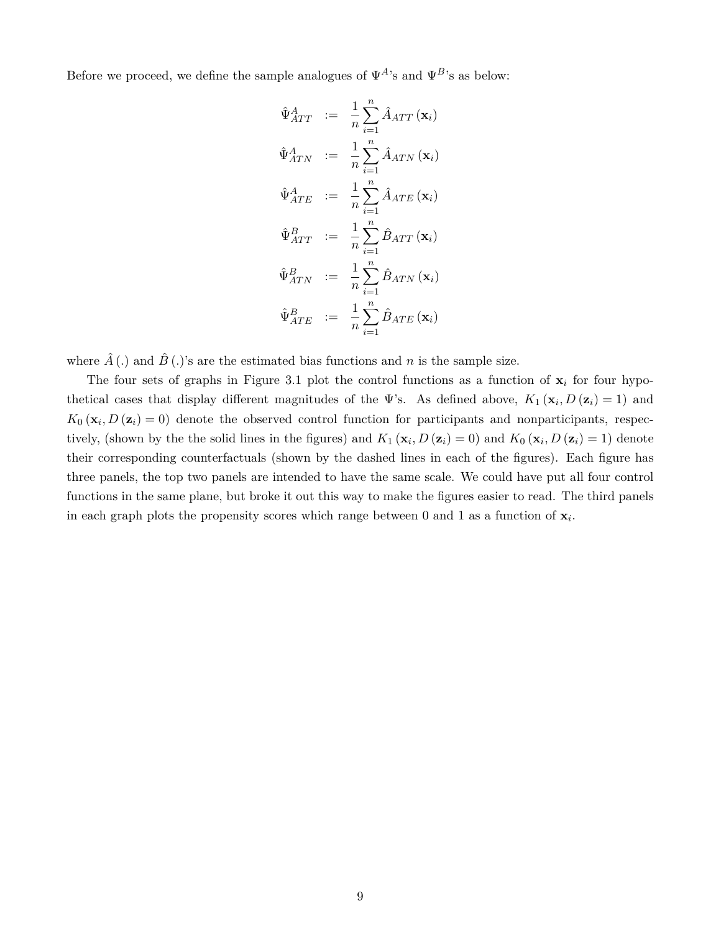Before we proceed, we define the sample analogues of  $\Psi^{A}$ 's and  $\Psi^{B}$ 's as below:

$$
\hat{\Psi}_{ATT}^{A} := \frac{1}{n} \sum_{i=1}^{n} \hat{A}_{ATT} (\mathbf{x}_{i})
$$
\n
$$
\hat{\Psi}_{ATN}^{A} := \frac{1}{n} \sum_{i=1}^{n} \hat{A}_{ATN} (\mathbf{x}_{i})
$$
\n
$$
\hat{\Psi}_{ATE}^{A} := \frac{1}{n} \sum_{i=1}^{n} \hat{A}_{ATE} (\mathbf{x}_{i})
$$
\n
$$
\hat{\Psi}_{ATT}^{B} := \frac{1}{n} \sum_{i=1}^{n} \hat{B}_{ATT} (\mathbf{x}_{i})
$$
\n
$$
\hat{\Psi}_{ATN}^{B} := \frac{1}{n} \sum_{i=1}^{n} \hat{B}_{ATN} (\mathbf{x}_{i})
$$
\n
$$
\hat{\Psi}_{ATE}^{B} := \frac{1}{n} \sum_{i=1}^{n} \hat{B}_{ATE} (\mathbf{x}_{i})
$$

where  $\hat{A}$  (.) and  $\hat{B}$  (.)'s are the estimated bias functions and *n* is the sample size.

The four sets of graphs in Figure 3.1 plot the control functions as a function of  $x_i$  for four hypothetical cases that display different magnitudes of the  $\Psi$ 's. As defined above,  $K_1(\mathbf{x}_i, D(\mathbf{z}_i) = 1)$  and  $K_0$  ( $\mathbf{x}_i$ ,  $D$  ( $\mathbf{z}_i$ ) = 0) denote the observed control function for participants and nonparticipants, respectively, (shown by the the solid lines in the figures) and  $K_1(\mathbf{x}_i, D(\mathbf{z}_i) = 0)$  and  $K_0(\mathbf{x}_i, D(\mathbf{z}_i) = 1)$  denote their corresponding counterfactuals (shown by the dashed lines in each of the figures). Each figure has three panels, the top two panels are intended to have the same scale. We could have put all four control functions in the same plane, but broke it out this way to make the figures easier to read. The third panels in each graph plots the propensity scores which range between  $0$  and  $1$  as a function of  $\mathbf{x}_i$ .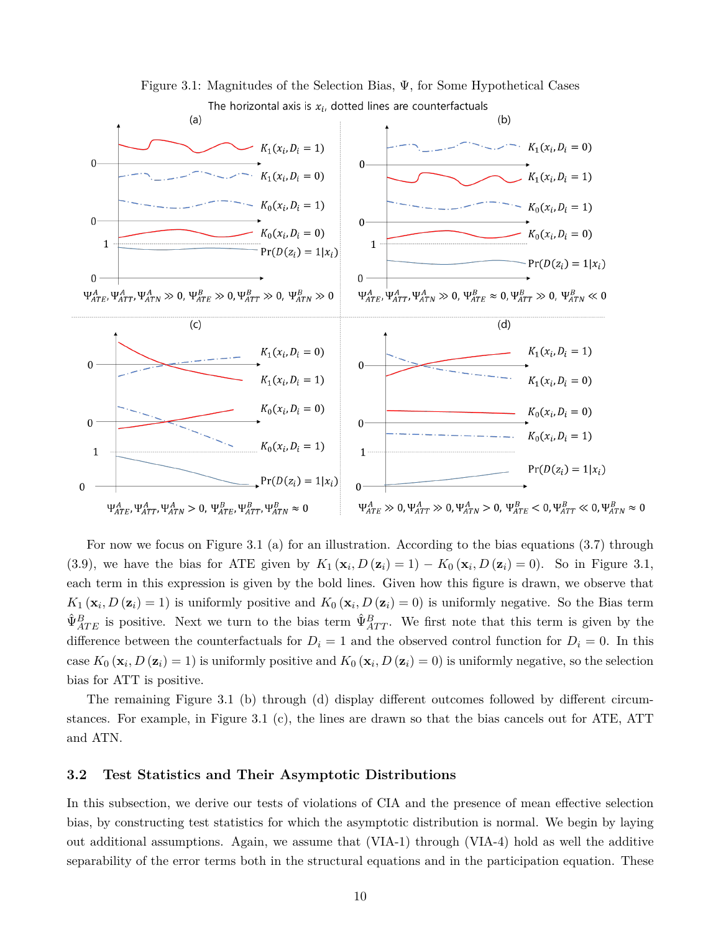

For now we focus on Figure 3.1 (a) for an illustration. According to the bias equations (3.7) through (3.9), we have the bias for ATE given by  $K_1(\mathbf{x}_i, D(\mathbf{z}_i) = 1) - K_0(\mathbf{x}_i, D(\mathbf{z}_i) = 0)$ . So in Figure 3.1, each term in this expression is given by the bold lines. Given how this figure is drawn, we observe that  $K_1(\mathbf{x}_i, D(\mathbf{z}_i) = 1)$  is uniformly positive and  $K_0(\mathbf{x}_i, D(\mathbf{z}_i) = 0)$  is uniformly negative. So the Bias term  $\hat{\Psi}_{ATE}^B$  is positive. Next we turn to the bias term  $\hat{\Psi}_{ATT}^B$ . We first note that this term is given by the difference between the counterfactuals for  $D_i = 1$  and the observed control function for  $D_i = 0$ . In this case  $K_0(\mathbf{x}_i, D(\mathbf{z}_i) = 1)$  is uniformly positive and  $K_0(\mathbf{x}_i, D(\mathbf{z}_i) = 0)$  is uniformly negative, so the selection bias for ATT is positive.

The remaining Figure 3.1 (b) through (d) display different outcomes followed by different circumstances. For example, in Figure 3.1 (c), the lines are drawn so that the bias cancels out for ATE, ATT and ATN.

#### **3.2 Test Statistics and Their Asymptotic Distributions**

In this subsection, we derive our tests of violations of CIA and the presence of mean effective selection bias, by constructing test statistics for which the asymptotic distribution is normal. We begin by laying out additional assumptions. Again, we assume that (VIA-1) through (VIA-4) hold as well the additive separability of the error terms both in the structural equations and in the participation equation. These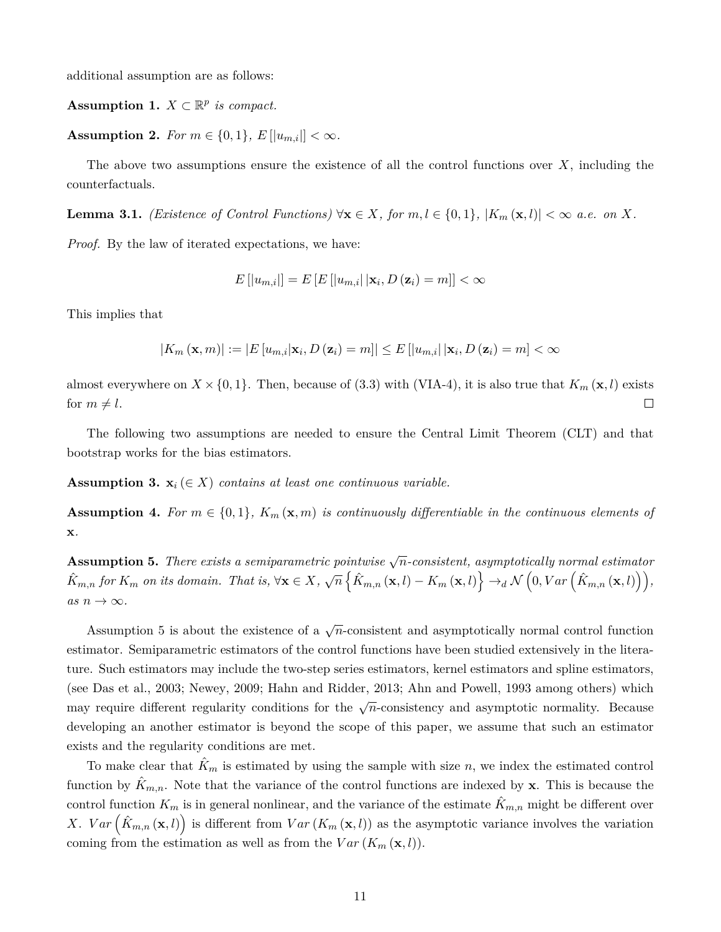additional assumption are as follows:

Assumption 1.  $X \subset \mathbb{R}^p$  *is compact.* 

**Assumption 2.** *For*  $m \in \{0, 1\}$ ,  $E[|u_{m,i}|] < \infty$ .

The above two assumptions ensure the existence of all the control functions over *X*, including the counterfactuals.

**Lemma 3.1.** *(Existence of Control Functions)*  $\forall$ **x**  $\in$  *X, for*  $m, l \in \{0, 1\}$ *,*  $|K_m(\mathbf{x}, l)| < \infty$  *a.e. on X.* 

*Proof.* By the law of iterated expectations, we have:

$$
E\left[ |u_{m,i}| \right] = E\left[ E\left[ |u_{m,i}| \, \middle| \mathbf{x}_i, D\left(\mathbf{z}_i\right) = m \right] \right] < \infty
$$

This implies that

$$
|K_m(\mathbf{x},m)| := |E[u_{m,i}|\mathbf{x}_i,D(\mathbf{z}_i)=m]| \leq E\left[|u_{m,i}|\left|\mathbf{x}_i,D(\mathbf{z}_i)=m\right|\right] < \infty
$$

almost everywhere on  $X \times \{0, 1\}$ . Then, because of (3.3) with (VIA-4), it is also true that  $K_m(\mathbf{x}, l)$  exists for  $m \neq l$ .  $\Box$ 

The following two assumptions are needed to ensure the Central Limit Theorem (CLT) and that bootstrap works for the bias estimators.

**Assumption 3.**  $\mathbf{x}_i \in X$  *contains at least one continuous variable.* 

**Assumption 4.** For  $m \in \{0,1\}$ ,  $K_m(\mathbf{x}, m)$  is continuously differentiable in the continuous elements of **x***.*

**Assumption 5.** *There exists a semiparametric pointwise* <sup>√</sup> *n-consistent, asymptotically normal estimator*  $\hat{K}_{m,n}$  for  $K_m$  on its domain. That is,  $\forall \mathbf{x} \in X$ ,  $\sqrt{n} \left\{ \hat{K}_{m,n}(\mathbf{x},l) - K_m(\mathbf{x},l) \right\} \rightarrow_d \mathcal{N}\left(0,Var\left(\hat{K}_{m,n}(\mathbf{x},l)\right)\right),$  $as n \to \infty$ .

Assumption 5 is about the existence of a  $\sqrt{n}$ -consistent and asymptotically normal control function estimator. Semiparametric estimators of the control functions have been studied extensively in the literature. Such estimators may include the two-step series estimators, kernel estimators and spline estimators, (see Das et al., 2003; Newey, 2009; Hahn and Ridder, 2013; Ahn and Powell, 1993 among others) which may require different regularity conditions for the  $\sqrt{n}$ -consistency and asymptotic normality. Because developing an another estimator is beyond the scope of this paper, we assume that such an estimator exists and the regularity conditions are met.

To make clear that  $\hat{K}_m$  is estimated by using the sample with size *n*, we index the estimated control function by  $K_{m,n}$ . Note that the variance of the control functions are indexed by **x**. This is because the control function  $K_m$  is in general nonlinear, and the variance of the estimate  $\hat{K}_{m,n}$  might be different over X. *Var*  $(\hat{K}_{m,n}(\mathbf{x},l))$  is different from  $Var(K_m(\mathbf{x},l))$  as the asymptotic variance involves the variation coming from the estimation as well as from the  $Var(K_m(\mathbf{x}, l)).$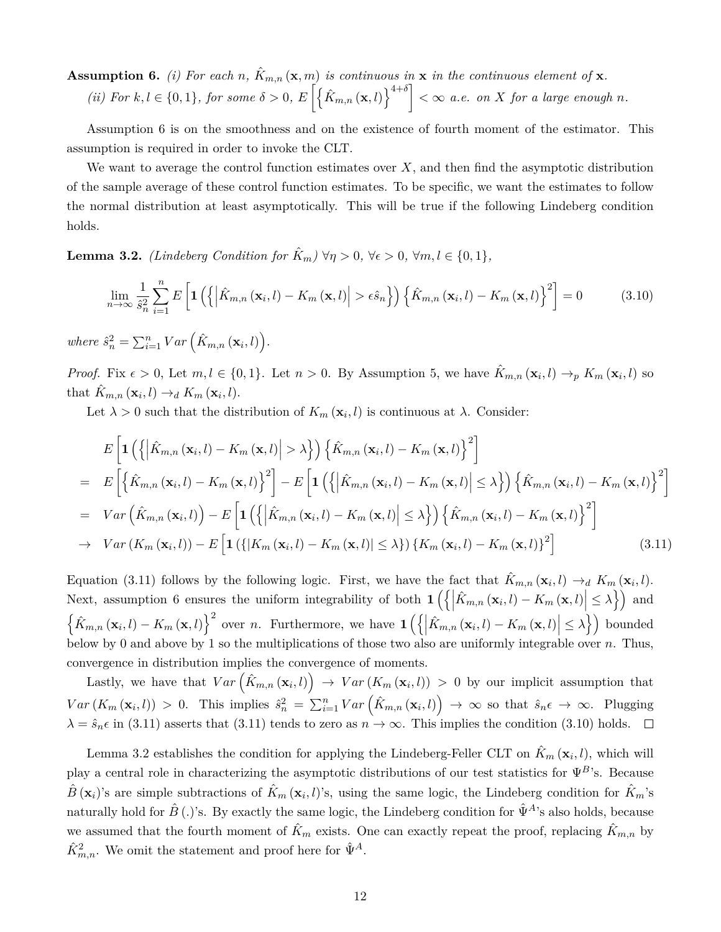**Assumption 6.** *(i)* For each *n*,  $\hat{K}_{m,n}(\mathbf{x}, m)$  *is continuous in* **x** *in the continuous element of* **x***. (ii)* For  $k, l \in \{0, 1\}$ , for some  $\delta > 0$ ,  $E\left[\left\{\hat{K}_{m,n}(\mathbf{x}, l)\right\}^{4+\delta}\right] < \infty$  a.e. on X for a large enough n.

Assumption 6 is on the smoothness and on the existence of fourth moment of the estimator. This assumption is required in order to invoke the CLT.

We want to average the control function estimates over *X*, and then find the asymptotic distribution of the sample average of these control function estimates. To be specific, we want the estimates to follow the normal distribution at least asymptotically. This will be true if the following Lindeberg condition holds.

**Lemma 3.2.** *(Lindeberg Condition for*  $\hat{K}_m$ )  $\forall \eta > 0$ ,  $\forall \epsilon > 0$ ,  $\forall m, l \in \{0, 1\}$ ,

$$
\lim_{n \to \infty} \frac{1}{\hat{s}_n^2} \sum_{i=1}^n E\left[ \mathbf{1}\left( \left\{ \left| \hat{K}_{m,n}\left(\mathbf{x}_i, l\right) - K_m\left(\mathbf{x}, l\right) \right| > \epsilon \hat{s}_n \right\} \right) \left\{ \hat{K}_{m,n}\left(\mathbf{x}_i, l\right) - K_m\left(\mathbf{x}, l\right) \right\}^2 \right] = 0 \tag{3.10}
$$

 $where \hat{s}_n^2 = \sum_{i=1}^n Var\left(\hat{K}_{m,n}(\mathbf{x}_i, l)\right).$ 

*Proof.* Fix  $\epsilon > 0$ , Let  $m, l \in \{0, 1\}$ . Let  $n > 0$ . By Assumption 5, we have  $\hat{K}_{m,n}(\mathbf{x}_i, l) \to_p K_m(\mathbf{x}_i, l)$  so that  $\hat{K}_{m,n}(\mathbf{x}_i, l) \rightarrow_d K_m(\mathbf{x}_i, l)$ .

Let  $\lambda > 0$  such that the distribution of  $K_m(\mathbf{x}_i, l)$  is continuous at  $\lambda$ . Consider:

$$
E\left[\mathbf{1}\left(\left\{\left|\hat{K}_{m,n}\left(\mathbf{x}_{i},l\right)-K_{m}\left(\mathbf{x},l\right)\right|>\lambda\right\}\right)\left\{\hat{K}_{m,n}\left(\mathbf{x}_{i},l\right)-K_{m}\left(\mathbf{x},l\right)\right\}^{2}\right]
$$
\n
$$
= E\left[\left\{\hat{K}_{m,n}\left(\mathbf{x}_{i},l\right)-K_{m}\left(\mathbf{x},l\right)\right\}^{2}\right]-E\left[\mathbf{1}\left(\left\{\left|\hat{K}_{m,n}\left(\mathbf{x}_{i},l\right)-K_{m}\left(\mathbf{x},l\right)\right|<\lambda\right\}\right)\left\{\hat{K}_{m,n}\left(\mathbf{x}_{i},l\right)-K_{m}\left(\mathbf{x},l\right)\right\}^{2}\right]
$$
\n
$$
= Var\left(\hat{K}_{m,n}\left(\mathbf{x}_{i},l\right)\right)-E\left[\mathbf{1}\left(\left\{\left|\hat{K}_{m,n}\left(\mathbf{x}_{i},l\right)-K_{m}\left(\mathbf{x},l\right)\right|<\lambda\right\}\right)\left\{\hat{K}_{m,n}\left(\mathbf{x}_{i},l\right)-K_{m}\left(\mathbf{x},l\right)\right\}^{2}\right]
$$
\n
$$
\rightarrow Var\left(K_{m}\left(\mathbf{x}_{i},l\right)\right)-E\left[\mathbf{1}\left(\left\{\left|K_{m}\left(\mathbf{x}_{i},l\right)-K_{m}\left(\mathbf{x},l\right)\right|\leq\lambda\right\}\right)\left\{K_{m}\left(\mathbf{x}_{i},l\right)-K_{m}\left(\mathbf{x},l\right)\right\}^{2}\right]
$$
\n
$$
(3.11)
$$

Equation (3.11) follows by the following logic. First, we have the fact that  $\hat{K}_{m,n}(\mathbf{x}_i, l) \to_d K_m(\mathbf{x}_i, l)$ . Next, assumption 6 ensures the uniform integrability of both  $\mathbf{1} \left( \left\{ \left| \hat{K}_{m,n} \left( \mathbf{x}_i, l \right) - K_m \left( \mathbf{x}, l \right) \right| \leq \lambda \right\} \right)$  and  $\left\{\hat{K}_{m,n}(\mathbf{x}_i,l) - K_m(\mathbf{x},l)\right\}^2$  over n. Furthermore, we have  $\mathbf{1}\left(\left\{\left|\hat{K}_{m,n}(\mathbf{x}_i,l) - K_m(\mathbf{x},l)\right| \leq \lambda\right\}\right)$  bounded below by 0 and above by 1 so the multiplications of those two also are uniformly integrable over *n*. Thus, convergence in distribution implies the convergence of moments.

Lastly, we have that  $Var\left(\hat{K}_{m,n}(\mathbf{x}_i, l)\right) \rightarrow Var\left(K_m(\mathbf{x}_i, l)\right) > 0$  by our implicit assumption that  $Var(K_m(\mathbf{x}_i,l)) > 0$ . This implies  $\hat{s}_n^2 = \sum_{i=1}^n Var(\hat{K}_{m,n}(\mathbf{x}_i,l)) \to \infty$  so that  $\hat{s}_n \in \to \infty$ . Plugging  $\lambda = \hat{s}_n \epsilon$  in (3.11) asserts that (3.11) tends to zero as  $n \to \infty$ . This implies the condition (3.10) holds.  $\square$ 

Lemma 3.2 establishes the condition for applying the Lindeberg-Feller CLT on  $\hat{K}_m(\mathbf{x}_i, l)$ , which will play a central role in characterizing the asymptotic distributions of our test statistics for Ψ*B*'s. Because  $\hat{B}(\mathbf{x}_i)$ 's are simple subtractions of  $\hat{K}_m(\mathbf{x}_i, l)$ 's, using the same logic, the Lindeberg condition for  $\hat{K}_m$ 's naturally hold for  $\hat{B}$  (*.*)'s. By exactly the same logic, the Lindeberg condition for  $\hat{\Psi}^{A}$ 's also holds, because we assumed that the fourth moment of  $\hat{K}_m$  exists. One can exactly repeat the proof, replacing  $\hat{K}_{m,n}$  by  $\hat{K}_{m,n}^2$ . We omit the statement and proof here for  $\hat{\Psi}^A$ .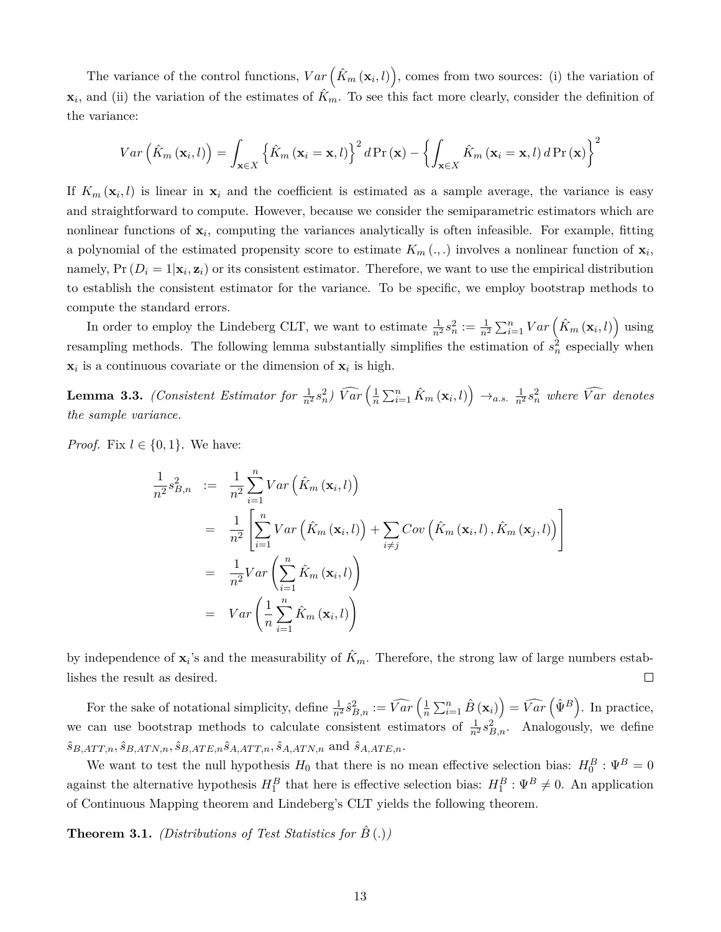The variance of the control functions,  $Var\left(\hat{K}_m(\mathbf{x}_i, l)\right)$ , comes from two sources: (i) the variation of  $\mathbf{x}_i$ , and (ii) the variation of the estimates of  $\hat{K}_m$ . To see this fact more clearly, consider the definition of the variance:

$$
Var\left(\hat{K}_m\left(\mathbf{x}_i,l\right)\right) = \int_{\mathbf{x}\in X} \left\{\hat{K}_m\left(\mathbf{x}_i = \mathbf{x},l\right)\right\}^2 d\Pr\left(\mathbf{x}\right) - \left\{\int_{\mathbf{x}\in X} \hat{K}_m\left(\mathbf{x}_i = \mathbf{x},l\right) d\Pr\left(\mathbf{x}\right)\right\}^2
$$

If  $K_m(\mathbf{x}_i, l)$  is linear in  $\mathbf{x}_i$  and the coefficient is estimated as a sample average, the variance is easy and straightforward to compute. However, because we consider the semiparametric estimators which are nonlinear functions of **x***<sup>i</sup>* , computing the variances analytically is often infeasible. For example, fitting a polynomial of the estimated propensity score to estimate  $K_m(\cdot, \cdot)$  involves a nonlinear function of  $\mathbf{x}_i$ , namely,  $Pr(D_i = 1 | \mathbf{x}_i, \mathbf{z}_i)$  or its consistent estimator. Therefore, we want to use the empirical distribution to establish the consistent estimator for the variance. To be specific, we employ bootstrap methods to compute the standard errors.

In order to employ the Lindeberg CLT, we want to estimate  $\frac{1}{n^2} s_n^2 := \frac{1}{n^2} \sum_{i=1}^n Var\left(\hat{K}_m(\mathbf{x}_i, l)\right)$  using resampling methods. The following lemma substantially simplifies the estimation of  $s_n^2$  especially when  $\mathbf{x}_i$  is a continuous covariate or the dimension of  $\mathbf{x}_i$  is high.

 $\bf{Lemma 3.3.}$  *(Consistent Estimator for*  $\frac{1}{n^2} s_n^2$ )  $\widehat{Var}\left(\frac{1}{n}\right)$  $\frac{1}{n}\sum_{i=1}^{n} \hat{K}_m(\mathbf{x}_i, l)$   $\rightarrow$ *a.s.*  $\frac{1}{n^2} s_n^2$  where  $\widehat{Var}$  denotes *the sample variance.*

*Proof.* Fix  $l \in \{0, 1\}$ . We have:

$$
\frac{1}{n^2} s_{B,n}^2 := \frac{1}{n^2} \sum_{i=1}^n Var\left(\hat{K}_m(\mathbf{x}_i, l)\right)
$$
\n
$$
= \frac{1}{n^2} \left[ \sum_{i=1}^n Var\left(\hat{K}_m(\mathbf{x}_i, l)\right) + \sum_{i \neq j} Cov\left(\hat{K}_m(\mathbf{x}_i, l), \hat{K}_m(\mathbf{x}_j, l)\right) \right]
$$
\n
$$
= \frac{1}{n^2} Var\left(\sum_{i=1}^n \hat{K}_m(\mathbf{x}_i, l)\right)
$$
\n
$$
= Var\left(\frac{1}{n} \sum_{i=1}^n \hat{K}_m(\mathbf{x}_i, l)\right)
$$

by independence of  $\mathbf{x}_i$ 's and the measurability of  $\hat{K}_m$ . Therefore, the strong law of large numbers establishes the result as desired.  $\Box$ 

For the sake of notational simplicity, define  $\frac{1}{n^2} \hat{s}_{B,n}^2 := \widehat{Var} \left( \frac{1}{n} \right)$  $\frac{1}{n}\sum_{i=1}^{n}\hat{B}\left(\mathbf{x}_{i}\right) = \widehat{Var}\left(\hat{\Psi}^{B}\right)$ . In practice, we can use bootstrap methods to calculate consistent estimators of  $\frac{1}{n^2} s_{B,n}^2$ . Analogously, we define  $\hat{s}_{B,ATT,n}, \hat{s}_{B,ATN,n}, \hat{s}_{B,ATE,n}\hat{s}_{A,ATT,n}, \hat{s}_{A,ATN,n}$  and  $\hat{s}_{A,ATE,n}$ .

We want to test the null hypothesis  $H_0$  that there is no mean effective selection bias:  $H_0^B: \Psi^B = 0$ against the alternative hypothesis  $H_1^B$  that here is effective selection bias:  $H_1^B: \Psi^B \neq 0$ . An application of Continuous Mapping theorem and Lindeberg's CLT yields the following theorem.

**Theorem 3.1.** *(Distributions of Test Statistics for*  $\hat{B}$  (*.)*)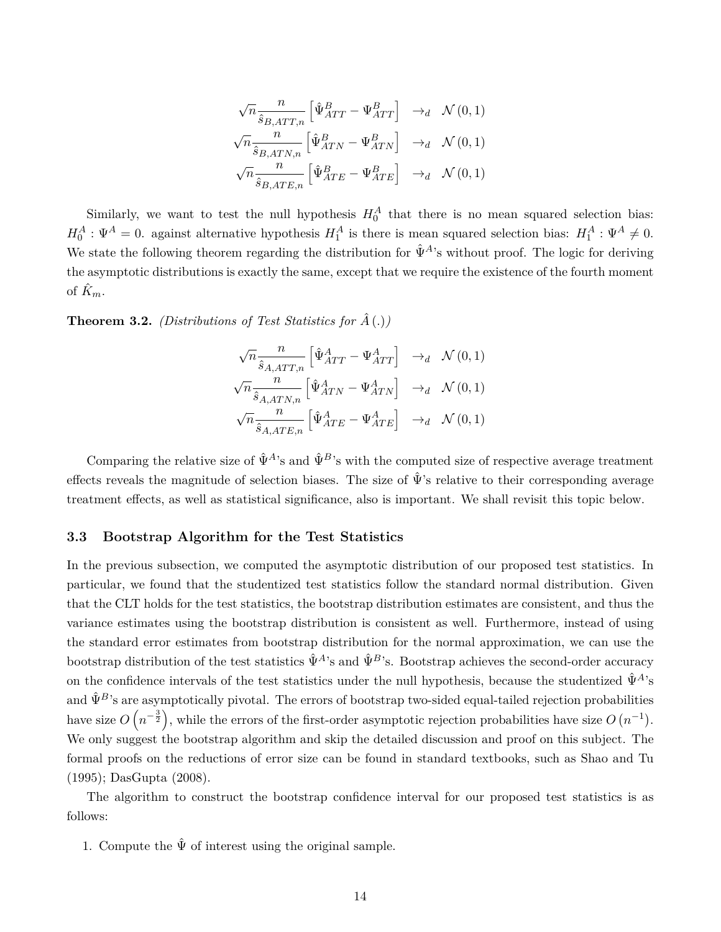$$
\sqrt{n} \frac{n}{\hat{s}_{B,ATT,n}} \left[ \hat{\Psi}_{ATT}^{B} - \Psi_{ATT}^{B} \right] \rightarrow_d \mathcal{N}(0,1)
$$
  

$$
\sqrt{n} \frac{n}{\hat{s}_{B,ATN,n}} \left[ \hat{\Psi}_{ATN}^{B} - \Psi_{ATN}^{B} \right] \rightarrow_d \mathcal{N}(0,1)
$$
  

$$
\sqrt{n} \frac{n}{\hat{s}_{B,ATE,n}} \left[ \hat{\Psi}_{ATE}^{B} - \Psi_{ATE}^{B} \right] \rightarrow_d \mathcal{N}(0,1)
$$

Similarly, we want to test the null hypothesis  $H_0^A$  that there is no mean squared selection bias:  $H_0^A: \Psi^A = 0$ . against alternative hypothesis  $H_1^A$  is there is mean squared selection bias:  $H_1^A: \Psi^A \neq 0$ . We state the following theorem regarding the distribution for  $\hat{\Psi}^{A}$ 's without proof. The logic for deriving the asymptotic distributions is exactly the same, except that we require the existence of the fourth moment of  $\hat{K}_m$ .

**Theorem 3.2.** *(Distributions of Test Statistics for*  $\hat{A}$  (*.)*)

$$
\sqrt{n} \frac{n}{\hat{s}_{A,ATT,n}} \left[ \hat{\Psi}_{ATT}^{A} - \Psi_{ATT}^{A} \right] \rightarrow_d \mathcal{N}(0,1)
$$
  

$$
\sqrt{n} \frac{n}{\hat{s}_{A,ATN,n}} \left[ \hat{\Psi}_{ATN}^{A} - \Psi_{ATN}^{A} \right] \rightarrow_d \mathcal{N}(0,1)
$$
  

$$
\sqrt{n} \frac{n}{\hat{s}_{A,ATE,n}} \left[ \hat{\Psi}_{ATE}^{A} - \Psi_{ATE}^{A} \right] \rightarrow_d \mathcal{N}(0,1)
$$

Comparing the relative size of  $\hat{\Psi}^{A}$ 's and  $\hat{\Psi}^{B}$ 's with the computed size of respective average treatment effects reveals the magnitude of selection biases. The size of  $\hat{\Psi}$ 's relative to their corresponding average treatment effects, as well as statistical significance, also is important. We shall revisit this topic below.

#### **3.3 Bootstrap Algorithm for the Test Statistics**

In the previous subsection, we computed the asymptotic distribution of our proposed test statistics. In particular, we found that the studentized test statistics follow the standard normal distribution. Given that the CLT holds for the test statistics, the bootstrap distribution estimates are consistent, and thus the variance estimates using the bootstrap distribution is consistent as well. Furthermore, instead of using the standard error estimates from bootstrap distribution for the normal approximation, we can use the bootstrap distribution of the test statistics  $\hat{\Psi}^{A}$ 's and  $\hat{\Psi}^{B}$ 's. Bootstrap achieves the second-order accuracy on the confidence intervals of the test statistics under the null hypothesis, because the studentized  $\hat{\Psi}^{A}$ 's and  $\hat{\Psi}^B$ 's are asymptotically pivotal. The errors of bootstrap two-sided equal-tailed rejection probabilities have size  $O(n^{-\frac{3}{2}})$ , while the errors of the first-order asymptotic rejection probabilities have size  $O(n^{-1})$ . We only suggest the bootstrap algorithm and skip the detailed discussion and proof on this subject. The formal proofs on the reductions of error size can be found in standard textbooks, such as Shao and Tu (1995); DasGupta (2008).

The algorithm to construct the bootstrap confidence interval for our proposed test statistics is as follows:

1. Compute the  $\hat{\Psi}$  of interest using the original sample.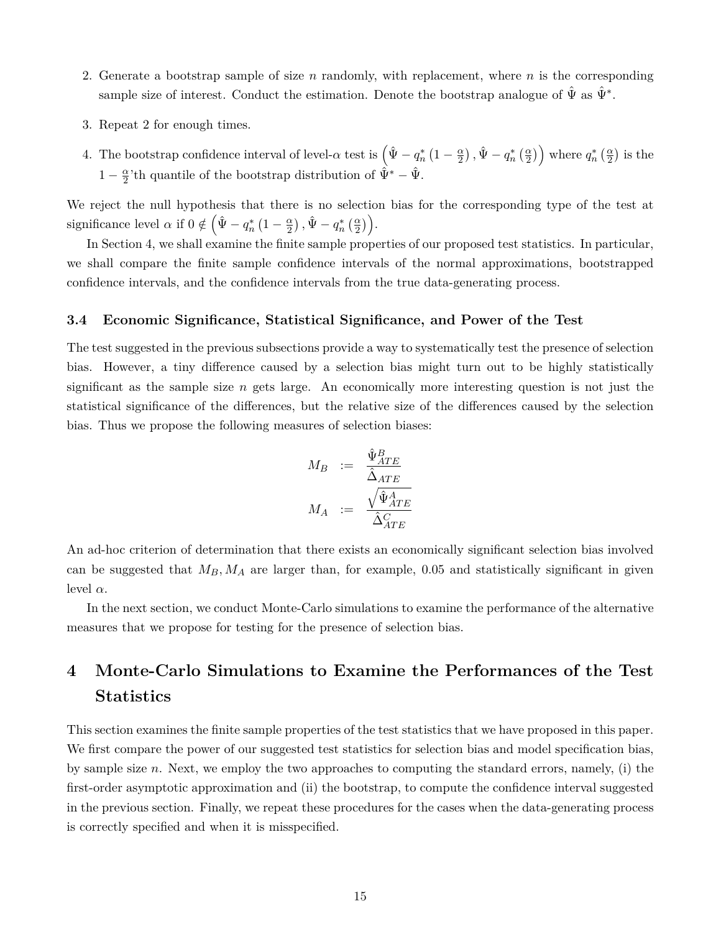- 2. Generate a bootstrap sample of size *n* randomly, with replacement, where *n* is the corresponding sample size of interest. Conduct the estimation. Denote the bootstrap analogue of  $\hat{\Psi}$  as  $\hat{\Psi}^*$ .
- 3. Repeat 2 for enough times.
- 4. The bootstrap confidence interval of level- $\alpha$  test is  $(\hat{\Psi} q_n^* (1 \frac{\alpha}{2}))$  $\left(\frac{\alpha}{2}\right)$ ,  $\hat{\Psi} - q_n^* \left(\frac{\alpha}{2}\right)$  where  $q_n^* \left(\frac{\alpha}{2}\right)$  is the  $1-\frac{\alpha}{2}$  $\frac{\alpha}{2}$ 'th quantile of the bootstrap distribution of  $\hat{\Psi}^* - \hat{\Psi}$ .

We reject the null hypothesis that there is no selection bias for the corresponding type of the test at significance level  $\alpha$  if  $0 \notin (\hat{\Psi} - q_n^* (1 - \frac{\alpha}{2}))$  $\left(\frac{\alpha}{2}\right), \hat{\Psi} - q_n^*\left(\frac{\alpha}{2}\right)\Big).$ 

In Section 4, we shall examine the finite sample properties of our proposed test statistics. In particular, we shall compare the finite sample confidence intervals of the normal approximations, bootstrapped confidence intervals, and the confidence intervals from the true data-generating process.

#### **3.4 Economic Significance, Statistical Significance, and Power of the Test**

The test suggested in the previous subsections provide a way to systematically test the presence of selection bias. However, a tiny difference caused by a selection bias might turn out to be highly statistically significant as the sample size *n* gets large. An economically more interesting question is not just the statistical significance of the differences, but the relative size of the differences caused by the selection bias. Thus we propose the following measures of selection biases:

$$
\begin{array}{rcl} M_B & := & \frac{\hat{\Psi}^B_{ATE}}{\hat{\Delta}_{ATE}} \\[2ex] M_A & := & \frac{\sqrt{\hat{\Psi}^A_{ATE}}}{\hat{\Delta}^C_{ATE}} \end{array}
$$

An ad-hoc criterion of determination that there exists an economically significant selection bias involved can be suggested that  $M_B$ ,  $M_A$  are larger than, for example, 0.05 and statistically significant in given level  $\alpha$ .

In the next section, we conduct Monte-Carlo simulations to examine the performance of the alternative measures that we propose for testing for the presence of selection bias.

## **4 Monte-Carlo Simulations to Examine the Performances of the Test Statistics**

This section examines the finite sample properties of the test statistics that we have proposed in this paper. We first compare the power of our suggested test statistics for selection bias and model specification bias, by sample size *n*. Next, we employ the two approaches to computing the standard errors, namely, (i) the first-order asymptotic approximation and (ii) the bootstrap, to compute the confidence interval suggested in the previous section. Finally, we repeat these procedures for the cases when the data-generating process is correctly specified and when it is misspecified.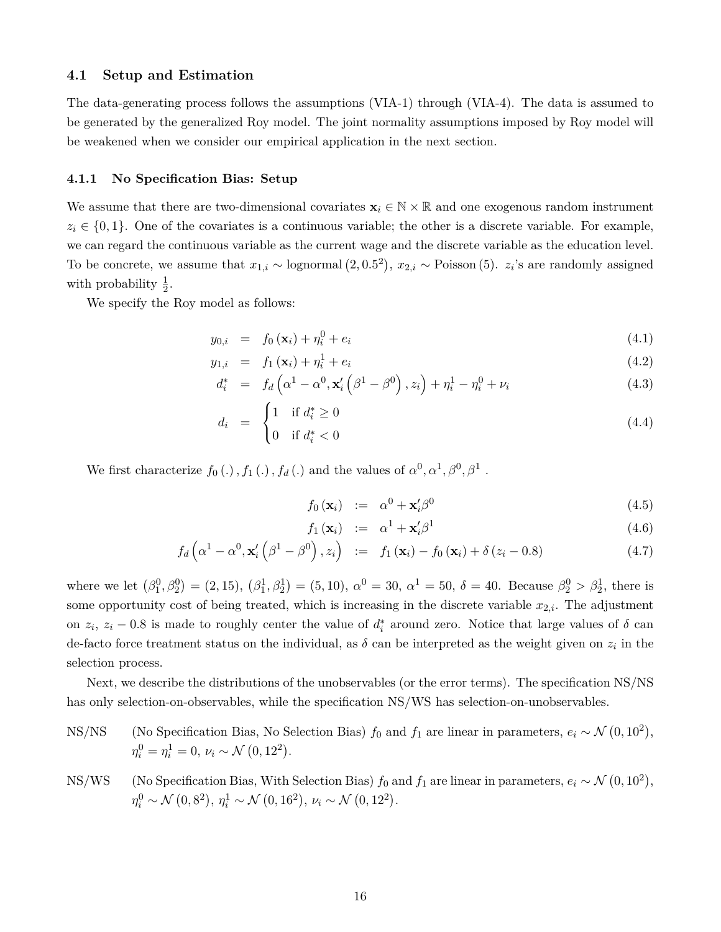#### **4.1 Setup and Estimation**

The data-generating process follows the assumptions (VIA-1) through (VIA-4). The data is assumed to be generated by the generalized Roy model. The joint normality assumptions imposed by Roy model will be weakened when we consider our empirical application in the next section.

#### **4.1.1 No Specification Bias: Setup**

We assume that there are two-dimensional covariates  $\mathbf{x}_i \in \mathbb{N} \times \mathbb{R}$  and one exogenous random instrument  $z_i \in \{0,1\}$ . One of the covariates is a continuous variable; the other is a discrete variable. For example, we can regard the continuous variable as the current wage and the discrete variable as the education level. To be concrete, we assume that  $x_{1,i} \sim$  lognormal  $(2,0.5^2)$ ,  $x_{2,i} \sim$  Poisson (5).  $z_i$ 's are randomly assigned with probability  $\frac{1}{2}$ .

We specify the Roy model as follows:

$$
y_{0,i} = f_0(\mathbf{x}_i) + \eta_i^0 + e_i \tag{4.1}
$$

$$
y_{1,i} = f_1(\mathbf{x}_i) + \eta_i^1 + e_i \tag{4.2}
$$

$$
d_i^* = f_d\left(\alpha^1 - \alpha^0, \mathbf{x}_i'\left(\beta^1 - \beta^0\right), z_i\right) + \eta_i^1 - \eta_i^0 + \nu_i \tag{4.3}
$$

$$
d_i = \begin{cases} 1 & \text{if } d_i^* \ge 0 \\ 0 & \text{if } d_i^* < 0 \end{cases} \tag{4.4}
$$

We first characterize  $f_0(.)$ ,  $f_1(.)$ ,  $f_d(.)$  and the values of  $\alpha^0, \alpha^1, \beta^0, \beta^1$ .

$$
f_0(\mathbf{x}_i) \quad := \quad \alpha^0 + \mathbf{x}_i' \beta^0 \tag{4.5}
$$

$$
f_1(\mathbf{x}_i) := \alpha^1 + \mathbf{x}_i' \beta^1 \tag{4.6}
$$

$$
f_d\left(\alpha^1-\alpha^0,\mathbf{x}_i'\left(\beta^1-\beta^0\right),z_i\right) \quad := \quad f_1\left(\mathbf{x}_i\right)-f_0\left(\mathbf{x}_i\right)+\delta\left(z_i-0.8\right) \tag{4.7}
$$

where we let  $(\beta_1^0, \beta_2^0) = (2, 15), (\beta_1^1, \beta_2^1) = (5, 10), \alpha^0 = 30, \alpha^1 = 50, \delta = 40.$  Because  $\beta_2^0 > \beta_2^1$ , there is some opportunity cost of being treated, which is increasing in the discrete variable  $x_{2,i}$ . The adjustment on  $z_i$ ,  $z_i$  − 0.8 is made to roughly center the value of  $d_i^*$  around zero. Notice that large values of  $\delta$  can de-facto force treatment status on the individual, as  $\delta$  can be interpreted as the weight given on  $z_i$  in the selection process.

Next, we describe the distributions of the unobservables (or the error terms). The specification NS/NS has only selection-on-observables, while the specification NS/WS has selection-on-unobservables.

NS/NS (No Specification Bias, No Selection Bias)  $f_0$  and  $f_1$  are linear in parameters,  $e_i \sim \mathcal{N}(0, 10^2)$ ,  $\eta_i^0 = \eta_i^1 = 0, \ \nu_i \sim \mathcal{N}(0, 12^2).$ 

NS/WS (No Specification Bias, With Selection Bias) 
$$
f_0
$$
 and  $f_1$  are linear in parameters,  $e_i \sim \mathcal{N}(0, 10^2)$ ,   
 $\eta_i^0 \sim \mathcal{N}(0, 8^2)$ ,  $\eta_i^1 \sim \mathcal{N}(0, 16^2)$ ,  $\nu_i \sim \mathcal{N}(0, 12^2)$ .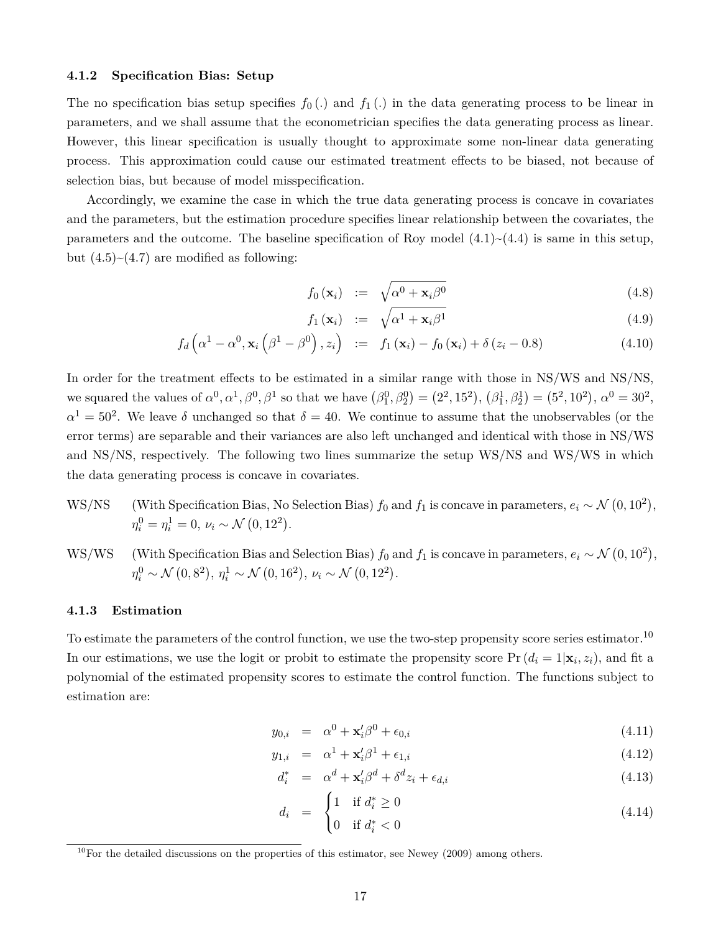#### **4.1.2 Specification Bias: Setup**

The no specification bias setup specifies  $f_0(.)$  and  $f_1(.)$  in the data generating process to be linear in parameters, and we shall assume that the econometrician specifies the data generating process as linear. However, this linear specification is usually thought to approximate some non-linear data generating process. This approximation could cause our estimated treatment effects to be biased, not because of selection bias, but because of model misspecification.

Accordingly, we examine the case in which the true data generating process is concave in covariates and the parameters, but the estimation procedure specifies linear relationship between the covariates, the parameters and the outcome. The baseline specification of Roy model  $(4.1)$   $\sim$   $(4.4)$  is same in this setup, but  $(4.5)~(4.7)$  are modified as following:

$$
f_0(\mathbf{x}_i) := \sqrt{\alpha^0 + \mathbf{x}_i \beta^0}
$$
 (4.8)

$$
f_1(\mathbf{x}_i) := \sqrt{\alpha^1 + \mathbf{x}_i \beta^1} \tag{4.9}
$$

$$
f_d\left(\alpha^1-\alpha^0,\mathbf{x}_i\left(\beta^1-\beta^0\right),z_i\right) \ := \ f_1\left(\mathbf{x}_i\right)-f_0\left(\mathbf{x}_i\right)+\delta\left(z_i-0.8\right) \tag{4.10}
$$

In order for the treatment effects to be estimated in a similar range with those in NS/WS and NS/NS, we squared the values of  $\alpha^0, \alpha^1, \beta^0, \beta^1$  so that we have  $(\beta_1^0, \beta_2^0) = (2^2, 15^2), (\beta_1^1, \beta_2^1) = (5^2, 10^2), \alpha^0 = 30^2,$  $\alpha^1 = 50^2$ . We leave *δ* unchanged so that  $\delta = 40$ . We continue to assume that the unobservables (or the error terms) are separable and their variances are also left unchanged and identical with those in NS/WS and NS/NS, respectively. The following two lines summarize the setup WS/NS and WS/WS in which the data generating process is concave in covariates.

- WS/NS (With Specification Bias, No Selection Bias)  $f_0$  and  $f_1$  is concave in parameters,  $e_i \sim \mathcal{N}(0, 10^2)$ ,  $\eta_i^0 = \eta_i^1 = 0, \ \nu_i \sim \mathcal{N}(0, 12^2).$
- WS/WS (With Specification Bias and Selection Bias)  $f_0$  and  $f_1$  is concave in parameters,  $e_i \sim \mathcal{N}(0, 10^2)$ ,  $\eta_i^0 \sim \mathcal{N}(0, 8^2), \, \eta_i^1 \sim \mathcal{N}(0, 16^2), \, \nu_i \sim \mathcal{N}(0, 12^2).$

#### **4.1.3 Estimation**

To estimate the parameters of the control function, we use the two-step propensity score series estimator.<sup>10</sup> In our estimations, we use the logit or probit to estimate the propensity score  $Pr(d_i = 1 | \mathbf{x}_i, z_i)$ , and fit a polynomial of the estimated propensity scores to estimate the control function. The functions subject to estimation are:

$$
y_{0,i} = \alpha^0 + \mathbf{x}_i' \beta^0 + \epsilon_{0,i} \tag{4.11}
$$

$$
y_{1,i} = \alpha^1 + \mathbf{x}_i' \beta^1 + \epsilon_{1,i} \tag{4.12}
$$

$$
d_i^* = \alpha^d + \mathbf{x}_i' \beta^d + \delta^d z_i + \epsilon_{d,i} \tag{4.13}
$$

$$
d_i = \begin{cases} 1 & \text{if } d_i^* \ge 0 \\ 0 & \text{if } d_i^* < 0 \end{cases} \tag{4.14}
$$

 $10$ For the detailed discussions on the properties of this estimator, see Newey (2009) among others.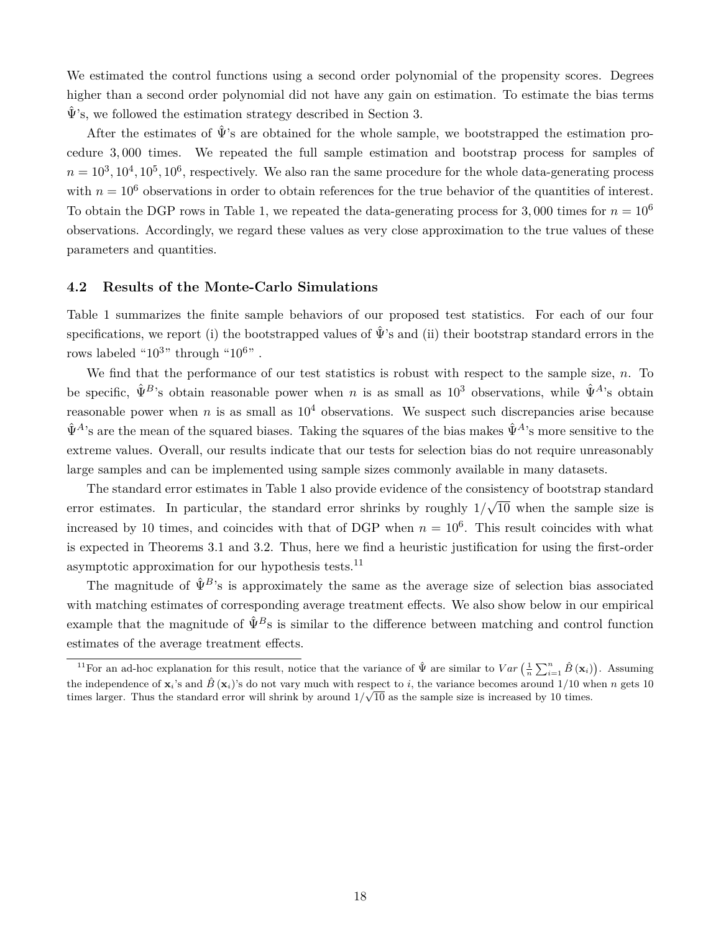We estimated the control functions using a second order polynomial of the propensity scores. Degrees higher than a second order polynomial did not have any gain on estimation. To estimate the bias terms  $\hat{\Psi}$ 's, we followed the estimation strategy described in Section 3.

After the estimates of  $\hat{\Psi}$ 's are obtained for the whole sample, we bootstrapped the estimation procedure 3*,* 000 times. We repeated the full sample estimation and bootstrap process for samples of  $n = 10^3, 10^4, 10^5, 10^6$ , respectively. We also ran the same procedure for the whole data-generating process with  $n = 10^6$  observations in order to obtain references for the true behavior of the quantities of interest. To obtain the DGP rows in Table 1, we repeated the data-generating process for 3,000 times for  $n = 10^6$ observations. Accordingly, we regard these values as very close approximation to the true values of these parameters and quantities.

#### **4.2 Results of the Monte-Carlo Simulations**

Table 1 summarizes the finite sample behaviors of our proposed test statistics. For each of our four specifications, we report (i) the bootstrapped values of  $\hat{\Psi}$ 's and (ii) their bootstrap standard errors in the rows labeled " $10^{3}$ " through " $10^{6}$ ".

We find that the performance of our test statistics is robust with respect to the sample size, *n*. To be specific,  $\hat{\Psi}^{B}$ 's obtain reasonable power when *n* is as small as  $10^3$  observations, while  $\hat{\Psi}^{A}$ 's obtain reasonable power when *n* is as small as  $10<sup>4</sup>$  observations. We suspect such discrepancies arise because  $\hat{\Psi}^{A}$ 's are the mean of the squared biases. Taking the squares of the bias makes  $\hat{\Psi}^{A}$ 's more sensitive to the extreme values. Overall, our results indicate that our tests for selection bias do not require unreasonably large samples and can be implemented using sample sizes commonly available in many datasets.

The standard error estimates in Table 1 also provide evidence of the consistency of bootstrap standard error estimates. In particular, the standard error shrinks by roughly 1*/* √ 10 when the sample size is increased by 10 times, and coincides with that of DGP when  $n = 10<sup>6</sup>$ . This result coincides with what is expected in Theorems 3.1 and 3.2. Thus, here we find a heuristic justification for using the first-order asymptotic approximation for our hypothesis tests. $^{11}$ 

The magnitude of  $\hat{\Psi}^B$ 's is approximately the same as the average size of selection bias associated with matching estimates of corresponding average treatment effects. We also show below in our empirical example that the magnitude of  $\hat{\Psi}^B$ s is similar to the difference between matching and control function estimates of the average treatment effects.

<sup>&</sup>lt;sup>11</sup>For an ad-hoc explanation for this result, notice that the variance of  $\hat{\Psi}$  are similar to  $Var\left(\frac{1}{n}\sum_{i=1}^{n}\hat{B}\left(\mathbf{x}_i\right)\right)$ . Assuming the independence of  $\mathbf{x}_i$ 's and  $\hat{B}(\mathbf{x}_i)$ 's do not vary much with respect to *i*, the variance becomes around 1/10 when *n* gets 10 times larger. Thus the standard error will shrink by around  $1/\sqrt{10}$  as the sample size is increased by 10 times.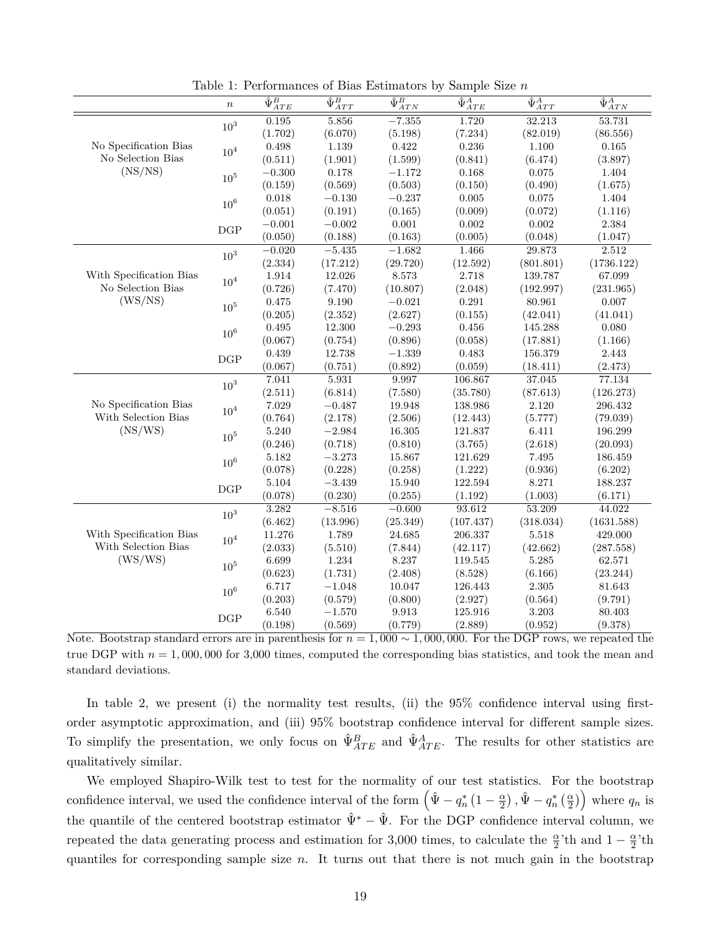|                         | $\boldsymbol{n}$ | $\hat{\Psi}^B_{ATE}$ | $\hat{\Psi}^B_{ATT}$ | $\hat{\Psi}^B_{ATN}$ | $\overline{\hat{\Psi}^{A}_{ATE}}$ | $\overline{\hat{\Psi}^{A}_{ATT}}$ | $\overline{\hat{\Psi}^{A}_{ATN}}$ |
|-------------------------|------------------|----------------------|----------------------|----------------------|-----------------------------------|-----------------------------------|-----------------------------------|
|                         | 10 <sup>3</sup>  | 0.195                | 5.856                | $-7.355$             | 1.720                             | 32.213                            | 53.731                            |
|                         |                  | (1.702)              | (6.070)              | (5.198)              | (7.234)                           | (82.019)                          | (86.556)                          |
| No Specification Bias   | 10 <sup>4</sup>  | 0.498                | 1.139                | 0.422                | 0.236                             | 1.100                             | 0.165                             |
| No Selection Bias       |                  | (0.511)              | (1.901)              | (1.599)              | (0.841)                           | (6.474)                           | (3.897)                           |
| (NS/NS)                 | 10 <sup>5</sup>  | $-0.300$             | 0.178                | $-1.172$             | 0.168                             | 0.075                             | 1.404                             |
|                         |                  | (0.159)              | (0.569)              | (0.503)              | (0.150)                           | (0.490)                           | (1.675)                           |
|                         | $10^6$           | 0.018                | $-0.130$             | $-0.237$             | 0.005                             | 0.075                             | 1.404                             |
|                         |                  | (0.051)              | (0.191)              | (0.165)              | (0.009)                           | (0.072)                           | (1.116)                           |
|                         |                  | $-0.001$             | $-0.002$             | $0.001\,$            | $0.002\,$                         | $0.002\,$                         | 2.384                             |
|                         | DGP              | (0.050)              | (0.188)              | (0.163)              | (0.005)                           | (0.048)                           | (1.047)                           |
|                         | $10^{3}$         | $-0.020$             | $-5.435$             | $-1.682$             | 1.466                             | 29.873                            | 2.512                             |
|                         |                  | (2.334)              | (17.212)             | (29.720)             | (12.592)                          | (801.801)                         | (1736.122)                        |
| With Specification Bias | $10^4\,$         | $1.914\,$            | 12.026               | 8.573                | 2.718                             | 139.787                           | 67.099                            |
| No Selection Bias       |                  | (0.726)              | (7.470)              | (10.807)             | (2.048)                           | (192.997)                         | (231.965)                         |
| (WS/NS)                 | 10 <sup>5</sup>  | 0.475                | 9.190                | $-0.021$             | $\rm 0.291$                       | 80.961                            | 0.007                             |
|                         |                  | (0.205)              | (2.352)              | (2.627)              | (0.155)                           | (42.041)                          | (41.041)                          |
|                         | $10^6$           | 0.495                | 12.300               | $-0.293$             | 0.456                             | 145.288                           | 0.080                             |
|                         |                  | (0.067)              | (0.754)              | (0.896)              | (0.058)                           | (17.881)                          | (1.166)                           |
|                         |                  | 0.439                | 12.738               | $-1.339$             | 0.483                             | 156.379                           | 2.443                             |
|                         | DGP              | (0.067)              | (0.751)              | (0.892)              | (0.059)                           | (18.411)                          | (2.473)                           |
|                         | 10 <sup>3</sup>  | 7.041                | 5.931                | 9.997                | 106.867                           | 37.045                            | 77.134                            |
|                         |                  | (2.511)              | (6.814)              | (7.580)              | (35.780)                          | (87.613)                          | (126.273)                         |
| No Specification Bias   | $10^4\,$         | 7.029                | $-0.487$             | 19.948               | 138.986                           | 2.120                             | 296.432                           |
| With Selection Bias     |                  | (0.764)              | (2.178)              | (2.506)              | (12.443)                          | (5.777)                           | (79.039)                          |
| (NS/WS)                 | 10 <sup>5</sup>  | 5.240                | $-2.984$             | 16.305               | 121.837                           | 6.411                             | 196.299                           |
|                         |                  | (0.246)              | (0.718)              | (0.810)              | (3.765)                           | (2.618)                           | (20.093)                          |
|                         | $10^6$           | 5.182                | $-3.273$             | 15.867               | 121.629                           | 7.495                             | 186.459                           |
|                         |                  | (0.078)              | (0.228)              | (0.258)              | (1.222)                           | (0.936)                           | (6.202)                           |
|                         | DGP              | $5.104\,$            | $-3.439$             | 15.940               | 122.594                           | 8.271                             | 188.237                           |
|                         |                  | (0.078)              | (0.230)              | (0.255)              | (1.192)                           | (1.003)                           | (6.171)                           |
|                         | 10 <sup>3</sup>  | 3.282                | $-8.516$             | $-0.600$             | 93.612                            | 53.209                            | 44.022                            |
|                         |                  | (6.462)              | (13.996)             | (25.349)             | (107.437)                         | (318.034)                         | (1631.588)                        |
| With Specification Bias | $10^4\,$         | 11.276               | 1.789                | 24.685               | 206.337                           | 5.518                             | 429.000                           |
| With Selection Bias     |                  | (2.033)              | (5.510)              | (7.844)              | (42.117)                          | (42.662)                          | (287.558)                         |
| (WS/WS)                 | 10 <sup>5</sup>  | 6.699                | 1.234                | 8.237                | 119.545                           | 5.285                             | 62.571                            |
|                         |                  | (0.623)              | (1.731)              | (2.408)              | (8.528)                           | (6.166)                           | (23.244)                          |
|                         | $10^6$           | 6.717                | $-1.048$             | 10.047               | 126.443                           | 2.305                             | 81.643                            |
|                         |                  | (0.203)              | (0.579)              | (0.800)              | (2.927)                           | (0.564)                           | (9.791)                           |
|                         | DGP              | $6.540\,$            | $-1.570$             | 9.913                | 125.916                           | 3.203                             | 80.403                            |
|                         |                  | (0.198)              | (0.569)              | (0.779)              | (2.889)                           | (0.952)                           | (9.378)                           |

Table 1: Performances of Bias Estimators by Sample Size *n*

Note. Bootstrap standard errors are in parenthesis for  $n = 1,000 \sim 1,000,000$ . For the DGP rows, we repeated the true DGP with  $n = 1,000,000$  for 3,000 times, computed the corresponding bias statistics, and took the mean and standard deviations.

In table 2, we present (i) the normality test results, (ii) the 95% confidence interval using firstorder asymptotic approximation, and (iii) 95% bootstrap confidence interval for different sample sizes. To simplify the presentation, we only focus on  $\hat{\Psi}_{ATE}^B$  and  $\hat{\Psi}_{ATE}^A$ . The results for other statistics are qualitatively similar.

We employed Shapiro-Wilk test to test for the normality of our test statistics. For the bootstrap confidence interval, we used the confidence interval of the form  $(\hat{\Psi} - q_n^* (1 - \frac{\alpha}{2})$  $\left(\frac{\alpha}{2}\right), \hat{\Psi} - q_n^*\left(\frac{\alpha}{2}\right)$  where  $q_n$  is the quantile of the centered bootstrap estimator  $\hat{\Psi}^* - \hat{\Psi}$ . For the DGP confidence interval column, we repeated the data generating process and estimation for 3,000 times, to calculate the  $\frac{\alpha}{2}$ 'th and  $1-\frac{\alpha}{2}$  $\frac{\alpha}{2}$ 'th quantiles for corresponding sample size *n*. It turns out that there is not much gain in the bootstrap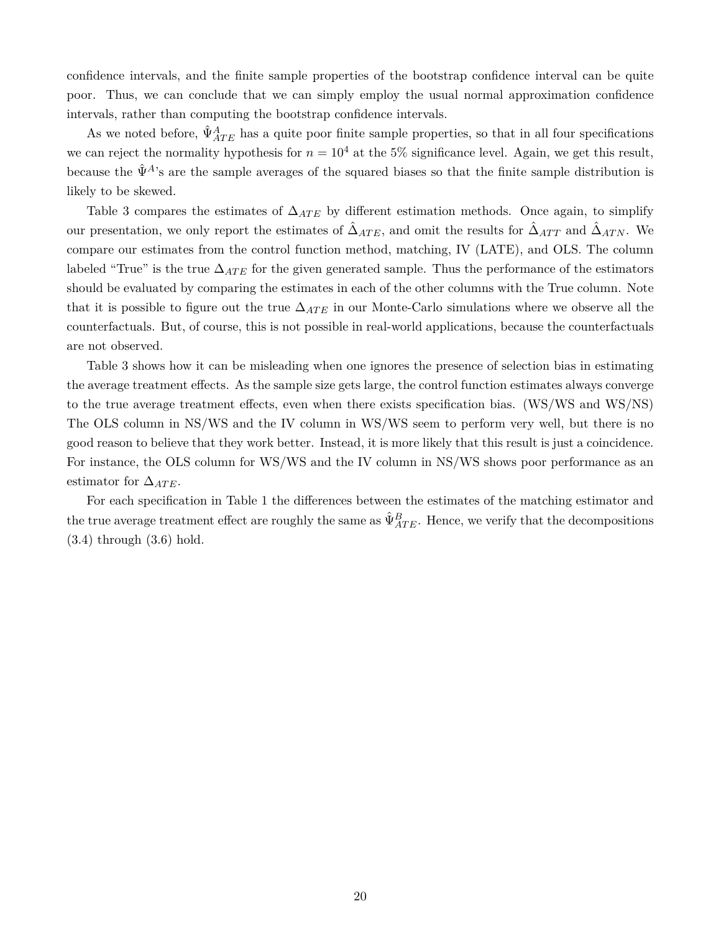confidence intervals, and the finite sample properties of the bootstrap confidence interval can be quite poor. Thus, we can conclude that we can simply employ the usual normal approximation confidence intervals, rather than computing the bootstrap confidence intervals.

As we noted before,  $\hat{\Psi}_{ATE}^{A}$  has a quite poor finite sample properties, so that in all four specifications we can reject the normality hypothesis for  $n = 10^4$  at the 5% significance level. Again, we get this result, because the  $\hat{\Psi}^{A}$ 's are the sample averages of the squared biases so that the finite sample distribution is likely to be skewed.

Table 3 compares the estimates of  $\Delta_{ATE}$  by different estimation methods. Once again, to simplify our presentation, we only report the estimates of  $\hat{\Delta}_{ATE}$ , and omit the results for  $\hat{\Delta}_{ATT}$  and  $\hat{\Delta}_{ATN}$ . We compare our estimates from the control function method, matching, IV (LATE), and OLS. The column labeled "True" is the true ∆*AT E* for the given generated sample. Thus the performance of the estimators should be evaluated by comparing the estimates in each of the other columns with the True column. Note that it is possible to figure out the true  $\Delta_{ATE}$  in our Monte-Carlo simulations where we observe all the counterfactuals. But, of course, this is not possible in real-world applications, because the counterfactuals are not observed.

Table 3 shows how it can be misleading when one ignores the presence of selection bias in estimating the average treatment effects. As the sample size gets large, the control function estimates always converge to the true average treatment effects, even when there exists specification bias. (WS/WS and WS/NS) The OLS column in NS/WS and the IV column in WS/WS seem to perform very well, but there is no good reason to believe that they work better. Instead, it is more likely that this result is just a coincidence. For instance, the OLS column for WS/WS and the IV column in NS/WS shows poor performance as an estimator for  $\Delta_{ATE}$ .

For each specification in Table 1 the differences between the estimates of the matching estimator and the true average treatment effect are roughly the same as  $\hat{\Psi}_{ATE}^B$ . Hence, we verify that the decompositions (3.4) through (3.6) hold.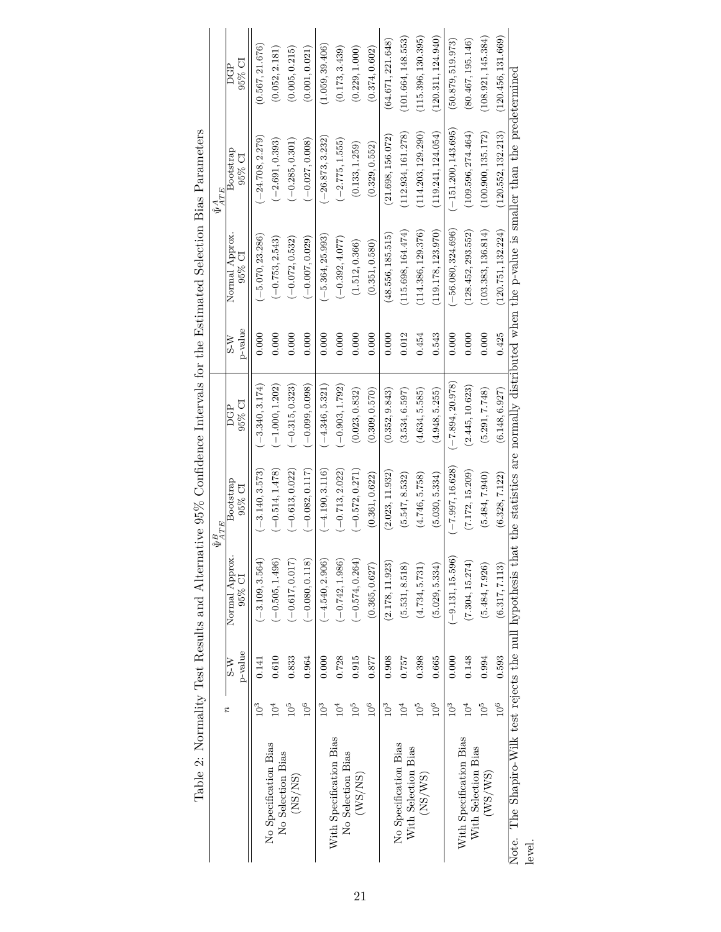|                                                                                                                                                         |                      |                             |                             | $\hat{\Psi}^B_{ATE}$ |                      |                             |                          | $\begin{array}{cc} \hat{\Psi}^{A} & E\\ \hat{\Psi}^{A T E} & \end{array}$ |                      |
|---------------------------------------------------------------------------------------------------------------------------------------------------------|----------------------|-----------------------------|-----------------------------|----------------------|----------------------|-----------------------------|--------------------------|---------------------------------------------------------------------------|----------------------|
|                                                                                                                                                         | π                    | p-value<br>$\overline{S-N}$ | Normal Approx.<br>$95\%$ CI | Bootstrap<br>95% CI  | 95% CI<br><b>POL</b> | p-value<br>$\overline{N-S}$ | Normal Approx.<br>95% CI | Bootstrap<br>$95\%$ CI                                                    | $95\%$ CI<br>PC<br>C |
|                                                                                                                                                         | $\tilde{\mathsf{C}}$ | 0.141                       | $(-3.109, 3.564)$           | $(-3.140, 3.573)$    | $(-3.340, 3.174)$    | 0.000                       | $(-5.070, 23.286)$       | $(-24.708, 2.279)$                                                        | (0.567, 21.676)      |
| No Specification Bias<br>No Selection Bias                                                                                                              | Ξ                    | 0.610                       | $(-0.505, 1.496)$           | $(-0.514, 1.478)$    | $(-1.000, 1.202)$    | 0.000                       | $(-0.753, 2.543)$        | $(-2.691, 0.393)$                                                         | (0.052, 2.181)       |
| (NS/NS)                                                                                                                                                 | °∂                   | 0.833                       | $(-0.617, 0.017)$           | $(-0.613, 0.022)$    | $(-0.315, 0.323)$    | 0.000                       | $(-0.072, 0.532)$        | $(-0.285, 0.301)$                                                         | (0.005, 0.215)       |
|                                                                                                                                                         | $10^6$               | 0.964                       | $(-0.080, 0.118)$           | $(-0.082, 0.117)$    | $(-0.099, 0.098)$    | 0.000                       | $(-0.007, 0.029)$        | $(-0.027, 0.008)$                                                         | (0.001, 0.021)       |
|                                                                                                                                                         | $10^3$               | 0.000                       | $(-4.540, 2.906)$           | $(-4.190, 3.116)$    | $(-4.346, 5.321)$    | 0.000                       | $(-5.364, 25.993)$       | $(-26.873, 3.232)$                                                        | (1.059, 39.406)      |
| With Specification Bias<br>No Selection Bias                                                                                                            |                      | 0.728                       | $(-0.742, 1.986)$           | $(-0.713, 2.022)$    | $(-0.903, 1.792)$    | 0.000                       | $(-0.392, 4.077)$        | $(-2.775, 1.555)$                                                         | (0.173, 3.439)       |
| (WS/NS)                                                                                                                                                 |                      | 0.915                       | $(-0.574, 0.264)$           | $(-0.572, 0.271)$    | (0.023, 0.832)       | 0.000                       | (1.512, 0.366)           | (0.133, 1.259)                                                            | (0.229, 1.000)       |
|                                                                                                                                                         | $10^6$               | 0.877                       | (0.365, 0.627)              | (0.361, 0.622)       | (0.309, 0.570)       | 0.000                       | (0.351, 0.580)           | (0.329, 0.552)                                                            | (0.374, 0.602)       |
|                                                                                                                                                         | Îθ                   | 0.908                       | (2.178, 11.923)             | (2.023, 11.932)      | (0.352, 9.843)       | 0.000                       | (48.556, 185.515)        | (21.698, 156.072)                                                         | (64.671, 221.648)    |
| No Specification Bias<br>With Selection Bias                                                                                                            | $\mathsf{C}^4$       | 0.757                       | (5.531, 8.518)              | (5.547, 8.532)       | (3.534, 6.597)       | 0.012                       | (115.698, 164.474)       | (112.934, 161.278)                                                        | (101.664, 148.553)   |
| (NS/WS)                                                                                                                                                 |                      | 0.398                       | (4.734, 5.731)              | (4.746, 5.758)       | (4.634, 5.585)       | 0.454                       | (114.386, 129.376)       | (114.203, 129.290)                                                        | (115.396, 130.395)   |
|                                                                                                                                                         | $10^6$               | 0.665                       | (5.029, 5.334)              | (5.030, 5.334)       | (4.948, 5.255)       | 0.543                       | (119.178, 123.970)       | (119.241, 124.054)                                                        | (120.311, 124.940)   |
|                                                                                                                                                         | $10^{3}$             | 0.000                       | $(-9.131, 15.596)$          | $(-7.997, 16.628)$   | $(-7.894, 20.978)$   | 0.000                       | $(-56.080, 324.696)$     | $(-151.200, 143.695)$                                                     | (50.879, 519.973)    |
| With Specification Bias<br>With Selection Bias                                                                                                          |                      | 0.148                       | (7.304, 15.274)             | (7.172, 15.209)      | (2.445, 10.623)      | 0.000                       | (128.452, 293.552)       | (109.596, 274.464)                                                        | (80.467, 195.146)    |
| (WS/WS)                                                                                                                                                 | $10^5$               | 0.994                       | (5.484, 7.926)              | (5.484, 7.940)       | (5.291, 7.748)       | 0.000                       | (103.383, 136.814)       | (100.900, 135.172)                                                        | (108.921, 145.384)   |
|                                                                                                                                                         | 10 <sup>6</sup>      | 0.593                       | (6.317, 7.113)              | (6.328, 7.122)       | (6.148, 6.927)       | 0.425                       | (120.751, 132.224)       | (120.552, 132.213)                                                        | (120.456, 131.669)   |
| Note. The Shapiro-Wilk test rejects the null hypothesis that the statistics are normally distributed when the p-value is smaller than the predetermined |                      |                             |                             |                      |                      |                             |                          |                                                                           |                      |
| level.                                                                                                                                                  |                      |                             |                             |                      |                      |                             |                          |                                                                           |                      |

Table 2: Normality Test Results and Alternative 95% Confidence Intervals for the Estimated Selection Bias Parameters Table 2: Normality Test Results and Alternative 95% Confidence Intervals for the Estimated Selection Bias Parameters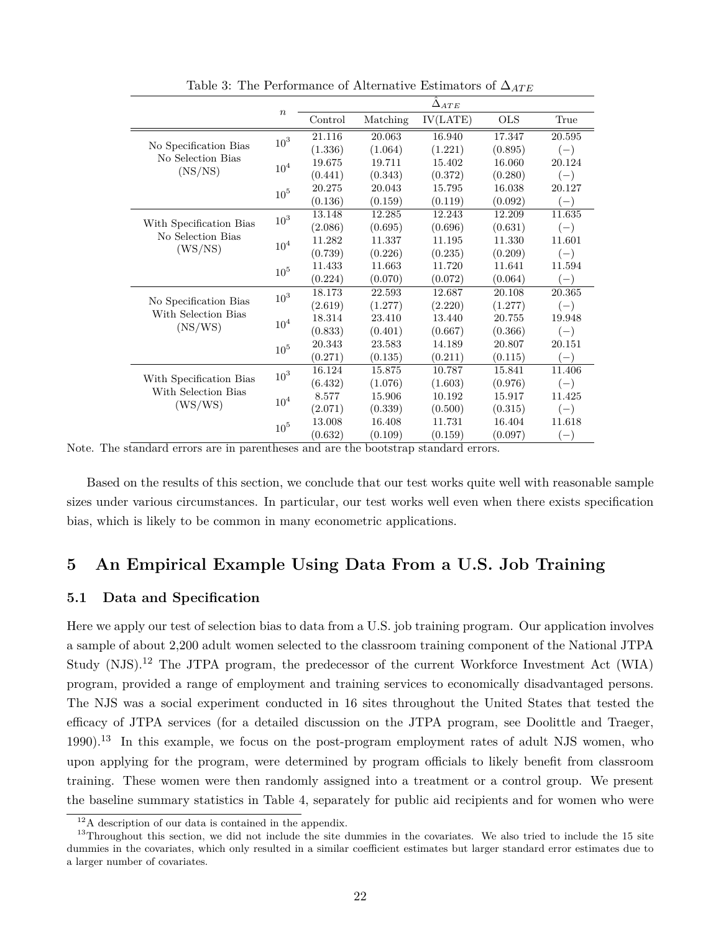|                         |                  |         |          | $\Delta_{ATE}$ |            |        |
|-------------------------|------------------|---------|----------|----------------|------------|--------|
|                         | $\boldsymbol{n}$ | Control | Matching | IV(LATE)       | <b>OLS</b> | True   |
|                         | $10^3\,$         | 21.116  | 20.063   | 16.940         | 17.347     | 20.595 |
| No Specification Bias   |                  | (1.336) | (1.064)  | (1.221)        | (0.895)    | $(-)$  |
| No Selection Bias       | $10^4\,$         | 19.675  | 19.711   | 15.402         | 16.060     | 20.124 |
| (NS/NS)                 |                  | (0.441) | (0.343)  | (0.372)        | (0.280)    | $(-)$  |
|                         | 10 <sup>5</sup>  | 20.275  | 20.043   | 15.795         | 16.038     | 20.127 |
|                         |                  | (0.136) | (0.159)  | (0.119)        | (0.092)    | $(-)$  |
|                         | $10^3\,$         | 13.148  | 12.285   | 12.243         | 12.209     | 11.635 |
| With Specification Bias |                  | (2.086) | (0.695)  | (0.696)        | (0.631)    | $(-)$  |
| No Selection Bias       | $10^4\,$         | 11.282  | 11.337   | 11.195         | 11.330     | 11.601 |
| (WS/NS)                 |                  | (0.739) | (0.226)  | (0.235)        | (0.209)    | $(-)$  |
|                         | 10 <sup>5</sup>  | 11.433  | 11.663   | 11.720         | 11.641     | 11.594 |
|                         |                  | (0.224) | (0.070)  | (0.072)        | (0.064)    | $(-)$  |
|                         | $10^3\,$         | 18.173  | 22.593   | 12.687         | 20.108     | 20.365 |
| No Specification Bias   |                  | (2.619) | (1.277)  | (2.220)        | (1.277)    | $(-)$  |
| With Selection Bias     | 10 <sup>4</sup>  | 18.314  | 23.410   | 13.440         | 20.755     | 19.948 |
| (NS/WS)                 |                  | (0.833) | (0.401)  | (0.667)        | (0.366)    | $(-)$  |
|                         | 10 <sup>5</sup>  | 20.343  | 23.583   | 14.189         | 20.807     | 20.151 |
|                         |                  | (0.271) | (0.135)  | (0.211)        | (0.115)    | $(-)$  |
|                         | 10 <sup>3</sup>  | 16.124  | 15.875   | 10.787         | 15.841     | 11.406 |
| With Specification Bias |                  | (6.432) | (1.076)  | (1.603)        | (0.976)    | $(-)$  |
| With Selection Bias     | 10 <sup>4</sup>  | 8.577   | 15.906   | 10.192         | 15.917     | 11.425 |
| (WS/WS)                 |                  | (2.071) | (0.339)  | (0.500)        | (0.315)    | $(-)$  |
|                         | 10 <sup>5</sup>  | 13.008  | 16.408   | 11.731         | 16.404     | 11.618 |
|                         |                  | (0.632) | (0.109)  | (0.159)        | (0.097)    | $(-)$  |

Table 3: The Performance of Alternative Estimators of Δ<sub>*ATE*</sub>

Based on the results of this section, we conclude that our test works quite well with reasonable sample sizes under various circumstances. In particular, our test works well even when there exists specification bias, which is likely to be common in many econometric applications.

### **5 An Empirical Example Using Data From a U.S. Job Training**

#### **5.1 Data and Specification**

Here we apply our test of selection bias to data from a U.S. job training program. Our application involves a sample of about 2,200 adult women selected to the classroom training component of the National JTPA Study (NJS).<sup>12</sup> The JTPA program, the predecessor of the current Workforce Investment Act (WIA) program, provided a range of employment and training services to economically disadvantaged persons. The NJS was a social experiment conducted in 16 sites throughout the United States that tested the efficacy of JTPA services (for a detailed discussion on the JTPA program, see Doolittle and Traeger, 1990).<sup>13</sup> In this example, we focus on the post-program employment rates of adult NJS women, who upon applying for the program, were determined by program officials to likely benefit from classroom training. These women were then randomly assigned into a treatment or a control group. We present the baseline summary statistics in Table 4, separately for public aid recipients and for women who were

Note. The standard errors are in parentheses and are the bootstrap standard errors.

<sup>12</sup>A description of our data is contained in the appendix.

 $13$ Throughout this section, we did not include the site dummies in the covariates. We also tried to include the 15 site dummies in the covariates, which only resulted in a similar coefficient estimates but larger standard error estimates due to a larger number of covariates.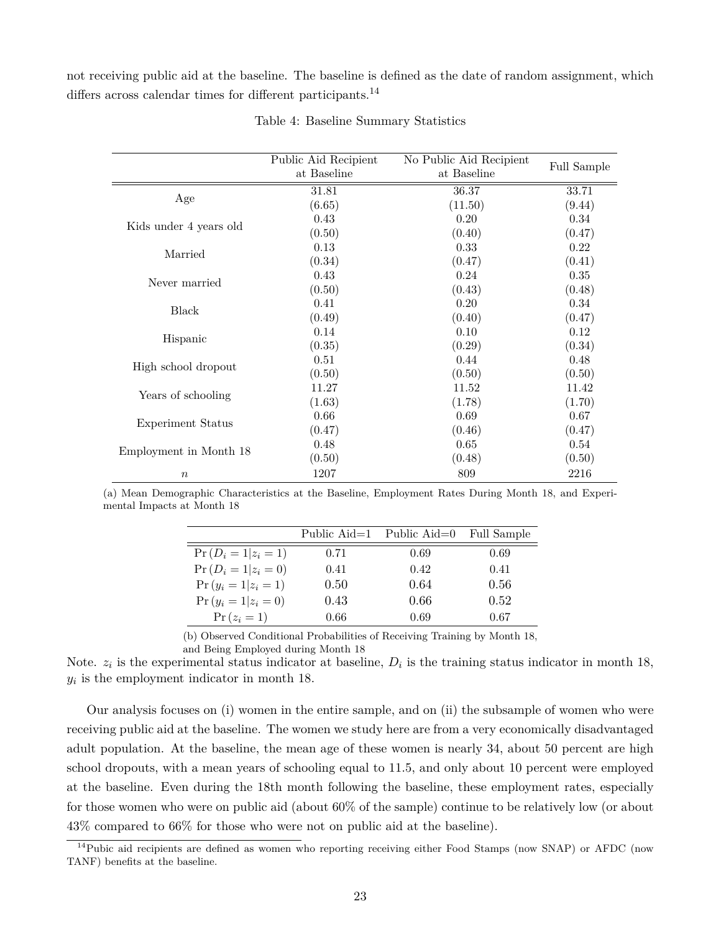not receiving public aid at the baseline. The baseline is defined as the date of random assignment, which differs across calendar times for different participants.<sup>14</sup>

|                        | Public Aid Recipient<br>at Baseline | No Public Aid Recipient<br>at Baseline | <b>Full Sample</b> |
|------------------------|-------------------------------------|----------------------------------------|--------------------|
| Age                    | 31.81                               | 36.37                                  | 33.71              |
|                        | (6.65)                              | (11.50)                                | (9.44)             |
| Kids under 4 years old | 0.43                                | 0.20                                   | 0.34               |
| Married                | (0.50)                              | (0.40)                                 | (0.47)             |
|                        | 0.13                                | 0.33                                   | 0.22               |
|                        | (0.34)                              | (0.47)                                 | (0.41)             |
|                        | 0.43                                | 0.24                                   | $0.35\,$           |
| Never married          | (0.50)                              | (0.43)                                 | (0.48)             |
| Black                  | 0.41                                | 0.20                                   | 0.34               |
|                        | (0.49)                              | (0.40)                                 | (0.47)             |
| Hispanic               | 0.14                                | 0.10                                   | 0.12               |
|                        | (0.35)                              | (0.29)                                 | (0.34)             |
| High school dropout    | 0.51                                | 0.44                                   | 0.48               |
| Years of schooling     | (0.50)                              | (0.50)                                 | (0.50)             |
|                        | 11.27                               | 11.52                                  | 11.42              |
|                        | (1.63)                              | (1.78)                                 | (1.70)             |
|                        | 0.66                                | 0.69                                   | 0.67               |
| Experiment Status      | (0.47)                              | (0.46)                                 | (0.47)             |
|                        | 0.48                                | 0.65                                   | 0.54               |
| Employment in Month 18 | (0.50)                              | (0.48)                                 | (0.50)             |
| $\boldsymbol{n}$       | 1207                                | 809                                    | 2216               |

Table 4: Baseline Summary Statistics

(a) Mean Demographic Characteristics at the Baseline, Employment Rates During Month 18, and Experimental Impacts at Month 18

|                         |      | Public Aid=1 Public Aid=0 | Full Sample |
|-------------------------|------|---------------------------|-------------|
| $Pr(D_i = 1   z_i = 1)$ | 0.71 | 0.69                      | 0.69        |
| $Pr(D_i = 1   z_i = 0)$ | 0.41 | 0.42                      | 0.41        |
| $Pr(y_i = 1   z_i = 1)$ | 0.50 | 0.64                      | 0.56        |
| $Pr(y_i = 1   z_i = 0)$ | 0.43 | 0.66                      | 0.52        |
| $Pr(z_i = 1)$           | 0.66 | 0.69                      | 0.67        |

(b) Observed Conditional Probabilities of Receiving Training by Month 18,

and Being Employed during Month 18

Note.  $z_i$  is the experimental status indicator at baseline,  $D_i$  is the training status indicator in month 18, *yi* is the employment indicator in month 18.

Our analysis focuses on (i) women in the entire sample, and on (ii) the subsample of women who were receiving public aid at the baseline. The women we study here are from a very economically disadvantaged adult population. At the baseline, the mean age of these women is nearly 34, about 50 percent are high school dropouts, with a mean years of schooling equal to 11.5, and only about 10 percent were employed at the baseline. Even during the 18th month following the baseline, these employment rates, especially for those women who were on public aid (about 60% of the sample) continue to be relatively low (or about 43% compared to 66% for those who were not on public aid at the baseline).

<sup>&</sup>lt;sup>14</sup>Pubic aid recipients are defined as women who reporting receiving either Food Stamps (now SNAP) or AFDC (now TANF) benefits at the baseline.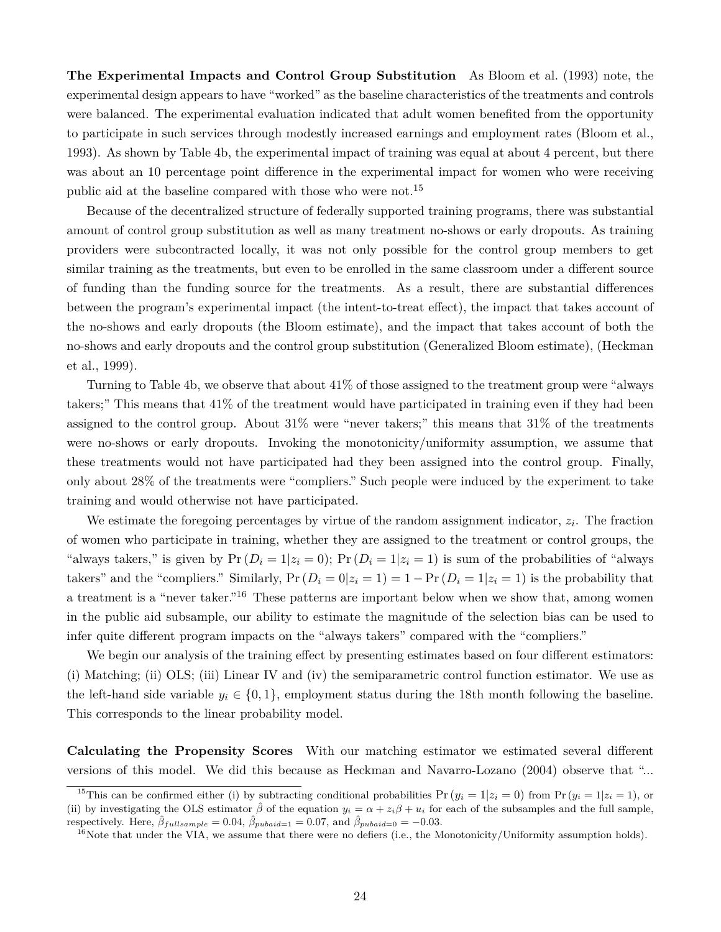**The Experimental Impacts and Control Group Substitution** As Bloom et al. (1993) note, the experimental design appears to have "worked" as the baseline characteristics of the treatments and controls were balanced. The experimental evaluation indicated that adult women benefited from the opportunity to participate in such services through modestly increased earnings and employment rates (Bloom et al., 1993). As shown by Table 4b, the experimental impact of training was equal at about 4 percent, but there was about an 10 percentage point difference in the experimental impact for women who were receiving public aid at the baseline compared with those who were not.<sup>15</sup>

Because of the decentralized structure of federally supported training programs, there was substantial amount of control group substitution as well as many treatment no-shows or early dropouts. As training providers were subcontracted locally, it was not only possible for the control group members to get similar training as the treatments, but even to be enrolled in the same classroom under a different source of funding than the funding source for the treatments. As a result, there are substantial differences between the program's experimental impact (the intent-to-treat effect), the impact that takes account of the no-shows and early dropouts (the Bloom estimate), and the impact that takes account of both the no-shows and early dropouts and the control group substitution (Generalized Bloom estimate), (Heckman et al., 1999).

Turning to Table 4b, we observe that about 41% of those assigned to the treatment group were "always takers;" This means that 41% of the treatment would have participated in training even if they had been assigned to the control group. About 31% were "never takers;" this means that 31% of the treatments were no-shows or early dropouts. Invoking the monotonicity/uniformity assumption, we assume that these treatments would not have participated had they been assigned into the control group. Finally, only about 28% of the treatments were "compliers." Such people were induced by the experiment to take training and would otherwise not have participated.

We estimate the foregoing percentages by virtue of the random assignment indicator, *z<sup>i</sup>* . The fraction of women who participate in training, whether they are assigned to the treatment or control groups, the "always takers," is given by  $Pr(D_i = 1 | z_i = 0)$ ;  $Pr(D_i = 1 | z_i = 1)$  is sum of the probabilities of "always" takers" and the "compliers." Similarly,  $Pr(D_i = 0|z_i = 1) = 1 - Pr(D_i = 1|z_i = 1)$  is the probability that a treatment is a "never taker."<sup>16</sup> These patterns are important below when we show that, among women in the public aid subsample, our ability to estimate the magnitude of the selection bias can be used to infer quite different program impacts on the "always takers" compared with the "compliers."

We begin our analysis of the training effect by presenting estimates based on four different estimators: (i) Matching; (ii) OLS; (iii) Linear IV and (iv) the semiparametric control function estimator. We use as the left-hand side variable  $y_i \in \{0,1\}$ , employment status during the 18th month following the baseline. This corresponds to the linear probability model.

**Calculating the Propensity Scores** With our matching estimator we estimated several different versions of this model. We did this because as Heckman and Navarro-Lozano (2004) observe that "...

<sup>&</sup>lt;sup>15</sup>This can be confirmed either (i) by subtracting conditional probabilities  $Pr(y_i = 1 | z_i = 0)$  from  $Pr(y_i = 1 | z_i = 1)$ , or (ii) by investigating the OLS estimator  $\hat{\beta}$  of the equation  $y_i = \alpha + z_i \beta + u_i$  for each of the subsamples and the full sample, respectively. Here,  $\hat{\beta}_{full sample} = 0.04$ ,  $\hat{\beta}_{pubaid=1} = 0.07$ , and  $\hat{\beta}_{pubaid=0} = -0.03$ .

 $16$ Note that under the VIA, we assume that there were no defiers (i.e., the Monotonicity/Uniformity assumption holds).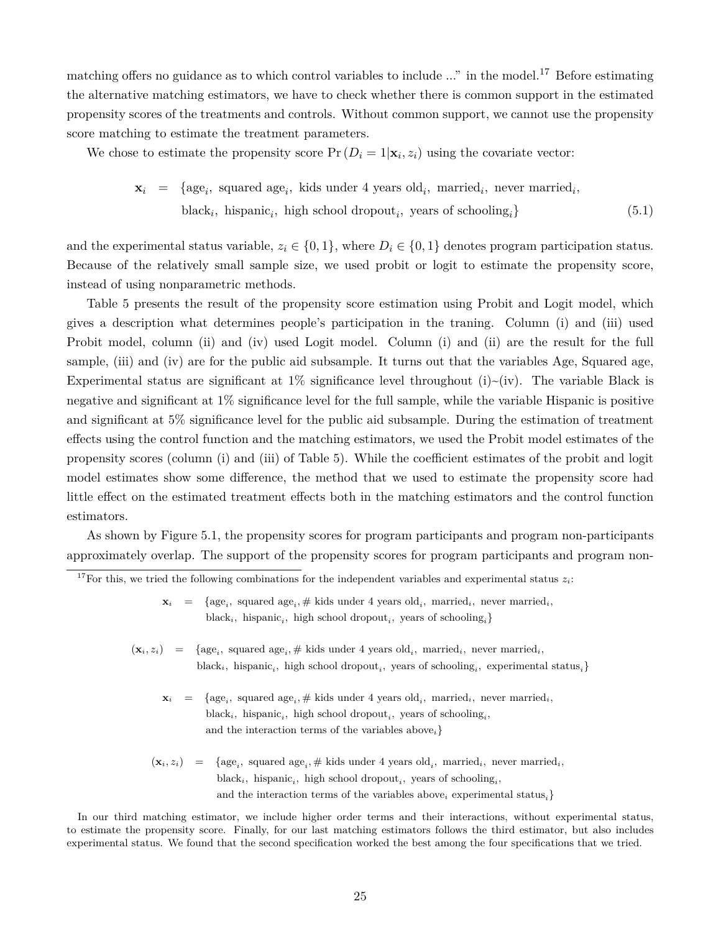matching offers no guidance as to which control variables to include ..." in the model.<sup>17</sup> Before estimating the alternative matching estimators, we have to check whether there is common support in the estimated propensity scores of the treatments and controls. Without common support, we cannot use the propensity score matching to estimate the treatment parameters.

We chose to estimate the propensity score  $Pr(D_i = 1 | \mathbf{x}_i, z_i)$  using the covariate vector:

$$
\mathbf{x}_i = \{ \text{age}_i, \text{ squared age}_i, \text{ kids under 4 years old}_i, \text{ married}_i, \text{never married}_i, \text{black}_i, \text{hispanic}_i, \text{ high school dropout}_i, \text{ years of schooling}_i \}
$$
\n(5.1)

and the experimental status variable,  $z_i \in \{0,1\}$ , where  $D_i \in \{0,1\}$  denotes program participation status. Because of the relatively small sample size, we used probit or logit to estimate the propensity score, instead of using nonparametric methods.

Table 5 presents the result of the propensity score estimation using Probit and Logit model, which gives a description what determines people's participation in the traning. Column (i) and (iii) used Probit model, column (ii) and (iv) used Logit model. Column (i) and (ii) are the result for the full sample, (iii) and (iv) are for the public aid subsample. It turns out that the variables Age, Squared age, Experimental status are significant at  $1\%$  significance level throughout (i)~(iv). The variable Black is negative and significant at 1% significance level for the full sample, while the variable Hispanic is positive and significant at 5% significance level for the public aid subsample. During the estimation of treatment effects using the control function and the matching estimators, we used the Probit model estimates of the propensity scores (column (i) and (iii) of Table 5). While the coefficient estimates of the probit and logit model estimates show some difference, the method that we used to estimate the propensity score had little effect on the estimated treatment effects both in the matching estimators and the control function estimators.

As shown by Figure 5.1, the propensity scores for program participants and program non-participants approximately overlap. The support of the propensity scores for program participants and program non-

- $(\mathbf{x}_i, z_i) = \{ \text{age}_i, \text{ squared age}_i, \# \text{ kids under 4 years old}_i, \text{ married}_i, \text{never married}_i, \}$  $black_i$ , hispanic<sub>*i*</sub></sub>, high school dropout<sub>*i*</sub>, years of schooling<sub>*i*</sub></sub>, experimental status<sub>*i*</sub></sub>}
	- $\mathbf{x}_i$  = {age<sub>*i*</sub></sub>, squared age<sub>*i*</sub></sub>  $\#$  kids under 4 years old<sub>*i*</sub>, married<sub>*i*</sub>, never married<sub>*i*</sub>,  $\text{black}_i$ , hispanic<sub>*i*</sub>, high school dropout<sub>*i*</sub>, years of schooling<sub>*i*</sub>, and the interaction terms of the variables above*i*}
	- $(\mathbf{x}_i, z_i) = \{ \text{age}_i, \text{ squared age}_i, \# \text{ kids under 4 years old}_i, \text{ married}_i, \text{never married}_i, \}$  $\text{black}_{i}$ , hispanic<sub>*i*</sub>, high school dropout<sub>*i*</sub>, years of schooling<sub>*i*</sub></sub>, and the interaction terms of the variables above*<sup>i</sup>* experimental status*i*}

In our third matching estimator, we include higher order terms and their interactions, without experimental status, to estimate the propensity score. Finally, for our last matching estimators follows the third estimator, but also includes experimental status. We found that the second specification worked the best among the four specifications that we tried.

<sup>&</sup>lt;sup>17</sup>For this, we tried the following combinations for the independent variables and experimental status  $z_i$ :

 $\mathbf{x}_i$  = {age<sub>*i*</sub></sub>, squared age<sub>*i*</sub></sub>  $\#$  kids under 4 years old<sub>*i*</sub>, married<sub>*i*</sub>, never married<sub>*i*</sub>,  $black_i$ , hispanic<sub>*i*</sub></sub>, high school dropout<sub>*i*</sub>, years of schooling<sub>*i*</sub></sub>}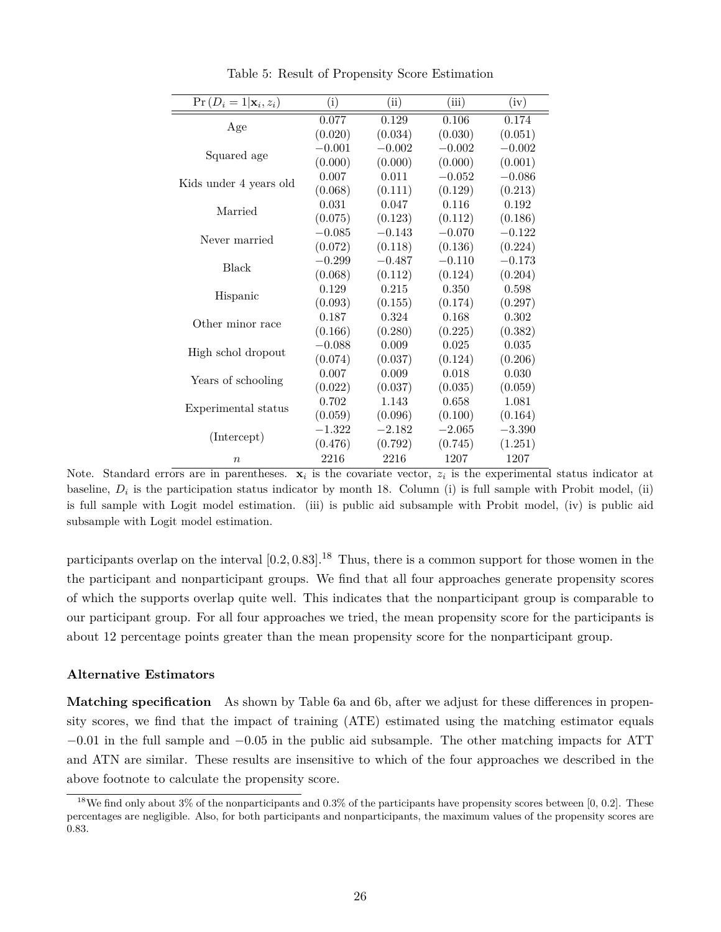| $Pr(D_i = 1 \mathbf{x}_i, z_i)$ | (i)      | (ii)     | (iii)    | (iv)     |
|---------------------------------|----------|----------|----------|----------|
|                                 | 0.077    | 0.129    | 0.106    | 0.174    |
| Age                             | (0.020)  | (0.034)  | (0.030)  | (0.051)  |
|                                 | $-0.001$ | $-0.002$ | $-0.002$ | $-0.002$ |
| Squared age                     | (0.000)  | (0.000)  | (0.000)  | (0.001)  |
|                                 | 0.007    | 0.011    | $-0.052$ | $-0.086$ |
| Kids under 4 years old          | (0.068)  | (0.111)  | (0.129)  | (0.213)  |
| Married                         | 0.031    | 0.047    | 0.116    | 0.192    |
|                                 | (0.075)  | (0.123)  | (0.112)  | (0.186)  |
| Never married                   | $-0.085$ | $-0.143$ | $-0.070$ | $-0.122$ |
|                                 | (0.072)  | (0.118)  | (0.136)  | (0.224)  |
| Black                           | $-0.299$ | $-0.487$ | $-0.110$ | $-0.173$ |
|                                 | (0.068)  | (0.112)  | (0.124)  | (0.204)  |
|                                 | 0.129    | 0.215    | 0.350    | 0.598    |
| Hispanic                        | (0.093)  | (0.155)  | (0.174)  | (0.297)  |
| Other minor race                | 0.187    | 0.324    | 0.168    | 0.302    |
|                                 | (0.166)  | (0.280)  | (0.225)  | (0.382)  |
| High schol dropout              | $-0.088$ | 0.009    | 0.025    | 0.035    |
|                                 | (0.074)  | (0.037)  | (0.124)  | (0.206)  |
| Years of schooling              | 0.007    | 0.009    | 0.018    | 0.030    |
|                                 | (0.022)  | (0.037)  | (0.035)  | (0.059)  |
| Experimental status             | 0.702    | 1.143    | 0.658    | 1.081    |
|                                 | (0.059)  | (0.096)  | (0.100)  | (0.164)  |
| (Intercept)                     | $-1.322$ | $-2.182$ | $-2.065$ | $-3.390$ |
|                                 | (0.476)  | (0.792)  | (0.745)  | (1.251)  |
| $\boldsymbol{n}$                | 2216     | 2216     | 1207     | 1207     |

Table 5: Result of Propensity Score Estimation

Note. Standard errors are in parentheses.  $\mathbf{x}_i$  is the covariate vector,  $z_i$  is the experimental status indicator at baseline,  $D_i$  is the participation status indicator by month 18. Column (i) is full sample with Probit model, (ii) is full sample with Logit model estimation. (iii) is public aid subsample with Probit model, (iv) is public aid subsample with Logit model estimation.

participants overlap on the interval [0*.*2*,* 0*.*83]. <sup>18</sup> Thus, there is a common support for those women in the the participant and nonparticipant groups. We find that all four approaches generate propensity scores of which the supports overlap quite well. This indicates that the nonparticipant group is comparable to our participant group. For all four approaches we tried, the mean propensity score for the participants is about 12 percentage points greater than the mean propensity score for the nonparticipant group.

#### **Alternative Estimators**

**Matching specification** As shown by Table 6a and 6b, after we adjust for these differences in propensity scores, we find that the impact of training (ATE) estimated using the matching estimator equals −0*.*01 in the full sample and −0*.*05 in the public aid subsample. The other matching impacts for ATT and ATN are similar. These results are insensitive to which of the four approaches we described in the above footnote to calculate the propensity score.

<sup>&</sup>lt;sup>18</sup>We find only about 3% of the nonparticipants and 0.3% of the participants have propensity scores between [0, 0.2]. These percentages are negligible. Also, for both participants and nonparticipants, the maximum values of the propensity scores are 0*.*83.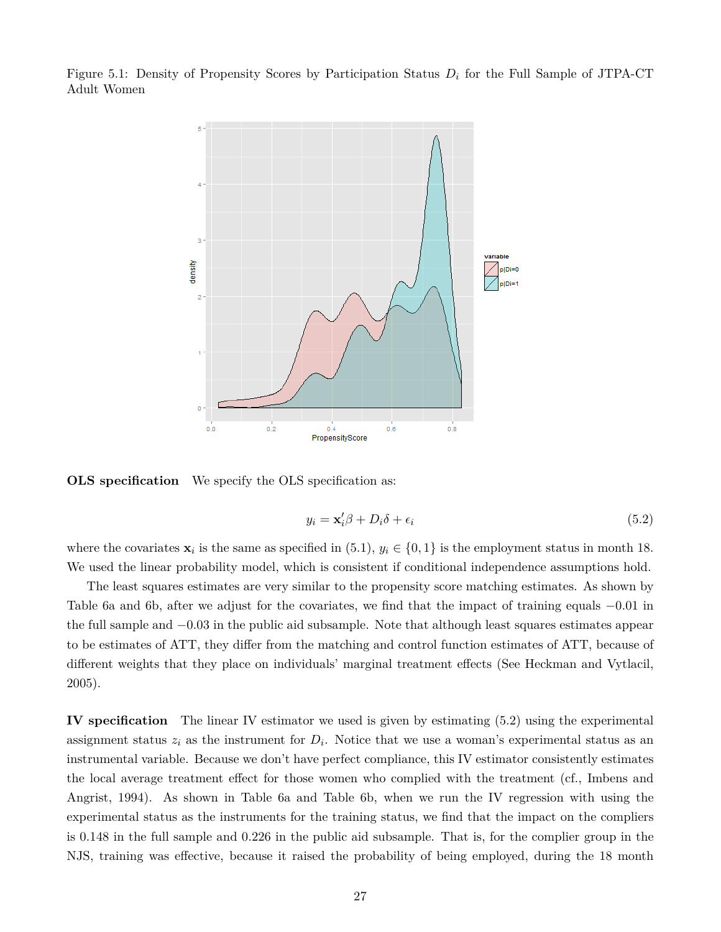Figure 5.1: Density of Propensity Scores by Participation Status *D<sup>i</sup>* for the Full Sample of JTPA-CT Adult Women



**OLS** specification We specify the OLS specification as:

$$
y_i = \mathbf{x}'_i \beta + D_i \delta + \epsilon_i \tag{5.2}
$$

where the covariates  $\mathbf{x}_i$  is the same as specified in (5.1),  $y_i \in \{0, 1\}$  is the employment status in month 18. We used the linear probability model, which is consistent if conditional independence assumptions hold.

The least squares estimates are very similar to the propensity score matching estimates. As shown by Table 6a and 6b, after we adjust for the covariates, we find that the impact of training equals −0*.*01 in the full sample and −0*.*03 in the public aid subsample. Note that although least squares estimates appear to be estimates of ATT, they differ from the matching and control function estimates of ATT, because of different weights that they place on individuals' marginal treatment effects (See Heckman and Vytlacil, 2005).

**IV specification** The linear IV estimator we used is given by estimating (5.2) using the experimental assignment status  $z_i$  as the instrument for  $D_i$ . Notice that we use a woman's experimental status as an instrumental variable. Because we don't have perfect compliance, this IV estimator consistently estimates the local average treatment effect for those women who complied with the treatment (cf., Imbens and Angrist, 1994). As shown in Table 6a and Table 6b, when we run the IV regression with using the experimental status as the instruments for the training status, we find that the impact on the compliers is 0.148 in the full sample and 0*.*226 in the public aid subsample. That is, for the complier group in the NJS, training was effective, because it raised the probability of being employed, during the 18 month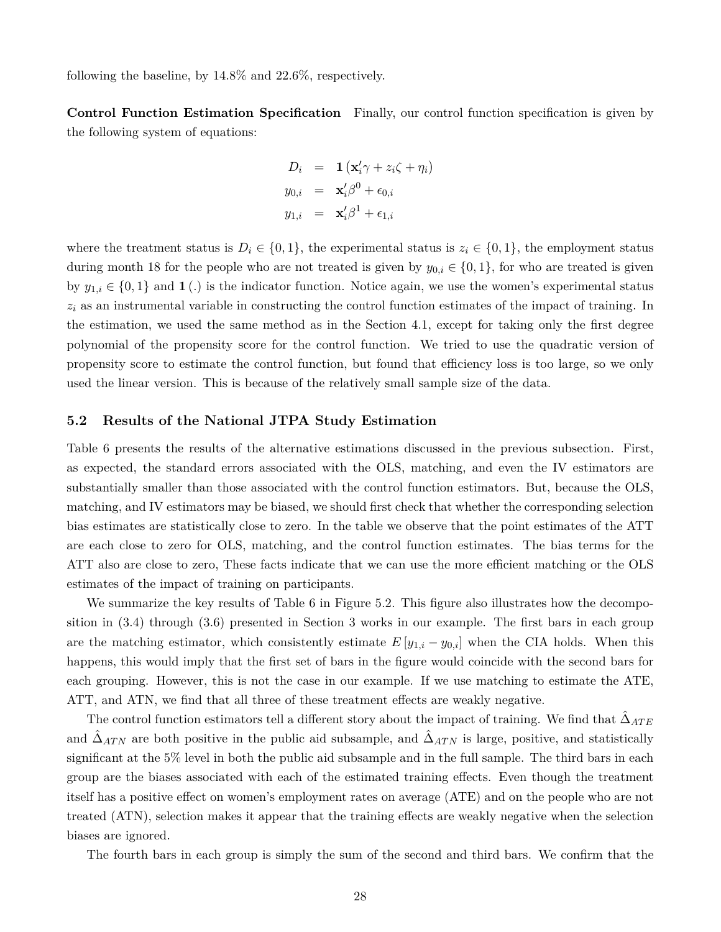following the baseline, by 14*.*8% and 22*.*6%, respectively.

**Control Function Estimation Specification** Finally, our control function specification is given by the following system of equations:

$$
D_i = \mathbf{1} (\mathbf{x}'_i \gamma + z_i \zeta + \eta_i)
$$
  
\n
$$
y_{0,i} = \mathbf{x}'_i \beta^0 + \epsilon_{0,i}
$$
  
\n
$$
y_{1,i} = \mathbf{x}'_i \beta^1 + \epsilon_{1,i}
$$

where the treatment status is  $D_i \in \{0,1\}$ , the experimental status is  $z_i \in \{0,1\}$ , the employment status during month 18 for the people who are not treated is given by  $y_{0,i} \in \{0,1\}$ , for who are treated is given by  $y_{1,i} \in \{0,1\}$  and  $\mathbf{1}(.)$  is the indicator function. Notice again, we use the women's experimental status *z<sup>i</sup>* as an instrumental variable in constructing the control function estimates of the impact of training. In the estimation, we used the same method as in the Section 4.1, except for taking only the first degree polynomial of the propensity score for the control function. We tried to use the quadratic version of propensity score to estimate the control function, but found that efficiency loss is too large, so we only used the linear version. This is because of the relatively small sample size of the data.

#### **5.2 Results of the National JTPA Study Estimation**

Table 6 presents the results of the alternative estimations discussed in the previous subsection. First, as expected, the standard errors associated with the OLS, matching, and even the IV estimators are substantially smaller than those associated with the control function estimators. But, because the OLS, matching, and IV estimators may be biased, we should first check that whether the corresponding selection bias estimates are statistically close to zero. In the table we observe that the point estimates of the ATT are each close to zero for OLS, matching, and the control function estimates. The bias terms for the ATT also are close to zero, These facts indicate that we can use the more efficient matching or the OLS estimates of the impact of training on participants.

We summarize the key results of Table 6 in Figure 5.2. This figure also illustrates how the decomposition in (3.4) through (3.6) presented in Section 3 works in our example. The first bars in each group are the matching estimator, which consistently estimate  $E[y_{1,i} - y_{0,i}]$  when the CIA holds. When this happens, this would imply that the first set of bars in the figure would coincide with the second bars for each grouping. However, this is not the case in our example. If we use matching to estimate the ATE, ATT, and ATN, we find that all three of these treatment effects are weakly negative.

The control function estimators tell a different story about the impact of training. We find that  $\hat{\Delta}_{ATE}$ and  $\hat{\Delta}_{ATN}$  are both positive in the public aid subsample, and  $\hat{\Delta}_{ATN}$  is large, positive, and statistically significant at the 5% level in both the public aid subsample and in the full sample. The third bars in each group are the biases associated with each of the estimated training effects. Even though the treatment itself has a positive effect on women's employment rates on average (ATE) and on the people who are not treated (ATN), selection makes it appear that the training effects are weakly negative when the selection biases are ignored.

The fourth bars in each group is simply the sum of the second and third bars. We confirm that the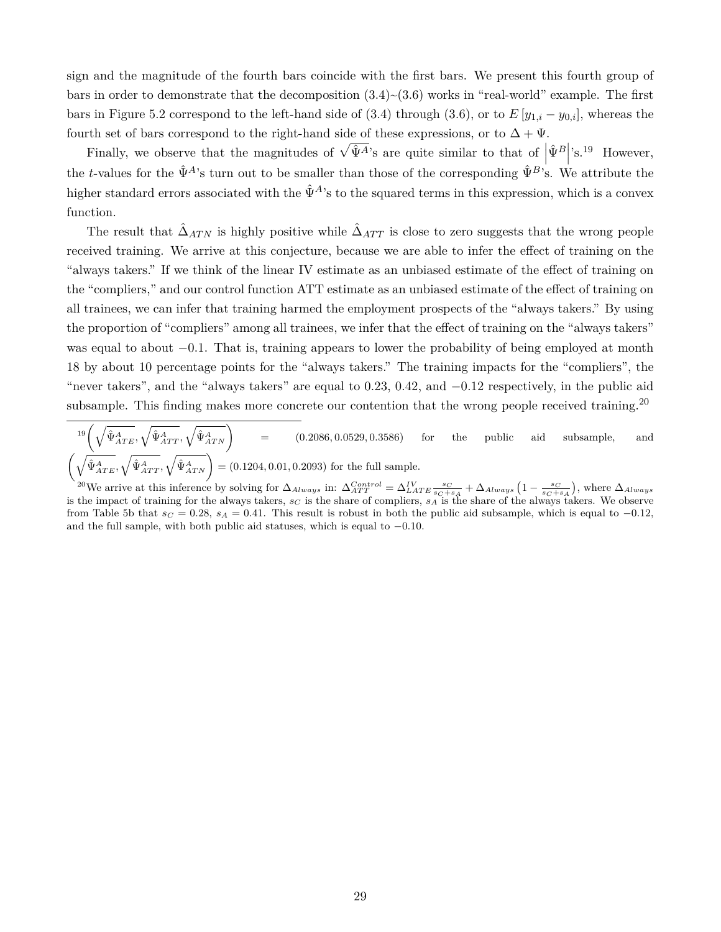sign and the magnitude of the fourth bars coincide with the first bars. We present this fourth group of bars in order to demonstrate that the decomposition  $(3.4)~(3.6)$  works in "real-world" example. The first bars in Figure 5.2 correspond to the left-hand side of (3.4) through (3.6), or to  $E[y_{1,i} - y_{0,i}]$ , whereas the fourth set of bars correspond to the right-hand side of these expressions, or to  $\Delta + \Psi$ .

Finally, we observe that the magnitudes of  $\sqrt{\hat{\Psi}^A}$ 's are quite similar to that of  $|\hat{\Psi}^B|$ 's.<sup>19</sup> However, the *t*-values for the  $\hat{\Psi}^A$ 's turn out to be smaller than those of the corresponding  $\hat{\Psi}^B$ 's. We attribute the higher standard errors associated with the  $\hat{\Psi}^{A}$ 's to the squared terms in this expression, which is a convex function.

The result that  $\hat{\Delta}_{ATN}$  is highly positive while  $\hat{\Delta}_{ATT}$  is close to zero suggests that the wrong people received training. We arrive at this conjecture, because we are able to infer the effect of training on the "always takers." If we think of the linear IV estimate as an unbiased estimate of the effect of training on the "compliers," and our control function ATT estimate as an unbiased estimate of the effect of training on all trainees, we can infer that training harmed the employment prospects of the "always takers." By using the proportion of "compliers" among all trainees, we infer that the effect of training on the "always takers" was equal to about −0*.*1. That is, training appears to lower the probability of being employed at month 18 by about 10 percentage points for the "always takers." The training impacts for the "compliers", the "never takers", and the "always takers" are equal to 0*.*23, 0*.*42, and −0*.*12 respectively, in the public aid subsample. This finding makes more concrete our contention that the wrong people received training.<sup>20</sup>

 $\sqrt{\hat{\Psi}^{A}_{ATE}}, \sqrt{\hat{\Psi}^{A}_{ATT}}, \sqrt{\hat{\Psi}^{A}_{ATN}}$ = (0*.*2086*,* 0*.*0529*,* 0*.*3586) for the public aid subsample, and  $\left(\sqrt{\hat{\Psi}_{ATE}^{A}}, \sqrt{\hat{\Psi}_{ATT}^{A}}, \sqrt{\hat{\Psi}_{ATN}^{A}}\right) = (0.1204, 0.01, 0.2093)$  for the full sample.

<sup>20</sup>We arrive at this inference by solving for  $\Delta_{Always}$  in:  $\Delta_{ATT}^{Control} = \Delta_{LAT}^{IV} \frac{s_C}{s_C + s_A} + \Delta_{Always} (1 - \frac{s_C}{s_C + s_A})$ , where  $\Delta_{Always}$ is the impact of training for the always takers, *s<sup>C</sup>* is the share of compliers, *s<sup>A</sup>* is the share of the always takers. We observe from Table 5b that  $s_C = 0.28$ ,  $s_A = 0.41$ . This result is robust in both the public aid subsample, which is equal to  $-0.12$ , and the full sample, with both public aid statuses, which is equal to −0*.*10.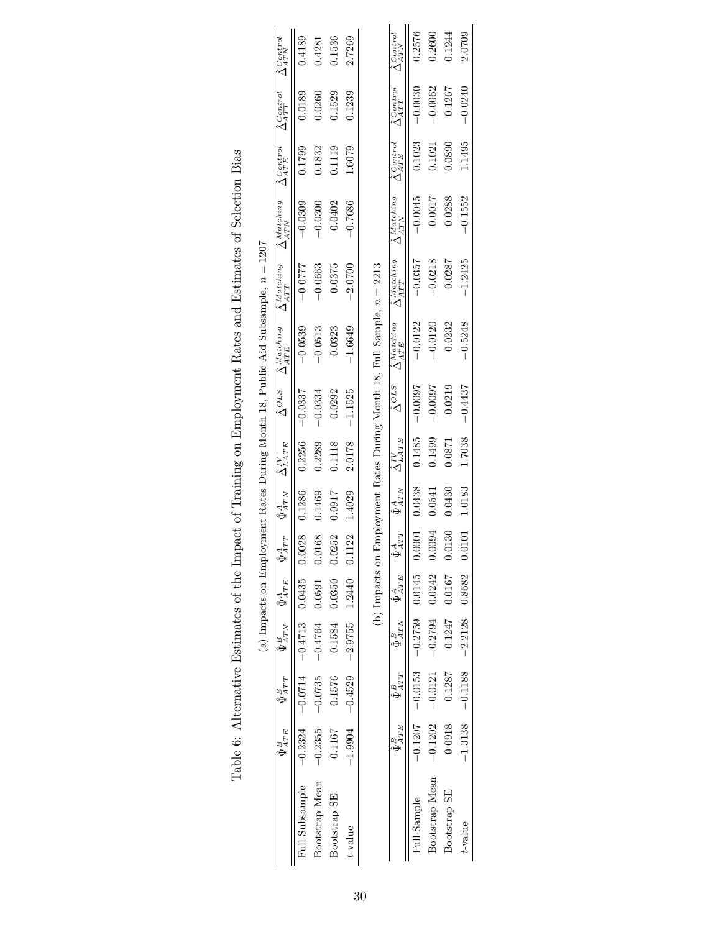|                |                      |                        |                                    |                                              |        |                                     |                            |                      |                                                                          | (a) Impacts on Employment Rates During Month 18, Public Aid Subsample, $n = 1207$ |                                                                                                |                                |                                |                                |
|----------------|----------------------|------------------------|------------------------------------|----------------------------------------------|--------|-------------------------------------|----------------------------|----------------------|--------------------------------------------------------------------------|-----------------------------------------------------------------------------------|------------------------------------------------------------------------------------------------|--------------------------------|--------------------------------|--------------------------------|
|                | $\bar{\Psi}^B_{ATE}$ | $\bar{\Psi}^B_{A T T}$ | $\bar{\Psi}^B_{ATN}$               | $\hat{\Psi}_{ATE}^{A}$ $\hat{\Psi}_{A'}^{A}$ | TT     | $\bar{\Psi}_{A_{\underline{T}N}}^A$ | $\hat{\Delta}_{LATE}^{IV}$ | $\hat{\Delta}^{OLS}$ | $\hat{\Delta}$ Matching                                                  | $\hat{\Delta}^{Matching}_{ATT}$                                                   | $\hat{\Delta}^{Matching}_{ATN}$                                                                | $\hat{\Delta}_{ATE}^{Control}$ | $\hat{\Delta}^{Control}_{ATT}$ | $\hat{\Delta}_{ATN}^{Control}$ |
| Full Subsample | $-0.2324$            |                        | $-0.0714 - 0.4713$ 0.0435          |                                              | 0.0028 | 0.1286                              | 0.2256                     | $-0.0337$            | $-0.0539$                                                                | $-0.0777$                                                                         | $-0.0309$                                                                                      | 0.1799                         | 0.0189                         | 0.4189                         |
| Bootstrap Mean | $-0.2355$            |                        | $-0.0735$ $-0.4764$ 0.0591 0.0168  |                                              |        | 1.1469                              | 0.2289                     | $-0.0334$            | $-0.0513$                                                                | $-0.0663$                                                                         | $-0.0300$                                                                                      | 0.1832                         | 0.0260                         | 0.4281                         |
| Bootstrap SE   | 0.1167               | 0.1576                 |                                    | $0.1584$ $0.0350$ $0.0252$                   |        | 1.0917                              | 0.1118                     | 0.0292               | 0.0323                                                                   | 0.0375                                                                            | 0.0402                                                                                         | 0.1119                         | 0.1529                         | 0.1536                         |
| $t$ -value     | $-1.9904$            | $-0.4529$              | $-2.9755$ 1.2440 0.11              |                                              | 22     | 1.4029                              | 2.0178                     | $-1.1525$            | $-1.6649$                                                                | $-2.0700$                                                                         | $-0.7686$                                                                                      | 1.6079                         | 0.1239                         | 2.7269                         |
|                |                      |                        |                                    |                                              |        |                                     |                            |                      |                                                                          |                                                                                   |                                                                                                |                                |                                |                                |
|                |                      |                        |                                    |                                              |        |                                     |                            |                      | (b) Impacts on Employment Rates During Month 18, Full Sample, $n = 2213$ |                                                                                   |                                                                                                |                                |                                |                                |
|                | $\hat{\Psi}^B_{ATE}$ | $\hat{\Psi}^B_{ATT}$   | $\overline{\hat{\Psi}}_{ATN}^B$    | $\overline{\hat{\Psi}^A_{ATE}}$              | ATT    | $\hat{\Psi}^{A}_{ATTN}$             | $\hat{\Delta}^{IV}_{LATE}$ | $\hat{\Delta}^{OLS}$ | $\hat{\Delta}^{{\it Matching}}_{\cdot\cdot\cdot-}$<br>$ATE$              | $\hat{\Delta}^{{\it Matching}}$<br>ATT                                            | $\hat{\Delta}^{{\cal M} {\cal at} {\cal c} {\cal h} {\cal i} {\cal n} {\cal g}}$<br><b>ATN</b> | $\hat{\Delta}_{ATE}^{Control}$ | $\hat{\Delta}^{Control}_{ATT}$ | $\hat{\Delta}_{ATN}^{Control}$ |
| Full Sample    | $-0.1207$            | $-0.0153$              |                                    | $-0.2759$ 0.0145 0.0001                      |        | 0.0438                              | 0.1485                     | $-0.0037$            | $-0.0122$                                                                | $-0.0357$                                                                         | $-0.0045$                                                                                      | 0.1023                         | $-0.0030$                      | 0.2576                         |
| Bootstrap Mean | $-0.1202$            | $-0.0121$              | $-0.2794$ 0.0242                   |                                              | 0.0094 | 0.0541                              | 0.1499                     | $-0.0097$            | $-0.0120$                                                                | $-0.0218$                                                                         | 0.0017                                                                                         | 0.1021                         | $-0.0062$                      | 0.2600                         |
| Bootstrap SE   | 0.0918               | 0.1287                 |                                    | $0.1247$ $0.0167$ 0.0130                     |        | 0.0430                              | 0.0871                     | 0.0219               | 0.0232                                                                   | 0.0287                                                                            | 0.0288                                                                                         | 0.0890                         | 0.1267                         | 1.244                          |
| $t$ -value     |                      |                        | $-1.3138$ $-2.2128$ $-8682$ 0.0101 |                                              |        | 1.0183                              | 1.7038                     | $-0.4437$            | $-0.5248$                                                                | $-1.2425$                                                                         | $-0.1552$                                                                                      | 1.1495                         | $-0.0240$                      | 2.0709                         |

Table 6: Alternative Estimates of the Impact of Training on Employment Rates and Estimates of Selection Bias Table 6: Alternative Estimates of the Impact of Training on Employment Rates and Estimates of Selection Bias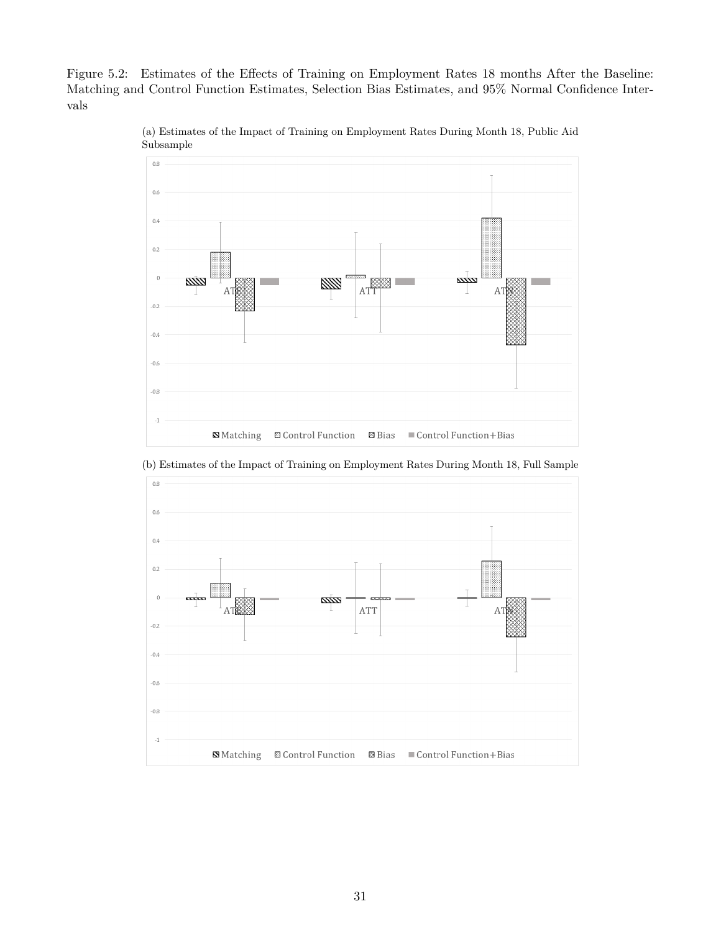Figure 5.2: Estimates of the Effects of Training on Employment Rates 18 months After the Baseline: Matching and Control Function Estimates, Selection Bias Estimates, and 95% Normal Confidence Intervals



(a) Estimates of the Impact of Training on Employment Rates During Month 18, Public Aid Subsample



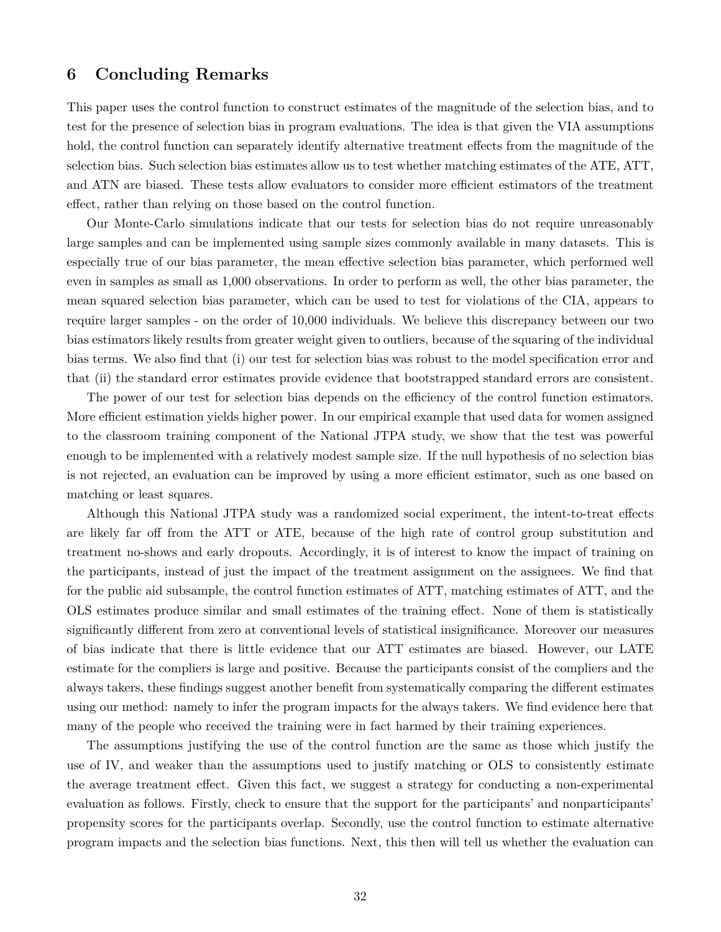### **6 Concluding Remarks**

This paper uses the control function to construct estimates of the magnitude of the selection bias, and to test for the presence of selection bias in program evaluations. The idea is that given the VIA assumptions hold, the control function can separately identify alternative treatment effects from the magnitude of the selection bias. Such selection bias estimates allow us to test whether matching estimates of the ATE, ATT, and ATN are biased. These tests allow evaluators to consider more efficient estimators of the treatment effect, rather than relying on those based on the control function.

Our Monte-Carlo simulations indicate that our tests for selection bias do not require unreasonably large samples and can be implemented using sample sizes commonly available in many datasets. This is especially true of our bias parameter, the mean effective selection bias parameter, which performed well even in samples as small as 1,000 observations. In order to perform as well, the other bias parameter, the mean squared selection bias parameter, which can be used to test for violations of the CIA, appears to require larger samples - on the order of 10,000 individuals. We believe this discrepancy between our two bias estimators likely results from greater weight given to outliers, because of the squaring of the individual bias terms. We also find that (i) our test for selection bias was robust to the model specification error and that (ii) the standard error estimates provide evidence that bootstrapped standard errors are consistent.

The power of our test for selection bias depends on the efficiency of the control function estimators. More efficient estimation yields higher power. In our empirical example that used data for women assigned to the classroom training component of the National JTPA study, we show that the test was powerful enough to be implemented with a relatively modest sample size. If the null hypothesis of no selection bias is not rejected, an evaluation can be improved by using a more efficient estimator, such as one based on matching or least squares.

Although this National JTPA study was a randomized social experiment, the intent-to-treat effects are likely far off from the ATT or ATE, because of the high rate of control group substitution and treatment no-shows and early dropouts. Accordingly, it is of interest to know the impact of training on the participants, instead of just the impact of the treatment assignment on the assignees. We find that for the public aid subsample, the control function estimates of ATT, matching estimates of ATT, and the OLS estimates produce similar and small estimates of the training effect. None of them is statistically significantly different from zero at conventional levels of statistical insignificance. Moreover our measures of bias indicate that there is little evidence that our ATT estimates are biased. However, our LATE estimate for the compliers is large and positive. Because the participants consist of the compliers and the always takers, these findings suggest another benefit from systematically comparing the different estimates using our method: namely to infer the program impacts for the always takers. We find evidence here that many of the people who received the training were in fact harmed by their training experiences.

The assumptions justifying the use of the control function are the same as those which justify the use of IV, and weaker than the assumptions used to justify matching or OLS to consistently estimate the average treatment effect. Given this fact, we suggest a strategy for conducting a non-experimental evaluation as follows. Firstly, check to ensure that the support for the participants' and nonparticipants' propensity scores for the participants overlap. Secondly, use the control function to estimate alternative program impacts and the selection bias functions. Next, this then will tell us whether the evaluation can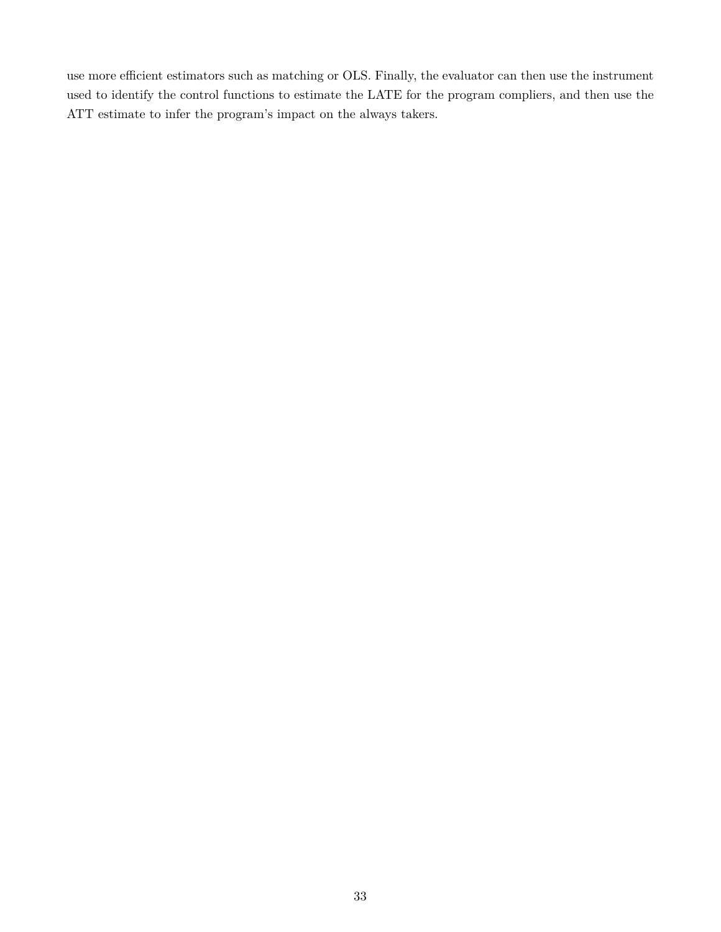use more efficient estimators such as matching or OLS. Finally, the evaluator can then use the instrument used to identify the control functions to estimate the LATE for the program compliers, and then use the ATT estimate to infer the program's impact on the always takers.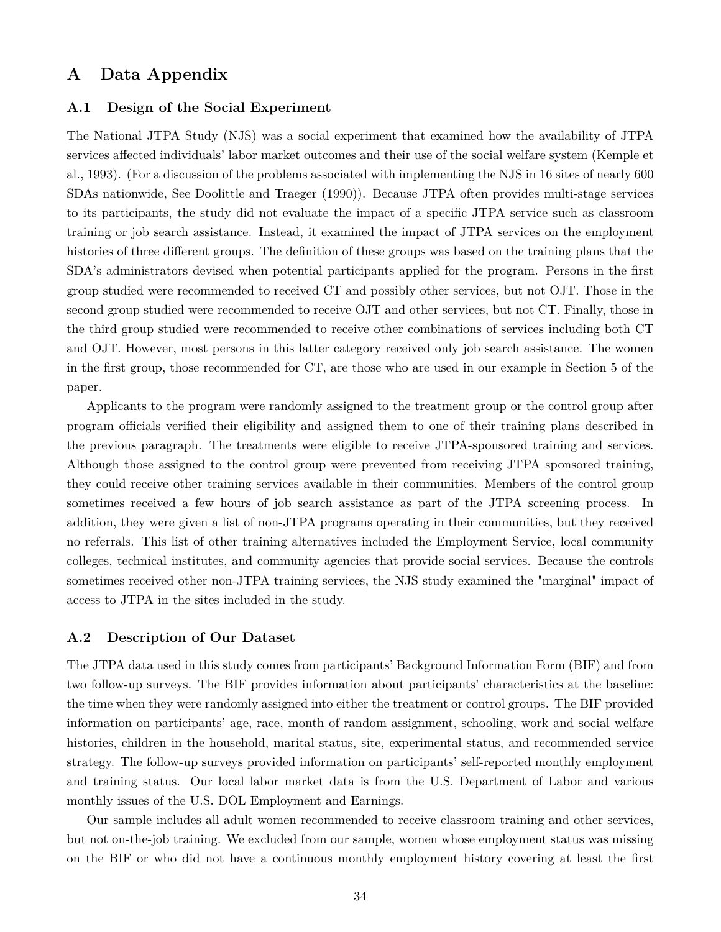### **A Data Appendix**

#### **A.1 Design of the Social Experiment**

The National JTPA Study (NJS) was a social experiment that examined how the availability of JTPA services affected individuals' labor market outcomes and their use of the social welfare system (Kemple et al., 1993). (For a discussion of the problems associated with implementing the NJS in 16 sites of nearly 600 SDAs nationwide, See Doolittle and Traeger (1990)). Because JTPA often provides multi-stage services to its participants, the study did not evaluate the impact of a specific JTPA service such as classroom training or job search assistance. Instead, it examined the impact of JTPA services on the employment histories of three different groups. The definition of these groups was based on the training plans that the SDA's administrators devised when potential participants applied for the program. Persons in the first group studied were recommended to received CT and possibly other services, but not OJT. Those in the second group studied were recommended to receive OJT and other services, but not CT. Finally, those in the third group studied were recommended to receive other combinations of services including both CT and OJT. However, most persons in this latter category received only job search assistance. The women in the first group, those recommended for CT, are those who are used in our example in Section 5 of the paper.

Applicants to the program were randomly assigned to the treatment group or the control group after program officials verified their eligibility and assigned them to one of their training plans described in the previous paragraph. The treatments were eligible to receive JTPA-sponsored training and services. Although those assigned to the control group were prevented from receiving JTPA sponsored training, they could receive other training services available in their communities. Members of the control group sometimes received a few hours of job search assistance as part of the JTPA screening process. In addition, they were given a list of non-JTPA programs operating in their communities, but they received no referrals. This list of other training alternatives included the Employment Service, local community colleges, technical institutes, and community agencies that provide social services. Because the controls sometimes received other non-JTPA training services, the NJS study examined the "marginal" impact of access to JTPA in the sites included in the study.

#### **A.2 Description of Our Dataset**

The JTPA data used in this study comes from participants' Background Information Form (BIF) and from two follow-up surveys. The BIF provides information about participants' characteristics at the baseline: the time when they were randomly assigned into either the treatment or control groups. The BIF provided information on participants' age, race, month of random assignment, schooling, work and social welfare histories, children in the household, marital status, site, experimental status, and recommended service strategy. The follow-up surveys provided information on participants' self-reported monthly employment and training status. Our local labor market data is from the U.S. Department of Labor and various monthly issues of the U.S. DOL Employment and Earnings.

Our sample includes all adult women recommended to receive classroom training and other services, but not on-the-job training. We excluded from our sample, women whose employment status was missing on the BIF or who did not have a continuous monthly employment history covering at least the first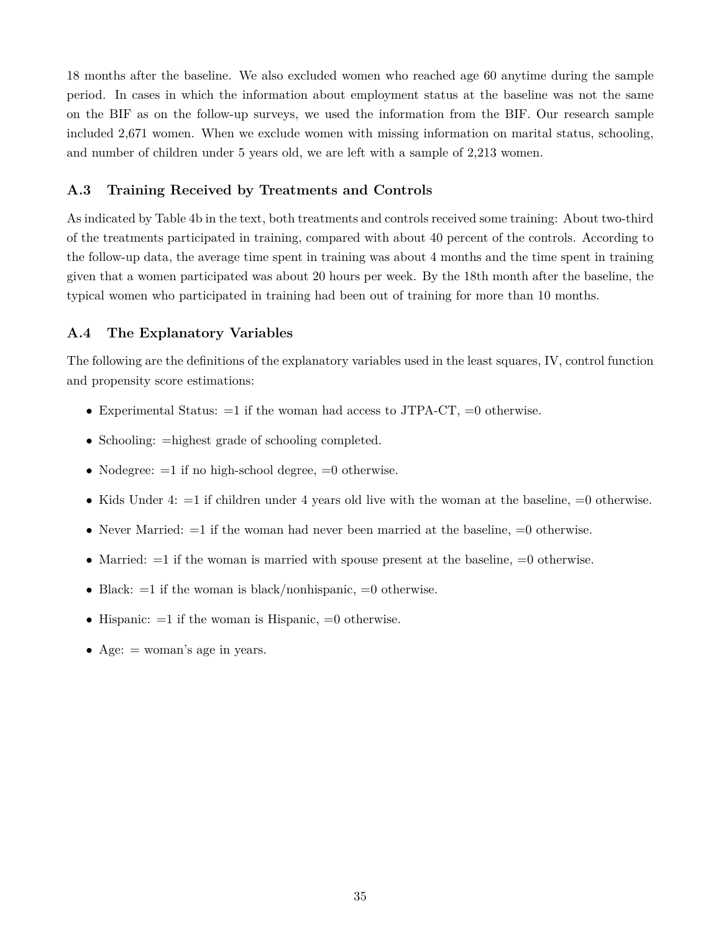18 months after the baseline. We also excluded women who reached age 60 anytime during the sample period. In cases in which the information about employment status at the baseline was not the same on the BIF as on the follow-up surveys, we used the information from the BIF. Our research sample included 2,671 women. When we exclude women with missing information on marital status, schooling, and number of children under 5 years old, we are left with a sample of 2,213 women.

#### **A.3 Training Received by Treatments and Controls**

As indicated by Table 4b in the text, both treatments and controls received some training: About two-third of the treatments participated in training, compared with about 40 percent of the controls. According to the follow-up data, the average time spent in training was about 4 months and the time spent in training given that a women participated was about 20 hours per week. By the 18th month after the baseline, the typical women who participated in training had been out of training for more than 10 months.

#### **A.4 The Explanatory Variables**

The following are the definitions of the explanatory variables used in the least squares, IV, control function and propensity score estimations:

- Experimental Status:  $=1$  if the woman had access to JTPA-CT,  $=0$  otherwise.
- Schooling:  $=$ highest grade of schooling completed.
- Nodegree:  $=1$  if no high-school degree,  $=0$  otherwise.
- Kids Under 4:  $=1$  if children under 4 years old live with the woman at the baseline,  $=0$  otherwise.
- Never Married:  $=1$  if the woman had never been married at the baseline,  $=0$  otherwise.
- Married:  $=1$  if the woman is married with spouse present at the baseline,  $=0$  otherwise.
- Black:  $=1$  if the woman is black/nonhispanic,  $=0$  otherwise.
- Hispanic:  $=1$  if the woman is Hispanic,  $=0$  otherwise.
- Age:  $=$  woman's age in years.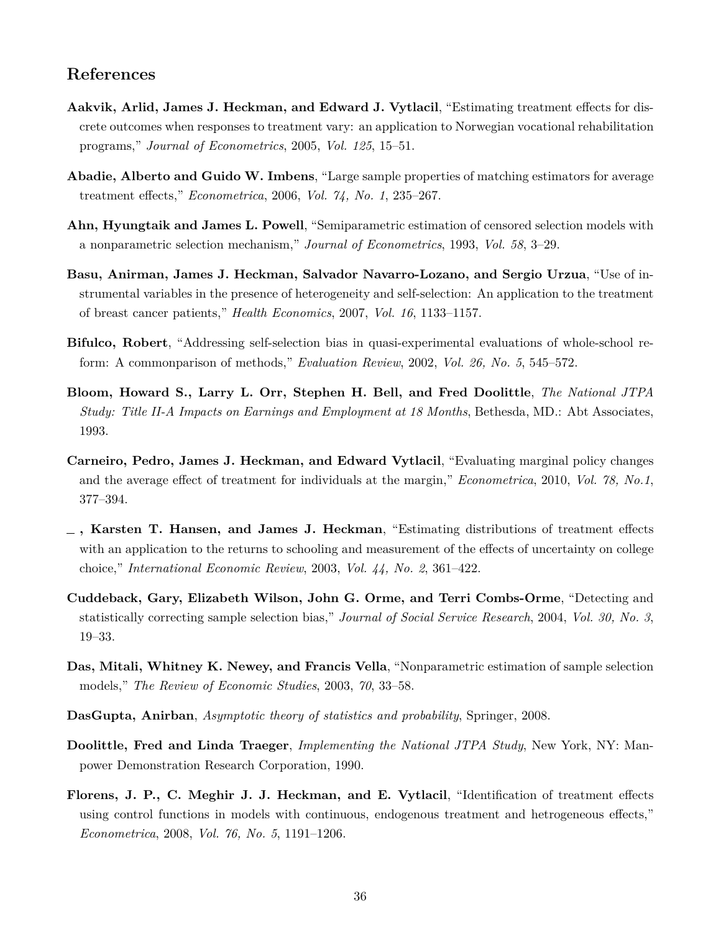## **References**

- **Aakvik, Arlid, James J. Heckman, and Edward J. Vytlacil**, "Estimating treatment effects for discrete outcomes when responses to treatment vary: an application to Norwegian vocational rehabilitation programs," *Journal of Econometrics*, 2005, *Vol. 125*, 15–51.
- **Abadie, Alberto and Guido W. Imbens**, "Large sample properties of matching estimators for average treatment effects," *Econometrica*, 2006, *Vol. 74, No. 1*, 235–267.
- **Ahn, Hyungtaik and James L. Powell**, "Semiparametric estimation of censored selection models with a nonparametric selection mechanism," *Journal of Econometrics*, 1993, *Vol. 58*, 3–29.
- **Basu, Anirman, James J. Heckman, Salvador Navarro-Lozano, and Sergio Urzua**, "Use of instrumental variables in the presence of heterogeneity and self-selection: An application to the treatment of breast cancer patients," *Health Economics*, 2007, *Vol. 16*, 1133–1157.
- **Bifulco, Robert**, "Addressing self-selection bias in quasi-experimental evaluations of whole-school reform: A commonparison of methods," *Evaluation Review*, 2002, *Vol. 26, No. 5*, 545–572.
- **Bloom, Howard S., Larry L. Orr, Stephen H. Bell, and Fred Doolittle**, *The National JTPA Study: Title II-A Impacts on Earnings and Employment at 18 Months*, Bethesda, MD.: Abt Associates, 1993.
- **Carneiro, Pedro, James J. Heckman, and Edward Vytlacil**, "Evaluating marginal policy changes and the average effect of treatment for individuals at the margin," *Econometrica*, 2010, *Vol. 78, No.1*, 377–394.
- **, Karsten T. Hansen, and James J. Heckman**, "Estimating distributions of treatment effects with an application to the returns to schooling and measurement of the effects of uncertainty on college choice," *International Economic Review*, 2003, *Vol. 44, No. 2*, 361–422.
- **Cuddeback, Gary, Elizabeth Wilson, John G. Orme, and Terri Combs-Orme**, "Detecting and statistically correcting sample selection bias," *Journal of Social Service Research*, 2004, *Vol. 30, No. 3*, 19–33.
- **Das, Mitali, Whitney K. Newey, and Francis Vella**, "Nonparametric estimation of sample selection models," *The Review of Economic Studies*, 2003, *70*, 33–58.
- **DasGupta, Anirban**, *Asymptotic theory of statistics and probability*, Springer, 2008.
- **Doolittle, Fred and Linda Traeger**, *Implementing the National JTPA Study*, New York, NY: Manpower Demonstration Research Corporation, 1990.
- **Florens, J. P., C. Meghir J. J. Heckman, and E. Vytlacil**, "Identification of treatment effects using control functions in models with continuous, endogenous treatment and hetrogeneous effects," *Econometrica*, 2008, *Vol. 76, No. 5*, 1191–1206.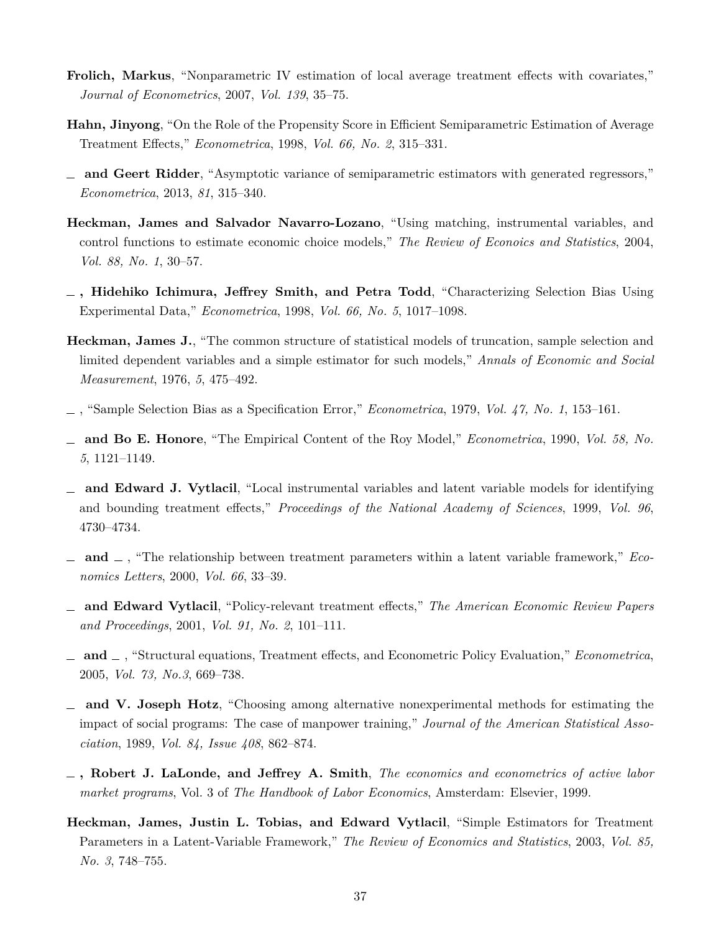- **Frolich, Markus**, "Nonparametric IV estimation of local average treatment effects with covariates," *Journal of Econometrics*, 2007, *Vol. 139*, 35–75.
- **Hahn, Jinyong**, "On the Role of the Propensity Score in Efficient Semiparametric Estimation of Average Treatment Effects," *Econometrica*, 1998, *Vol. 66, No. 2*, 315–331.
- **and Geert Ridder**, "Asymptotic variance of semiparametric estimators with generated regressors," *Econometrica*, 2013, *81*, 315–340.
- **Heckman, James and Salvador Navarro-Lozano**, "Using matching, instrumental variables, and control functions to estimate economic choice models," *The Review of Econoics and Statistics*, 2004, *Vol. 88, No. 1*, 30–57.
- **, Hidehiko Ichimura, Jeffrey Smith, and Petra Todd**, "Characterizing Selection Bias Using Experimental Data," *Econometrica*, 1998, *Vol. 66, No. 5*, 1017–1098.
- **Heckman, James J.**, "The common structure of statistical models of truncation, sample selection and limited dependent variables and a simple estimator for such models," *Annals of Economic and Social Measurement*, 1976, *5*, 475–492.
- , "Sample Selection Bias as a Specification Error," *Econometrica*, 1979, *Vol. 47, No. 1*, 153–161.
- **and Bo E. Honore**, "The Empirical Content of the Roy Model," *Econometrica*, 1990, *Vol. 58, No. 5*, 1121–1149.
- **and Edward J. Vytlacil**, "Local instrumental variables and latent variable models for identifying and bounding treatment effects," *Proceedings of the National Academy of Sciences*, 1999, *Vol. 96*, 4730–4734.
- **and**  $\Box$ , "The relationship between treatment parameters within a latent variable framework," *Economics Letters*, 2000, *Vol. 66*, 33–39.
- **and Edward Vytlacil**, "Policy-relevant treatment effects," *The American Economic Review Papers and Proceedings*, 2001, *Vol. 91, No. 2*, 101–111.
- **and** , "Structural equations, Treatment effects, and Econometric Policy Evaluation," *Econometrica*, 2005, *Vol. 73, No.3*, 669–738.
- **and V. Joseph Hotz**, "Choosing among alternative nonexperimental methods for estimating the impact of social programs: The case of manpower training," *Journal of the American Statistical Association*, 1989, *Vol. 84, Issue 408*, 862–874.
- **, Robert J. LaLonde, and Jeffrey A. Smith**, *The economics and econometrics of active labor market programs*, Vol. 3 of *The Handbook of Labor Economics*, Amsterdam: Elsevier, 1999.
- **Heckman, James, Justin L. Tobias, and Edward Vytlacil**, "Simple Estimators for Treatment Parameters in a Latent-Variable Framework," *The Review of Economics and Statistics*, 2003, *Vol. 85, No. 3*, 748–755.